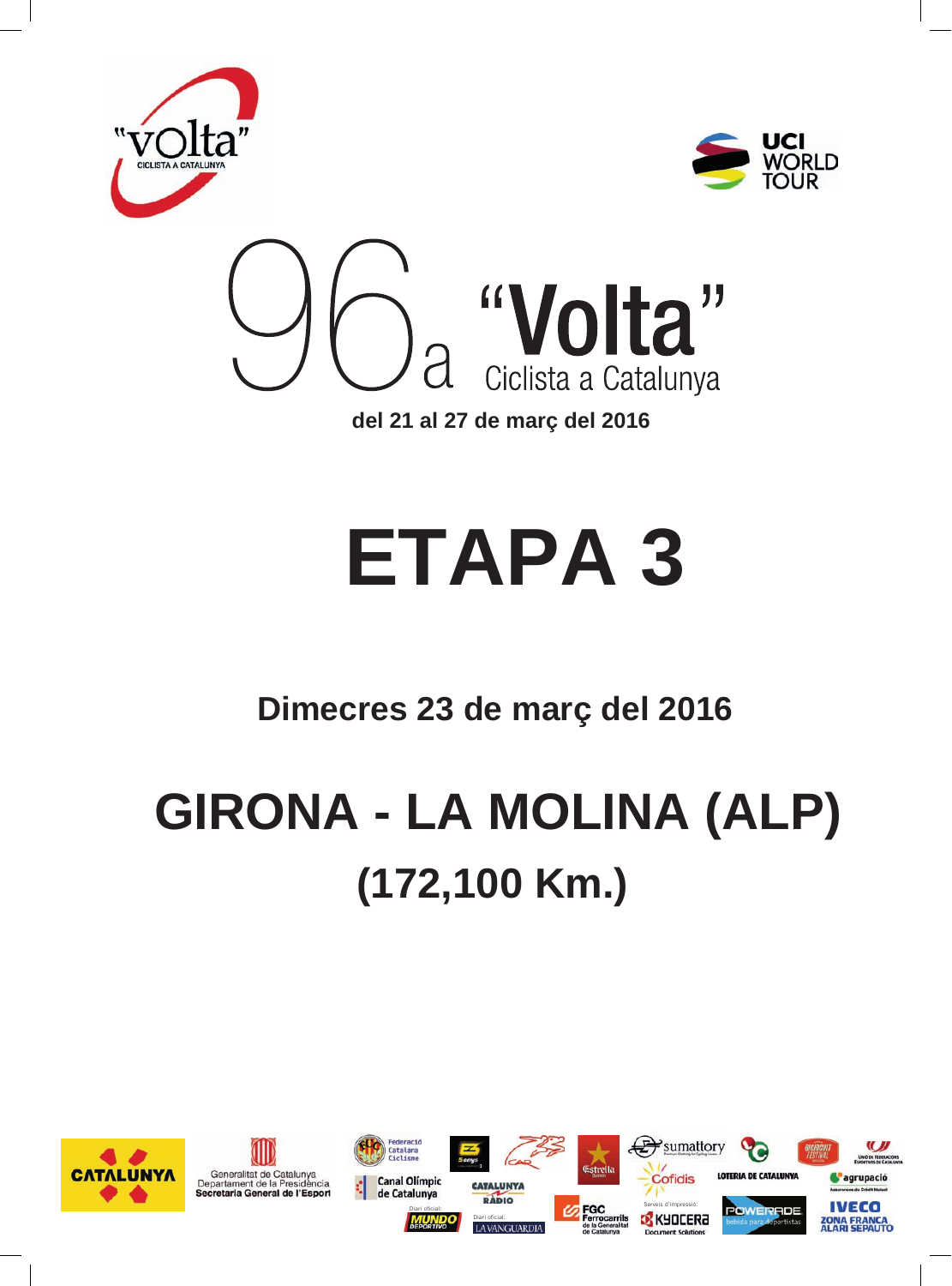

## **ETAPA 3**

### **Dimecres 23 de març del 2016**

## **GIRONA - LA MOLINA (ALP) (172,100 Km.)**

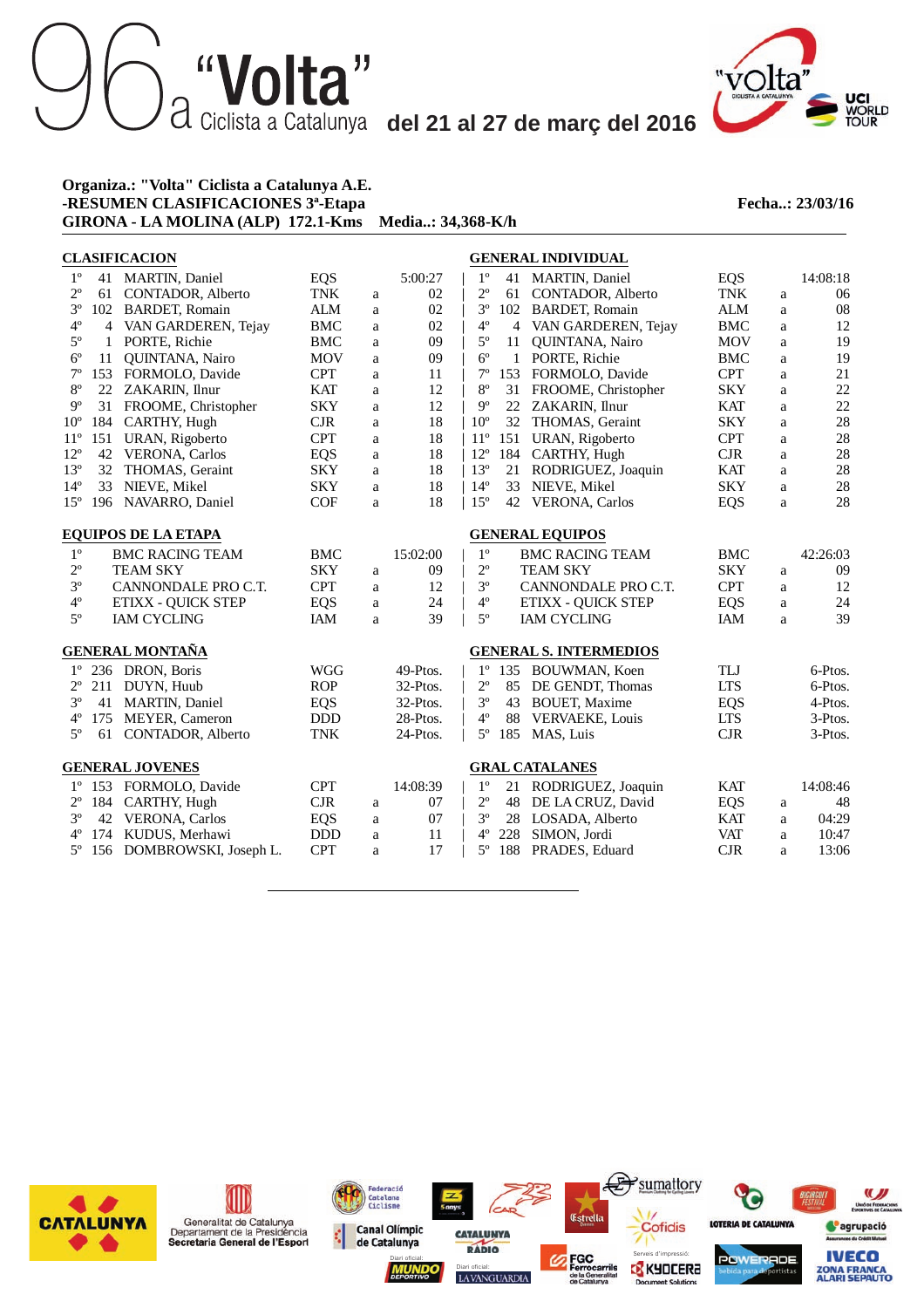### "Volta" del 21 al 27 de març del 2016



#### **Organiza.: "Volta" Ciclista a Catalunya A.E. -RESUMEN CLASIFICACIONES 3<sup>ª</sup>-Etapa <b>Fecha..: 23/03/16 GIRONA - LA MOLINA (ALP) 172.1-Kms Media..: 34,368-K/h**

|              |                            | <b>CLASIFICACION</b>      |            |             |          |              |     | <b>GENERAL INDIVIDUAL</b>     |            |   |          |
|--------------|----------------------------|---------------------------|------------|-------------|----------|--------------|-----|-------------------------------|------------|---|----------|
| $1^{\circ}$  |                            | 41 MARTIN, Daniel         | <b>EQS</b> |             | 5:00:27  | $1^{\circ}$  |     | 41 MARTIN, Daniel             | <b>EQS</b> |   | 14:08:18 |
| $2^{\circ}$  | 61                         | CONTADOR, Alberto         | <b>TNK</b> | a           | 02       | $2^{\circ}$  | 61  | CONTADOR, Alberto             | <b>TNK</b> | a | 06       |
| $3^{\circ}$  | 102                        | <b>BARDET, Romain</b>     | <b>ALM</b> | a           | 02       | $3^{\circ}$  | 102 | <b>BARDET, Romain</b>         | <b>ALM</b> | a | 08       |
| $4^{\rm o}$  | 4                          | VAN GARDEREN, Tejay       | <b>BMC</b> | a           | 02       | $4^{\circ}$  |     | 4 VAN GARDEREN, Tejay         | <b>BMC</b> | a | 12       |
| $5^{\rm o}$  | $\mathbf{1}$               | PORTE, Richie             | <b>BMC</b> | a           | 09       | $5^{\circ}$  | 11  | QUINTANA, Nairo               | <b>MOV</b> | a | 19       |
| $6^{\circ}$  | 11                         | <b>OUINTANA, Nairo</b>    | <b>MOV</b> | a           | 09       | $6^{\circ}$  |     | 1 PORTE, Richie               | <b>BMC</b> | a | 19       |
| $7^{\circ}$  | 153                        | FORMOLO, Davide           | <b>CPT</b> | a           | 11       | $7^{\circ}$  |     | 153 FORMOLO, Davide           | <b>CPT</b> | a | 21       |
| $8^{\circ}$  |                            | 22 ZAKARIN, Ilnur         | <b>KAT</b> | a           | 12       | $8^{\circ}$  |     | 31 FROOME, Christopher        | <b>SKY</b> | a | 22       |
| $9^{\circ}$  | 31                         | FROOME, Christopher       | <b>SKY</b> | a           | 12       | $9^{\circ}$  |     | 22 ZAKARIN, Ilnur             | <b>KAT</b> | a | 22       |
| $10^{\circ}$ | 184                        | CARTHY, Hugh              | $C$ JR     | a           | 18       | $10^{\circ}$ |     | 32 THOMAS, Geraint            | <b>SKY</b> | a | 28       |
| $11^{\circ}$ | 151                        | URAN, Rigoberto           | <b>CPT</b> | a           | 18       | $11^{\circ}$ | 151 | URAN, Rigoberto               | <b>CPT</b> | a | $28\,$   |
| $12^{\circ}$ | 42                         | <b>VERONA, Carlos</b>     | <b>EQS</b> | a           | 18       | $12^{\circ}$ | 184 | CARTHY, Hugh                  | CJR        | a | 28       |
| $13^{\circ}$ | 32                         | THOMAS, Geraint           | <b>SKY</b> | a           | 18       | $13^{\circ}$ | 21  | RODRIGUEZ, Joaquin            | <b>KAT</b> | a | 28       |
| $14^{\circ}$ | 33                         | NIEVE, Mikel              | <b>SKY</b> | a           | 18       | $14^{\circ}$ |     | 33 NIEVE, Mikel               | <b>SKY</b> | a | 28       |
| $15^{\circ}$ | 196                        | NAVARRO, Daniel           | <b>COF</b> | a           | 18       | $15^{\circ}$ | 42  | <b>VERONA, Carlos</b>         | <b>EQS</b> | a | 28       |
|              | <b>EQUIPOS DE LA ETAPA</b> |                           |            |             |          |              |     | <b>GENERAL EQUIPOS</b>        |            |   |          |
| $1^{\circ}$  |                            | <b>BMC RACING TEAM</b>    | <b>BMC</b> |             | 15:02:00 | $1^{\circ}$  |     | <b>BMC RACING TEAM</b>        | <b>BMC</b> |   | 42:26:03 |
| $2^{\circ}$  |                            | <b>TEAM SKY</b>           | <b>SKY</b> | a           | 09       | $2^{\circ}$  |     | <b>TEAM SKY</b>               | <b>SKY</b> | a | 09       |
| $3^{\circ}$  |                            | CANNONDALE PRO C.T.       | <b>CPT</b> | a           | 12       | $3^{\circ}$  |     | CANNONDALE PRO C.T.           | <b>CPT</b> | a | 12       |
| $4^{\circ}$  |                            | <b>ETIXX - QUICK STEP</b> | <b>EQS</b> | a           | 24       | $4^{\circ}$  |     | <b>ETIXX - QUICK STEP</b>     | <b>EQS</b> | a | 24       |
| $5^{\circ}$  |                            | <b>IAM CYCLING</b>        | IAM        | a           | 39       | $5^{\circ}$  |     | <b>IAM CYCLING</b>            | IAM        | a | 39       |
|              |                            | <b>GENERAL MONTAÑA</b>    |            |             |          |              |     | <b>GENERAL S. INTERMEDIOS</b> |            |   |          |
| $1^{\circ}$  |                            | 236 DRON, Boris           | <b>WGG</b> |             | 49-Ptos. | $1^{\circ}$  |     | 135 BOUWMAN, Koen             | TLJ        |   | 6-Ptos.  |
| $2^{\circ}$  | 211                        | DUYN, Huub                | <b>ROP</b> |             | 32-Ptos. | $2^{\circ}$  |     | 85 DE GENDT, Thomas           | <b>LTS</b> |   | 6-Ptos.  |
| $3^{\circ}$  | 41                         | <b>MARTIN, Daniel</b>     | <b>EQS</b> |             | 32-Ptos. | $3^{\circ}$  | 43  | <b>BOUET, Maxime</b>          | <b>EQS</b> |   | 4-Ptos.  |
| $4^{\circ}$  | 175                        | MEYER, Cameron            | <b>DDD</b> |             | 28-Ptos. | $4^{\circ}$  | 88  | VERVAEKE, Louis               | <b>LTS</b> |   | 3-Ptos.  |
| $5^{\circ}$  | 61                         | <b>CONTADOR, Alberto</b>  | <b>TNK</b> |             | 24-Ptos. | $5^{\circ}$  | 185 | MAS, Luis                     | CJR        |   | 3-Ptos.  |
|              |                            |                           |            |             |          |              |     |                               |            |   |          |
|              |                            | <b>GENERAL JOVENES</b>    |            |             |          |              |     | <b>GRAL CATALANES</b>         |            |   |          |
| $1^{\circ}$  |                            | 153 FORMOLO, Davide       | <b>CPT</b> |             | 14:08:39 | $1^{\circ}$  |     | 21 RODRIGUEZ, Joaquin         | <b>KAT</b> |   | 14:08:46 |
| $2^{\circ}$  | 184                        | CARTHY, Hugh              | CJR        | a           | 07       | $2^{\circ}$  | 48  | DE LA CRUZ, David             | <b>EQS</b> | a | 48       |
| $3^{\circ}$  | 42                         | <b>VERONA, Carlos</b>     | <b>EQS</b> | $\mathbf a$ | 07       | $3^{\circ}$  | 28  | LOSADA, Alberto               | <b>KAT</b> | a | 04:29    |
| $4^{\circ}$  | 174                        | KUDUS, Merhawi            | <b>DDD</b> | a           | 11       | $4^{\circ}$  | 228 | SIMON, Jordi                  | <b>VAT</b> | a | 10:47    |
| $5^{\circ}$  |                            | 156 DOMBROWSKI, Joseph L. | <b>CPT</b> | a           | 17       | $5^{\circ}$  |     | 188 PRADES, Eduard            | CJR        | a | 13:06    |
|              |                            |                           |            |             |          |              |     |                               |            |   |          |

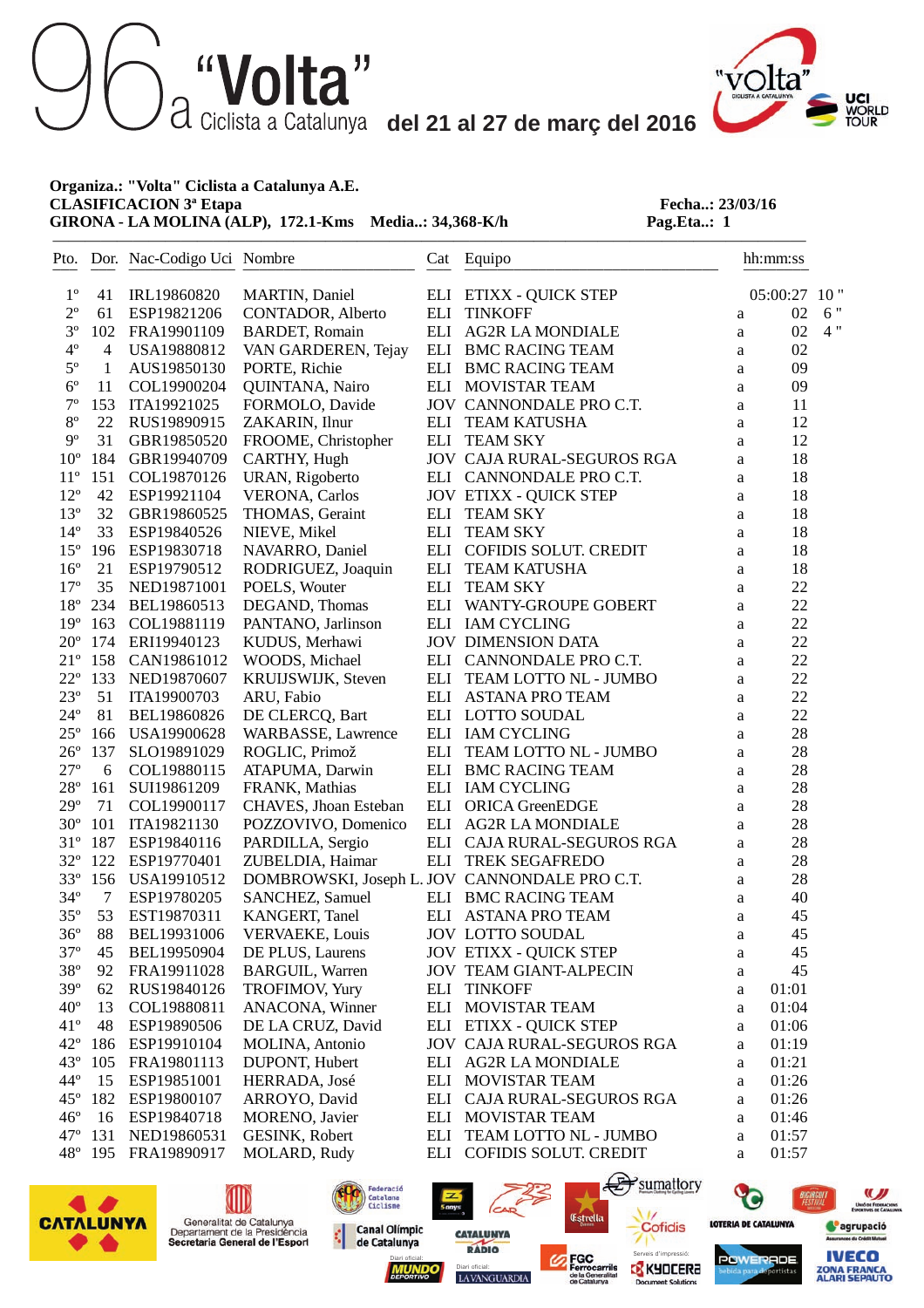""Volta" del 21 al 27 de març del 2016

———————————————————————————————————————————————



#### **Organiza.: "Volta" Ciclista a Catalunya A.E. CLASIFICACION 3<sup>ª</sup> Etapa <b>Fecha..: 23/03/16**<br> **GIRONA - LA MOLINA (ALP), 172.1-Kms** Media..: 34,368-K/h **Pag.Eta..: 1 GIRONA - LA MOLINA (ALP), 172.1-Kms Media..: 34,368-K/h**

|                 |              | Pto. Dor. Nac-Codigo Uci Nombre |                           |     | Cat Equipo<br>________________                |              | hh:mm:ss |     |
|-----------------|--------------|---------------------------------|---------------------------|-----|-----------------------------------------------|--------------|----------|-----|
| $1^{\circ}$     | 41           | IRL19860820                     | MARTIN, Daniel            |     | ELI ETIXX - QUICK STEP                        |              | 05:00:27 | 10" |
| $2^{\rm o}$     | 61           | ESP19821206                     | CONTADOR, Alberto         | ELI | <b>TINKOFF</b>                                | a            | 02       | 6"  |
| $3^{\circ}$     | 102          | FRA19901109                     | <b>BARDET, Romain</b>     |     | ELI AG2R LA MONDIALE                          | a            | 02       | 4"  |
| $4^{\circ}$     | 4            | USA19880812                     | VAN GARDEREN, Tejay       |     | ELI BMC RACING TEAM                           | a            | 02       |     |
| $5^{\circ}$     | $\mathbf{1}$ | AUS19850130                     | PORTE, Richie             |     | ELI BMC RACING TEAM                           | a            | 09       |     |
| $6^{\circ}$     | 11           | COL19900204                     | QUINTANA, Nairo           |     | ELI MOVISTAR TEAM                             | a            | 09       |     |
| $7^{\circ}$     | 153          | ITA19921025                     | FORMOLO, Davide           |     | JOV CANNONDALE PRO C.T.                       | a            | 11       |     |
| $8^{\rm o}$     | 22           | RUS19890915                     | ZAKARIN, Ilnur            | ELI | <b>TEAM KATUSHA</b>                           | a            | 12       |     |
| $9^{\circ}$     | 31           | GBR19850520                     | FROOME, Christopher       |     | ELI TEAM SKY                                  | a            | 12       |     |
| 10 <sup>o</sup> | 184          | GBR19940709                     | CARTHY, Hugh              |     | JOV CAJA RURAL-SEGUROS RGA                    | a            | 18       |     |
| $11^{\circ}$    | 151          | COL19870126                     | URAN, Rigoberto           |     | ELI CANNONDALE PRO C.T.                       | a            | 18       |     |
| $12^{\circ}$    | 42           | ESP19921104                     | <b>VERONA, Carlos</b>     |     | <b>JOV ETIXX - QUICK STEP</b>                 | a            | 18       |     |
| $13^{\circ}$    | 32           | GBR19860525                     | THOMAS, Geraint           | ELI | <b>TEAM SKY</b>                               | a            | 18       |     |
| $14^{\circ}$    | 33           | ESP19840526                     | NIEVE, Mikel              | ELI | <b>TEAM SKY</b>                               | a            | 18       |     |
| $15^{\circ}$    | 196          | ESP19830718                     | NAVARRO, Daniel           |     | ELI COFIDIS SOLUT. CREDIT                     | a            | 18       |     |
| $16^{\circ}$    | 21           | ESP19790512                     | RODRIGUEZ, Joaquin        |     | ELI TEAM KATUSHA                              | a            | 18       |     |
| $17^{\circ}$    | 35           | NED19871001                     | POELS, Wouter             |     | ELI TEAM SKY                                  | a            | $22\,$   |     |
| $18^{\circ}$    | 234          | BEL19860513                     | DEGAND, Thomas            |     | ELI WANTY-GROUPE GOBERT                       | $\mathbf{a}$ | 22       |     |
| $19^{\circ}$    | 163          | COL19881119                     | PANTANO, Jarlinson        |     | ELI IAM CYCLING                               | a            | $22\,$   |     |
| $20^{\circ}$    | 174          | ERI19940123                     | KUDUS, Merhawi            |     | <b>JOV DIMENSION DATA</b>                     | a            | $22\,$   |     |
| $21^{\circ}$    | 158          | CAN19861012                     | WOODS, Michael            |     | ELI CANNONDALE PRO C.T.                       | a            | $22\,$   |     |
| $22^{\circ}$    | 133          | NED19870607                     | KRUIJSWIJK, Steven        |     | ELI TEAM LOTTO NL - JUMBO                     | a            | $22\,$   |     |
| $23^{\circ}$    | 51           | ITA19900703                     | ARU, Fabio                |     | ELI ASTANA PRO TEAM                           | a            | $22\,$   |     |
| $24^{\circ}$    | 81           | BEL19860826                     | DE CLERCQ, Bart           |     | ELI LOTTO SOUDAL                              | $\mathbf{a}$ | $22\,$   |     |
| $25^{\circ}$    | 166          | USA19900628                     | <b>WARBASSE, Lawrence</b> |     | ELI IAM CYCLING                               | a            | 28       |     |
| $26^{\circ}$    | 137          | SLO19891029                     | ROGLIC, Primož            |     | ELI TEAM LOTTO NL - JUMBO                     | $\mathbf{a}$ | 28       |     |
| $27^{\circ}$    | 6            | COL19880115                     | ATAPUMA, Darwin           |     | ELI BMC RACING TEAM                           | a            | 28       |     |
| $28^{\circ}$    | 161          | SUI19861209                     | FRANK, Mathias            |     | ELI IAM CYCLING                               | a            | 28       |     |
| $29^{\circ}$    | 71           | COL19900117                     | CHAVES, Jhoan Esteban     |     | ELI ORICA GreenEDGE                           | a            | 28       |     |
| $30^{\circ}$    | 101          | ITA19821130                     | POZZOVIVO, Domenico       |     | ELI AG2R LA MONDIALE                          | a            | 28       |     |
| $31^{\circ}$    | 187          | ESP19840116                     | PARDILLA, Sergio          |     | ELI CAJA RURAL-SEGUROS RGA                    | a            | 28       |     |
| $32^{\circ}$    | 122          | ESP19770401                     | ZUBELDIA, Haimar          |     | ELI TREK SEGAFREDO                            | a            | 28       |     |
| $33^{\circ}$    | 156          | USA19910512                     |                           |     | DOMBROWSKI, Joseph L. JOV CANNONDALE PRO C.T. | a            | 28       |     |
| $34^{\circ}$    | $\tau$       | ESP19780205                     | SANCHEZ, Samuel           |     | ELI BMC RACING TEAM                           | a            | 40       |     |
| $35^{\circ}$    | 53           | EST19870311                     | <b>KANGERT, Tanel</b>     |     | ELI ASTANA PRO TEAM                           | a            | 45       |     |
| $36^{\circ}$    | 88           | BEL19931006                     | <b>VERVAEKE, Louis</b>    |     | <b>JOV LOTTO SOUDAL</b>                       | a            | 45       |     |
| $37^{\circ}$    | 45           | BEL19950904                     | DE PLUS, Laurens          |     | <b>JOV ETIXX - QUICK STEP</b>                 | a            | 45       |     |
| $38^{\circ}$    | 92           | FRA19911028                     | <b>BARGUIL, Warren</b>    |     | <b>JOV TEAM GIANT-ALPECIN</b>                 | a            | 45       |     |
| 39°             | 62           | RUS19840126                     | TROFIMOV, Yury            | ELI | <b>TINKOFF</b>                                | a            | 01:01    |     |
| $40^{\circ}$    | 13           | COL19880811                     | ANACONA, Winner           | ELI | MOVISTAR TEAM                                 | a            | 01:04    |     |
| $41^{\circ}$    | 48           | ESP19890506                     | DE LA CRUZ, David         |     | ELI ETIXX - QUICK STEP                        | a            | 01:06    |     |
| $42^{\circ}$    | 186          | ESP19910104                     | MOLINA, Antonio           |     | <b>JOV CAJA RURAL-SEGUROS RGA</b>             | a            | 01:19    |     |
| $43^{\circ}$    | 105          | FRA19801113                     | DUPONT, Hubert            |     | ELI AG2R LA MONDIALE                          | a            | 01:21    |     |
| $44^\circ$      | 15           | ESP19851001                     | HERRADA, José             |     | ELI MOVISTAR TEAM                             | a            | 01:26    |     |
| $45^{\circ}$    | 182          | ESP19800107                     | ARROYO, David             |     | ELI CAJA RURAL-SEGUROS RGA                    | a            | 01:26    |     |
| $46^{\circ}$    | 16           | ESP19840718                     | MORENO, Javier            |     | ELI MOVISTAR TEAM                             | a            | 01:46    |     |
| $47^{\circ}$    | 131          | NED19860531                     | GESINK, Robert            |     | ELI TEAM LOTTO NL - JUMBO                     | a            | 01:57    |     |
| $48^{\circ}$    | 195          | FRA19890917                     | MOLARD, Rudy              |     | ELI COFIDIS SOLUT. CREDIT                     | a            | 01:57    |     |









nt Soluti

LAVANGUARDIA

حصا

**CATALUNYA** 





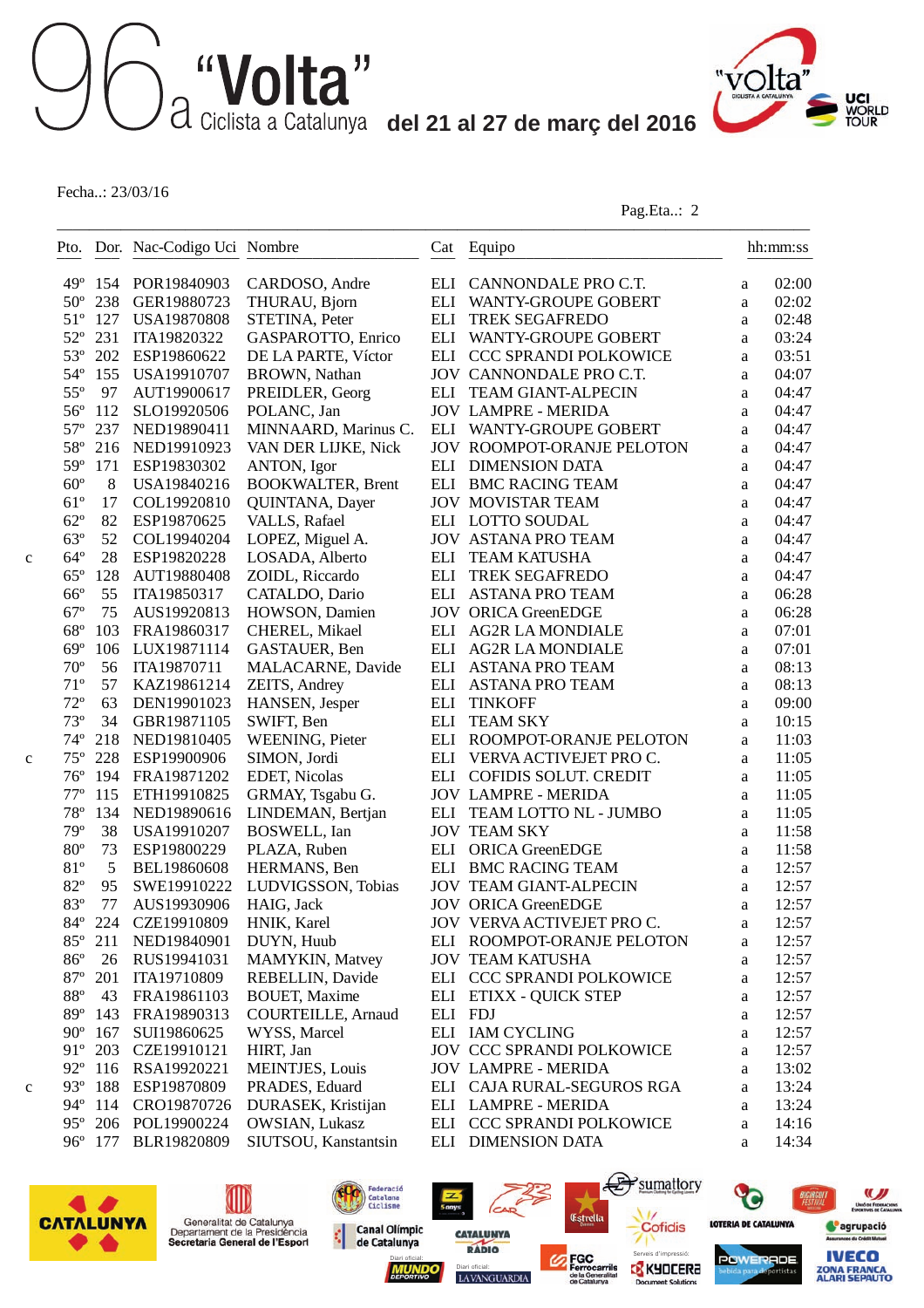

Fecha..: 23/03/16

Pag.Eta..: 2

|              |     | Pto. Dor. Nac-Codigo Uci Nombre |                           |         | Cat Equipo                        |          | hh:mm:ss |
|--------------|-----|---------------------------------|---------------------------|---------|-----------------------------------|----------|----------|
| $49^\circ$   | 154 | POR19840903                     | CARDOSO, Andre            |         | ELI CANNONDALE PRO C.T.           | a        | 02:00    |
| $50^{\circ}$ | 238 | GER19880723                     | THURAU, Bjorn             |         | ELI WANTY-GROUPE GOBERT           | a        | 02:02    |
| $51^{\circ}$ | 127 | <b>USA19870808</b>              | STETINA, Peter            |         | ELI TREK SEGAFREDO                | a        | 02:48    |
| $52^{\circ}$ | 231 | ITA19820322                     | GASPAROTTO, Enrico        |         | ELI WANTY-GROUPE GOBERT           | a        | 03:24    |
| $53^{\circ}$ | 202 | ESP19860622                     | DE LA PARTE, Víctor       |         | ELI CCC SPRANDI POLKOWICE         | a        | 03:51    |
| $54^\circ$   | 155 | USA19910707                     | <b>BROWN</b> , Nathan     |         | JOV CANNONDALE PRO C.T.           | a        | 04:07    |
| $55^{\circ}$ | 97  | AUT19900617                     | PREIDLER, Georg           |         | ELI TEAM GIANT-ALPECIN            | a        | 04:47    |
| $56^{\circ}$ | 112 | SLO19920506                     | POLANC, Jan               |         | <b>JOV LAMPRE - MERIDA</b>        | a        | 04:47    |
| $57^{\circ}$ | 237 | NED19890411                     | MINNAARD, Marinus C.      |         | ELI WANTY-GROUPE GOBERT           | a        | 04:47    |
| $58^{\circ}$ | 216 | NED19910923                     | VAN DER LIJKE, Nick       |         | <b>JOV ROOMPOT-ORANJE PELOTON</b> | a        | 04:47    |
| 59°          | 171 | ESP19830302                     | ANTON, Igor               |         | ELI DIMENSION DATA                | a        | 04:47    |
| $60^{\circ}$ | 8   | USA19840216                     | <b>BOOKWALTER, Brent</b>  |         | ELI BMC RACING TEAM               | a        | 04:47    |
| $61^{\circ}$ | 17  | COL19920810                     | QUINTANA, Dayer           |         | <b>JOV MOVISTAR TEAM</b>          | a        | 04:47    |
| $62^{\circ}$ | 82  | ESP19870625                     | VALLS, Rafael             |         | ELI LOTTO SOUDAL                  | a        | 04:47    |
| $63^\circ$   | 52  | COL19940204                     | LOPEZ, Miguel A.          |         | <b>JOV ASTANA PRO TEAM</b>        | a        | 04:47    |
| $64^{\circ}$ | 28  | ESP19820228                     | LOSADA, Alberto           |         | ELI TEAM KATUSHA                  | a        | 04:47    |
| $65^{\circ}$ | 128 | AUT19880408                     | ZOIDL, Riccardo           |         | ELI TREK SEGAFREDO                | a        | 04:47    |
| $66^{\circ}$ | 55  | ITA19850317                     | CATALDO, Dario            |         | ELI ASTANA PRO TEAM               | a        | 06:28    |
| $67^\circ$   | 75  | AUS19920813                     | HOWSON, Damien            |         | <b>JOV ORICA GreenEDGE</b>        | a        | 06:28    |
| $68^{\circ}$ | 103 | FRA19860317                     | CHEREL, Mikael            |         | ELI AG2R LA MONDIALE              | a        | 07:01    |
| $69^\circ$   | 106 | LUX19871114                     | GASTAUER, Ben             |         | ELI AG2R LA MONDIALE              | a        | 07:01    |
| $70^{\circ}$ | 56  | ITA19870711                     | MALACARNE, Davide         |         | ELI ASTANA PRO TEAM               | a        | 08:13    |
| $71^{\circ}$ | 57  | KAZ19861214                     | ZEITS, Andrey             |         | ELI ASTANA PRO TEAM               | a        | 08:13    |
| $72^{\circ}$ | 63  | DEN19901023                     | HANSEN, Jesper            | ELI     | <b>TINKOFF</b>                    | a        | 09:00    |
| $73^{\circ}$ | 34  | GBR19871105                     | SWIFT, Ben                | ELI     | <b>TEAM SKY</b>                   | a        | 10:15    |
| $74^{\circ}$ | 218 | NED19810405                     | <b>WEENING, Pieter</b>    |         | ELI ROOMPOT-ORANJE PELOTON        | a        | 11:03    |
| $75^{\circ}$ | 228 | ESP19900906                     | SIMON, Jordi              |         | ELI VERVA ACTIVEJET PRO C.        | a        | 11:05    |
| $76^{\circ}$ | 194 | FRA19871202                     | EDET, Nicolas             |         | ELI COFIDIS SOLUT. CREDIT         | a        | 11:05    |
| $77^{\circ}$ | 115 | ETH19910825                     | GRMAY, Tsgabu G.          |         | <b>JOV LAMPRE - MERIDA</b>        | a        | 11:05    |
| $78^{\circ}$ | 134 | NED19890616                     | LINDEMAN, Bertjan         |         | ELI TEAM LOTTO NL - JUMBO         | a        | 11:05    |
| 79°          | 38  | USA19910207                     | <b>BOSWELL</b> , Ian      |         | <b>JOV TEAM SKY</b>               | a        | 11:58    |
| $80^{\circ}$ | 73  | ESP19800229                     | PLAZA, Ruben              | ELI     | <b>ORICA GreenEDGE</b>            | a        | 11:58    |
| 81°          | 5   | BEL19860608                     | HERMANS, Ben              |         | ELI BMC RACING TEAM               | a        | 12:57    |
| $82^{\circ}$ | 95  | SWE19910222                     | LUDVIGSSON, Tobias        |         | <b>JOV TEAM GIANT-ALPECIN</b>     | a        | 12:57    |
| 83°          | 77  | AUS19930906                     | HAIG, Jack                |         | <b>JOV ORICA GreenEDGE</b>        | a        | 12:57    |
| $84^{\circ}$ |     | 224 CZE19910809                 | HNIK, Karel               |         | JOV VERVA ACTIVEJET PRO C.        | a        | 12:57    |
| $85^{\circ}$ | 211 | NED19840901                     | DUYN, Huub                |         | ELI ROOMPOT-ORANJE PELOTON        | a        | 12:57    |
| $86^{\circ}$ | 26  | RUS19941031                     | MAMYKIN, Matvey           |         | <b>JOV TEAM KATUSHA</b>           | a        | 12:57    |
| $87^{\circ}$ | 201 | ITA19710809                     | REBELLIN, Davide          |         | ELI CCC SPRANDI POLKOWICE         | a        | 12:57    |
| $88^{\circ}$ | 43  | FRA19861103                     | <b>BOUET, Maxime</b>      |         | ELI ETIXX - QUICK STEP            | a        | 12:57    |
| $89^\circ$   | 143 | FRA19890313                     | <b>COURTEILLE, Arnaud</b> | ELI FDJ |                                   | a        | 12:57    |
| $90^\circ$   | 167 | SUI19860625                     | WYSS, Marcel              |         | ELI IAM CYCLING                   | a        | 12:57    |
| $91^{\circ}$ | 203 | CZE19910121                     | HIRT, Jan                 |         | JOV CCC SPRANDI POLKOWICE         | a        | 12:57    |
| $92^{\circ}$ | 116 | RSA19920221                     | <b>MEINTJES, Louis</b>    |         | <b>JOV LAMPRE - MERIDA</b>        | a        | 13:02    |
| $93^\circ$   | 188 | ESP19870809                     | PRADES, Eduard            |         | ELI CAJA RURAL-SEGUROS RGA        | $\rm{a}$ | 13:24    |
| $94^{\circ}$ | 114 | CRO19870726                     | DURASEK, Kristijan        |         | ELI LAMPRE - MERIDA               | a        | 13:24    |
| $95^\circ$   | 206 | POL19900224                     | OWSIAN, Lukasz            |         | ELI CCC SPRANDI POLKOWICE         | a        | 14:16    |
| $96^{\circ}$ | 177 | BLR19820809                     | SIUTSOU, Kanstantsin      |         | ELI DIMENSION DATA                | a        | 14:34    |







LAVANGUARDIA

**CATALUNYA** 

(ca



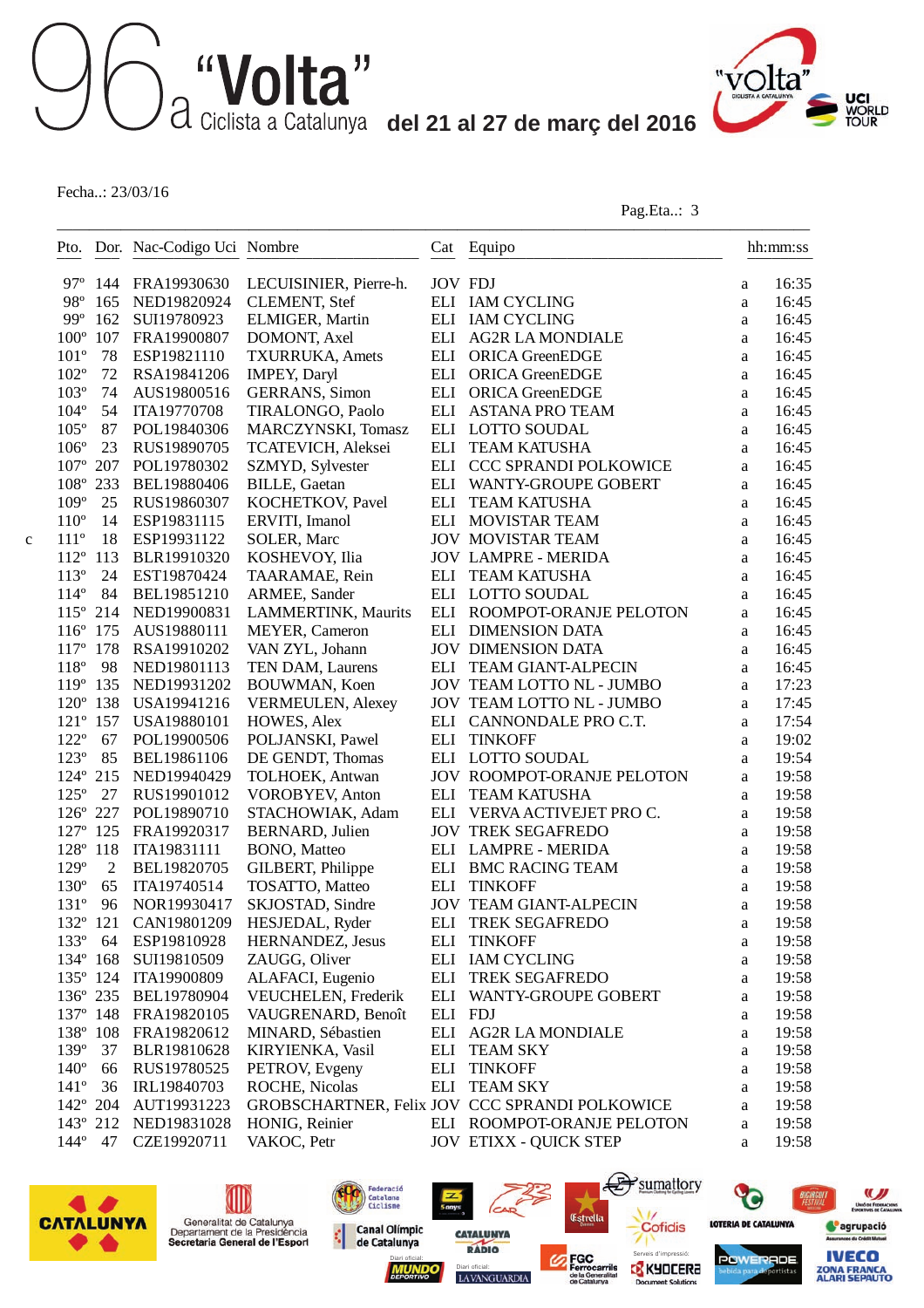

Fecha..: 23/03/16

Pag.Eta..: 3

|               |                   | Pto. Dor. Nac-Codigo Uci Nombre |                          |                | Cat Equipo<br>___________________              |              | hh:mm:ss |
|---------------|-------------------|---------------------------------|--------------------------|----------------|------------------------------------------------|--------------|----------|
| $97^\circ$    |                   | 144 FRA19930630                 | LECUISINIER, Pierre-h.   | <b>JOV FDJ</b> |                                                | a            | 16:35    |
| 98°           | 165               | NED19820924                     | <b>CLEMENT, Stef</b>     |                | ELI IAM CYCLING                                | a            | 16:45    |
| $99^\circ$    | 162               | SUI19780923                     | ELMIGER, Martin          |                | ELI IAM CYCLING                                | a            | 16:45    |
| $100^{\circ}$ | 107               | FRA19900807                     | DOMONT, Axel             |                | ELI AG2R LA MONDIALE                           | a            | 16:45    |
| $101^{\circ}$ | 78                | ESP19821110                     | <b>TXURRUKA, Amets</b>   | ELI            | ORICA GreenEDGE                                | a            | 16:45    |
| $102^{\circ}$ | 72                | RSA19841206                     | <b>IMPEY, Daryl</b>      | ELI            | ORICA GreenEDGE                                | a            | 16:45    |
| $103^{\circ}$ | 74                | AUS19800516                     | <b>GERRANS</b> , Simon   | ELI            | <b>ORICA GreenEDGE</b>                         | a            | 16:45    |
| $104^{\circ}$ | 54                | ITA19770708                     | TIRALONGO, Paolo         |                | ELI ASTANA PRO TEAM                            | a            | 16:45    |
| $105^{\circ}$ | 87                | POL19840306                     | MARCZYNSKI, Tomasz       |                | ELI LOTTO SOUDAL                               | a            | 16:45    |
| $106^{\circ}$ | 23                | RUS19890705                     | TCATEVICH, Aleksei       | ELI            | <b>TEAM KATUSHA</b>                            | a            | 16:45    |
| $107^{\circ}$ | 207               | POL19780302                     | SZMYD, Sylvester         | ELI            | CCC SPRANDI POLKOWICE                          | a            | 16:45    |
| 108°          | 233               | BEL19880406                     | <b>BILLE, Gaetan</b>     | ELI            | WANTY-GROUPE GOBERT                            | a            | 16:45    |
| $109^\circ$   | 25                | RUS19860307                     | KOCHETKOV, Pavel         | ELI            | <b>TEAM KATUSHA</b>                            | a            | 16:45    |
| $110^{\circ}$ | 14                | ESP19831115                     | ERVITI, Imanol           |                | ELI MOVISTAR TEAM                              | a            | 16:45    |
| $111^{\circ}$ | 18                | ESP19931122                     | SOLER, Marc              |                | <b>JOV MOVISTAR TEAM</b>                       | a            | 16:45    |
| $112^{\circ}$ | 113               | BLR19910320                     | KOSHEVOY, Ilia           |                | <b>JOV LAMPRE - MERIDA</b>                     | a            | 16:45    |
| $113^{\circ}$ | 24                | EST19870424                     | TAARAMAE, Rein           | ELI            | <b>TEAM KATUSHA</b>                            | a            | 16:45    |
| $114^{\circ}$ | 84                | BEL19851210                     | ARMEE, Sander            |                | ELI LOTTO SOUDAL                               | a            | 16:45    |
| $115^{\circ}$ | 214               | NED19900831                     | LAMMERTINK, Maurits      |                | ELI ROOMPOT-ORANJE PELOTON                     | $\mathbf{a}$ | 16:45    |
| $116^{\circ}$ | 175               | AUS19880111                     | MEYER, Cameron           |                | ELI DIMENSION DATA                             | a            | 16:45    |
| $117^{\circ}$ | 178               | RSA19910202                     | VAN ZYL, Johann          |                | <b>JOV DIMENSION DATA</b>                      | a            | 16:45    |
| $118^{\circ}$ | 98                | NED19801113                     | TEN DAM, Laurens         |                | ELI TEAM GIANT-ALPECIN                         | a            | 16:45    |
| 119°          | 135               | NED19931202                     | BOUWMAN, Koen            |                | JOV TEAM LOTTO NL - JUMBO                      | a            | 17:23    |
| $120^{\circ}$ | 138               | USA19941216                     | <b>VERMEULEN, Alexey</b> |                | JOV TEAM LOTTO NL - JUMBO                      | a            | 17:45    |
|               | 121° 157          | USA19880101                     | HOWES, Alex              |                | ELI CANNONDALE PRO C.T.                        | a            | 17:54    |
| $122^{\circ}$ | 67                | POL19900506                     | POLJANSKI, Pawel         | ELI            | <b>TINKOFF</b>                                 | a            | 19:02    |
| $123^\circ$   | 85                | BEL19861106                     | DE GENDT, Thomas         |                | ELI LOTTO SOUDAL                               | a            | 19:54    |
| $124^{\circ}$ | 215               | NED19940429                     | TOLHOEK, Antwan          |                | JOV ROOMPOT-ORANJE PELOTON                     | a            | 19:58    |
| $125^\circ$   | 27                | RUS19901012                     | <b>VOROBYEV, Anton</b>   | ELI            | <b>TEAM KATUSHA</b>                            | a            | 19:58    |
|               | 126° 227          | POL19890710                     | STACHOWIAK, Adam         |                | ELI VERVA ACTIVEJET PRO C.                     | a            | 19:58    |
|               | 127° 125          | FRA19920317                     | <b>BERNARD</b> , Julien  |                | <b>JOV TREK SEGAFREDO</b>                      | a            | 19:58    |
| 128° 118      |                   | ITA19831111                     | BONO, Matteo             |                | ELI LAMPRE - MERIDA                            | a            | 19:58    |
| 129°          | $\overline{2}$    | BEL19820705                     | GILBERT, Philippe        |                | ELI BMC RACING TEAM                            | a            | 19:58    |
| $130^\circ$   | 65                | ITA19740514                     | TOSATTO, Matteo          | ELI            | <b>TINKOFF</b>                                 | a            | 19:58    |
| $131^{\circ}$ | 96                | NOR19930417                     | SKJOSTAD, Sindre         |                | <b>JOV TEAM GIANT-ALPECIN</b>                  | a            | 19:58    |
| 132° 121      |                   | CAN19801209                     | HESJEDAL, Ryder          |                | ELI TREK SEGAFREDO                             | a            | 19:58    |
| $133^\circ$   | 64                | ESP19810928                     | HERNANDEZ, Jesus         | ELI            | <b>TINKOFF</b>                                 | a            | 19:58    |
| 134° 168      |                   | SUI19810509                     | ZAUGG, Oliver            |                | ELI IAM CYCLING                                | a            | 19:58    |
|               |                   | 135° 124 ITA19900809            | ALAFACI, Eugenio         | ELI            | <b>TREK SEGAFREDO</b>                          | a            | 19:58    |
|               | 136° 235          | BEL19780904                     | VEUCHELEN, Frederik      |                | ELI WANTY-GROUPE GOBERT                        | a            | 19:58    |
|               | $137^{\circ}$ 148 | FRA19820105                     | VAUGRENARD, Benoît       | ELI FDJ        |                                                | a            | 19:58    |
| 138° 108      |                   | FRA19820612                     | MINARD, Sébastien        |                | ELI AG2R LA MONDIALE                           | a            | 19:58    |
| 139°          | 37                | BLR19810628                     | KIRYIENKA, Vasil         |                | ELI TEAM SKY                                   | a            | 19:58    |
| $140^\circ$   | 66                | RUS19780525                     | PETROV, Evgeny           | ELI            | <b>TINKOFF</b>                                 | a            | 19:58    |
| $141^{\circ}$ | 36                | IRL19840703                     | ROCHE, Nicolas           |                | ELI TEAM SKY                                   | a            | 19:58    |
| $142^{\circ}$ | 204               | AUT19931223                     |                          |                | GROBSCHARTNER, Felix JOV CCC SPRANDI POLKOWICE | a            | 19:58    |
|               |                   |                                 |                          |                |                                                |              |          |
| 143° 212      |                   | NED19831028                     | HONIG, Reinier           |                | ELI ROOMPOT-ORANJE PELOTON                     | a            | 19:58    |

LAVANGUARDIA

**CATALUNYA** 

(ca

Federació<br>Catalana<br>Ciclisme

**Canal Olímpic** 

de Catalunya

¢

Diari oficial: **Serveis d'impressió: Serveis d'impressió:** 

Estrella



(III)

Generalitat de Catalunya<br>Departament de la Presidència<br>Secretaria General de l'Esport



**POWERADE** 

sumattory

Cofidis

nt Soluti

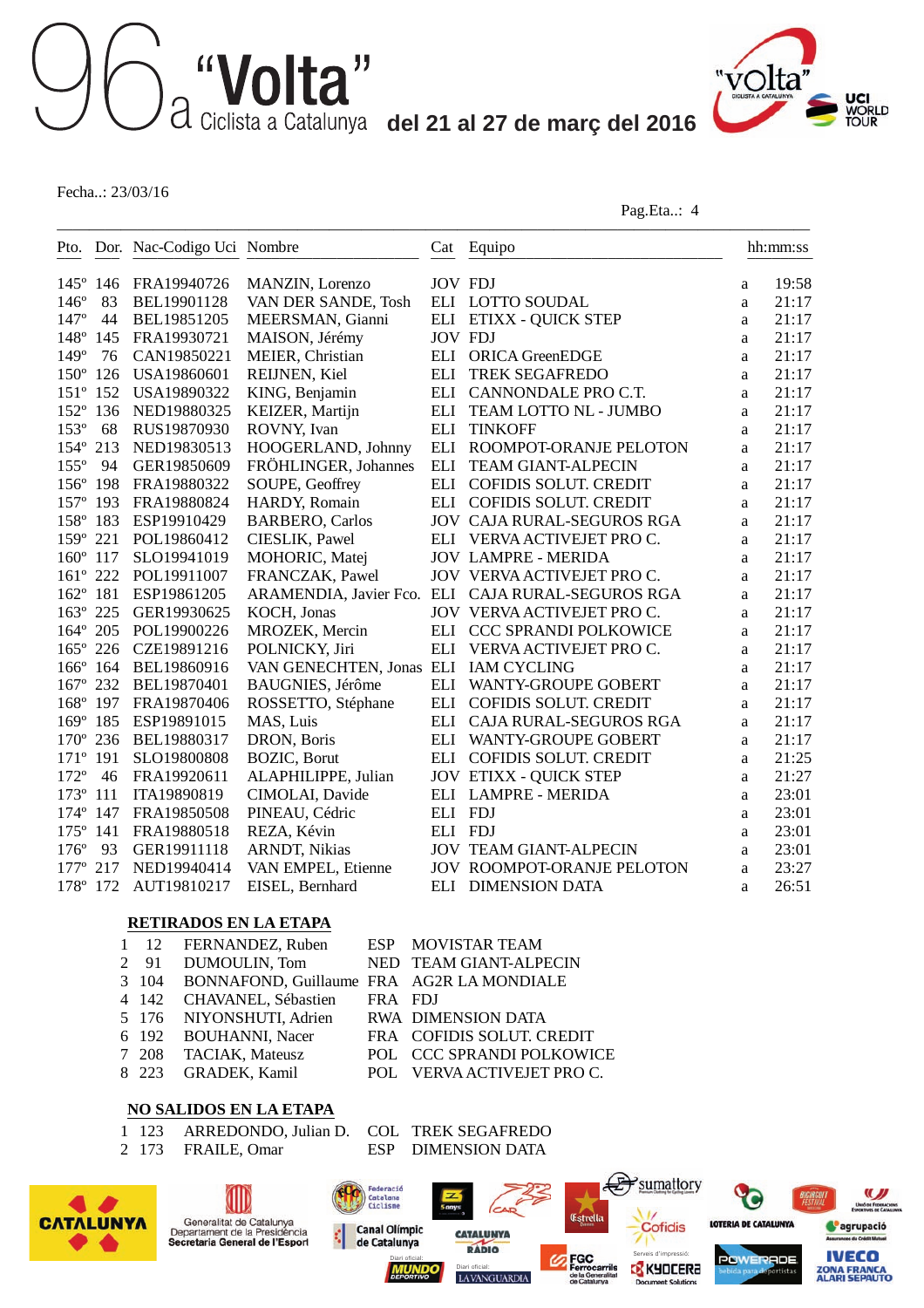———————————————————————————————————————————————



Fecha..: 23/03/16

Pag.Eta..: 4

|                   |     | Pto. Dor. Nac-Codigo Uci Nombre |                                      |                | Cat Equipo                                        |   | hh:mm:ss |
|-------------------|-----|---------------------------------|--------------------------------------|----------------|---------------------------------------------------|---|----------|
| $145^{\circ}$ 146 |     | FRA19940726                     | MANZIN, Lorenzo                      | <b>JOV FDJ</b> |                                                   | a | 19:58    |
| $146^\circ$       | 83  | BEL19901128                     | VAN DER SANDE, Tosh                  |                | ELI LOTTO SOUDAL                                  | a | 21:17    |
| $147^{\circ}$     | 44  | BEL19851205                     | MEERSMAN, Gianni                     |                | ELI ETIXX - QUICK STEP                            | a | 21:17    |
| $148^\circ$       | 145 | FRA19930721                     | MAISON, Jérémy                       | <b>JOV FDJ</b> |                                                   | a | 21:17    |
| $149^\circ$       | 76  | CAN19850221                     | MEIER, Christian                     | ELI            | <b>ORICA GreenEDGE</b>                            | a | 21:17    |
| $150^\circ$       | 126 | USA19860601                     | REIJNEN, Kiel                        | <b>ELI</b>     | <b>TREK SEGAFREDO</b>                             | a | 21:17    |
| $151^{\circ}$     | 152 | USA19890322                     | KING, Benjamin                       | ELI            | CANNONDALE PRO C.T.                               | a | 21:17    |
| $152^{\circ}$     | 136 | NED19880325                     | KEIZER, Martijn                      | ELI            | TEAM LOTTO NL - JUMBO                             | a | 21:17    |
| $153^{\circ}$     | 68  | RUS19870930                     | ROVNY, Ivan                          | ELI            | <b>TINKOFF</b>                                    | a | 21:17    |
| $154^\circ$       | 213 | NED19830513                     | HOOGERLAND, Johnny                   | ELI            | ROOMPOT-ORANJE PELOTON                            | a | 21:17    |
| $155^\circ$       | 94  | GER19850609                     | FRÖHLINGER, Johannes                 | ELI            | <b>TEAM GIANT-ALPECIN</b>                         | a | 21:17    |
| $156^\circ$       | 198 | FRA19880322                     | SOUPE, Geoffrey                      | ELI            | COFIDIS SOLUT. CREDIT                             | a | 21:17    |
| $157^\circ$       | 193 | FRA19880824                     | HARDY, Romain                        |                | ELI COFIDIS SOLUT. CREDIT                         | a | 21:17    |
| 158° 183          |     | ESP19910429                     | <b>BARBERO, Carlos</b>               |                | <b>JOV CAJA RURAL-SEGUROS RGA</b>                 | a | 21:17    |
| $159^\circ$       | 221 | POL19860412                     | CIESLIK, Pawel                       |                | ELI VERVA ACTIVEJET PRO C.                        | a | 21:17    |
| $160^\circ$       | 117 | SLO19941019                     | MOHORIC, Matej                       |                | <b>JOV LAMPRE - MERIDA</b>                        | a | 21:17    |
| $161^{\circ}$     | 222 | POL19911007                     | FRANCZAK, Pawel                      |                | JOV VERVA ACTIVEJET PRO C.                        | a | 21:17    |
| $162^{\circ}$     | 181 | ESP19861205                     |                                      |                | ARAMENDIA, Javier Fco. ELI CAJA RURAL-SEGUROS RGA | a | 21:17    |
| $163^\circ$       | 225 | GER19930625                     | KOCH, Jonas                          |                | JOV VERVA ACTIVEJET PRO C.                        | a | 21:17    |
| $164^{\circ}$     | 205 | POL19900226                     | MROZEK, Mercin                       | ELI            | CCC SPRANDI POLKOWICE                             | a | 21:17    |
| $165^\circ$       | 226 | CZE19891216                     | POLNICKY, Jiri                       | ELI            | VERVA ACTIVEJET PRO C.                            | a | 21:17    |
| 166° 164          |     | BEL19860916                     | VAN GENECHTEN, Jonas ELI IAM CYCLING |                |                                                   | a | 21:17    |
| $167^{\circ}$     | 232 | BEL19870401                     | <b>BAUGNIES</b> , Jérôme             | ELI            | WANTY-GROUPE GOBERT                               | a | 21:17    |
| $168^\circ$       | 197 | FRA19870406                     | ROSSETTO, Stéphane                   | ELI            | COFIDIS SOLUT. CREDIT                             | a | 21:17    |
| $169^{\circ}$     | 185 | ESP19891015                     | MAS, Luis                            | ELI            | CAJA RURAL-SEGUROS RGA                            | a | 21:17    |
| $170^\circ$       | 236 | BEL19880317                     | DRON, Boris                          | ELI            | <b>WANTY-GROUPE GOBERT</b>                        | a | 21:17    |
| $171^{\circ}$     | 191 | SLO19800808                     | <b>BOZIC</b> , Borut                 | ELI            | COFIDIS SOLUT. CREDIT                             | a | 21:25    |
| $172^{\circ}$     | 46  | FRA19920611                     | ALAPHILIPPE, Julian                  |                | <b>JOV ETIXX - QUICK STEP</b>                     | a | 21:27    |
| $173^{\circ}$     | 111 | ITA19890819                     | CIMOLAI, Davide                      |                | ELI LAMPRE - MERIDA                               | a | 23:01    |
| $174^\circ$       | 147 | FRA19850508                     | PINEAU, Cédric                       | ELI FDJ        |                                                   | a | 23:01    |
| $175^\circ$       | 141 | FRA19880518                     | REZA, Kévin                          | ELI FDJ        |                                                   | a | 23:01    |
| $176^\circ$       | 93  | GER19911118                     | <b>ARNDT, Nikias</b>                 |                | <b>JOV TEAM GIANT-ALPECIN</b>                     | a | 23:01    |
| $177^{\circ}$     | 217 | NED19940414                     | VAN EMPEL, Etienne                   |                | <b>JOV ROOMPOT-ORANJE PELOTON</b>                 | a | 23:27    |
| 178° 172          |     | AUT19810217                     | EISEL, Bernhard                      |                | ELI DIMENSION DATA                                | a | 26:51    |

#### **RETIRADOS EN LA ETAPA**

|  | 1 12 FERNANDEZ, Ruben ESP MOVISTAR TEAM         |         |                            |
|--|-------------------------------------------------|---------|----------------------------|
|  | 2 91 DUMOULIN, Tom                              |         | NED TEAM GIANT-ALPECIN     |
|  | 3 104 BONNAFOND, Guillaume FRA AG2R LA MONDIALE |         |                            |
|  | 4 142 CHAVANEL, Sébastien                       | FRA FDJ |                            |
|  | 5 176 NIYONSHUTI, Adrien                        |         | RWA DIMENSION DATA         |
|  | 6 192 BOUHANNI, Nacer                           |         | FRA COFIDIS SOLUT. CREDIT  |
|  | 7 208 TACIAK, Mateusz                           |         | POL CCC SPRANDI POLKOWICE  |
|  | 8 223 GRADEK, Kamil                             |         | POL VERVA ACTIVEJET PRO C. |
|  |                                                 |         |                            |

#### **NO SALIDOS EN LA ETAPA**

- 1 123 ARREDONDO, Julian D. COL TREK SEGAFREDO<br>2 173 FRAILE, Omar ESP DIMENSION DATA
- 

WIU **CATALUNYA** 

 $\bullet$ 

ESP DIMENSION DATA

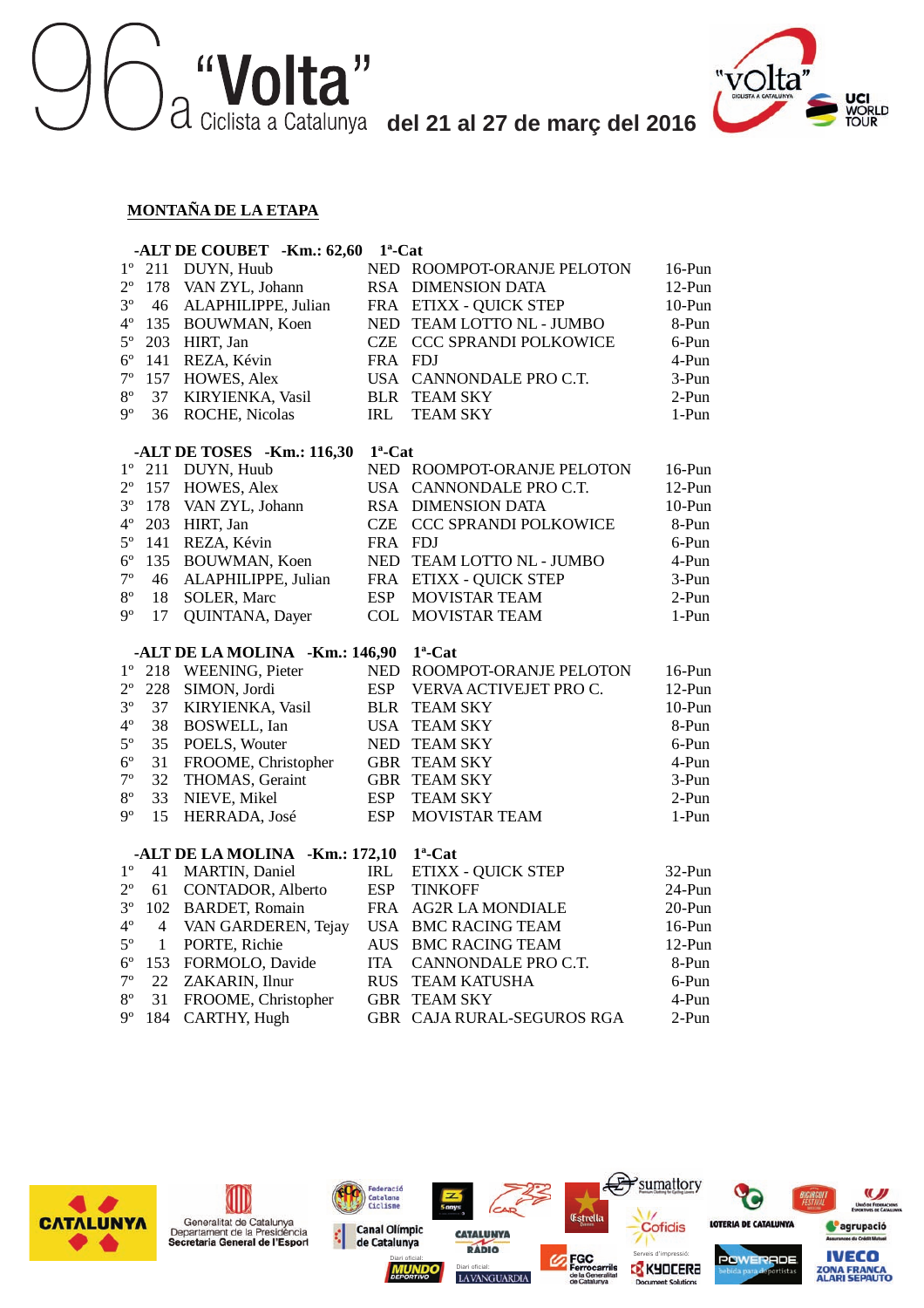



#### **MONTAÑA DE LA ETAPA**

|             |                | -ALT DE COUBET -Km.: 62,60                              | $1^a$ -Cat               |                                 |                       |
|-------------|----------------|---------------------------------------------------------|--------------------------|---------------------------------|-----------------------|
| $1^{\circ}$ | 211            | DUYN, Huub                                              |                          | NED ROOMPOT-ORANJE PELOTON      | $16$ -Pun             |
| $2^{\circ}$ | 178            | VAN ZYL, Johann                                         | <b>RSA</b>               | <b>DIMENSION DATA</b>           | $12-Pun$              |
| $3^{\circ}$ | 46             | ALAPHILIPPE, Julian                                     | FRA                      | <b>ETIXX - QUICK STEP</b>       | $10-Pun$              |
| $4^{\circ}$ | 135            | BOUWMAN, Koen                                           | <b>NED</b>               | TEAM LOTTO NL - JUMBO           | 8-Pun                 |
| $5^{\circ}$ | 203            | HIRT, Jan                                               | <b>CZE</b>               | CCC SPRANDI POLKOWICE           | 6-Pun                 |
| $6^{\circ}$ | 141            | REZA, Kévin                                             | FRA FDJ                  |                                 | 4-Pun                 |
| $7^{\circ}$ | 157            | HOWES, Alex                                             |                          | USA CANNONDALE PRO C.T.         | 3-Pun                 |
| $8^{\rm o}$ | 37             | KIRYIENKA, Vasil                                        | <b>BLR</b>               | <b>TEAM SKY</b>                 | 2-Pun                 |
| $9^{\circ}$ | 36             | ROCHE, Nicolas                                          | <b>IRL</b>               | <b>TEAM SKY</b>                 | 1-Pun                 |
|             |                | -ALT DE TOSES -Km.: 116,30                              | $1^a$ -Cat               |                                 |                       |
| $1^{\circ}$ | 211            | DUYN, Huub                                              |                          | NED ROOMPOT-ORANJE PELOTON      | $16-Pun$              |
| $2^{\circ}$ | 157            | HOWES, Alex                                             | USA.                     | CANNONDALE PRO C.T.             | $12-Pun$              |
| $3^{\circ}$ | 178            | VAN ZYL, Johann                                         |                          | RSA DIMENSION DATA              | $10-Pun$              |
| $4^{\circ}$ | 203            | HIRT, Jan                                               | <b>CZE</b>               | <b>CCC SPRANDI POLKOWICE</b>    | 8-Pun                 |
| $5^{\circ}$ | 141            | REZA, Kévin                                             | FRA FDJ                  |                                 | 6-Pun                 |
| $6^{\circ}$ | 135            | BOUWMAN, Koen                                           |                          | NED TEAM LOTTO NL - JUMBO       | 4-Pun                 |
| $7^{\circ}$ | 46             | ALAPHILIPPE, Julian                                     |                          | FRA ETIXX - QUICK STEP          | 3-Pun                 |
| $8^{\circ}$ | 18             | SOLER, Marc                                             | <b>ESP</b>               | <b>MOVISTAR TEAM</b>            | 2-Pun                 |
| 9°          | 17             | QUINTANA, Dayer                                         | <b>COL</b>               | <b>MOVISTAR TEAM</b>            | 1-Pun                 |
|             |                | -ALT DE LA MOLINA -Km.: 146,90                          |                          | $1^a$ -Cat                      |                       |
| $1^{\rm o}$ | 218            | WEENING, Pieter                                         | <b>NED</b>               | ROOMPOT-ORANJE PELOTON          | 16-Pun                |
| $2^{\circ}$ | 228            | SIMON, Jordi                                            | <b>ESP</b>               | VERVA ACTIVEJET PRO C.          | $12-Pun$              |
| $3^{\circ}$ | 37             | KIRYIENKA, Vasil                                        | <b>BLR</b>               | <b>TEAM SKY</b>                 | $10-Pun$              |
| $4^{\circ}$ | 38             | BOSWELL, Ian                                            | <b>USA</b>               | <b>TEAM SKY</b>                 | 8-Pun                 |
| $5^{\circ}$ | 35             | POELS, Wouter                                           |                          | NED TEAM SKY                    | 6-Pun                 |
| $6^{\circ}$ | 31             | FROOME, Christopher                                     |                          | <b>GBR TEAM SKY</b>             | 4-Pun                 |
| $7^{\circ}$ | 32             | THOMAS, Geraint                                         |                          | <b>GBR TEAM SKY</b>             | $3-Pun$               |
| $8^{\rm o}$ | 33             | NIEVE, Mikel                                            | <b>ESP</b>               | <b>TEAM SKY</b>                 | 2-Pun                 |
| $9^{\circ}$ | 15             | HERRADA, José                                           | <b>ESP</b>               | <b>MOVISTAR TEAM</b>            | 1-Pun                 |
|             |                |                                                         |                          | $1^a$ -Cat                      |                       |
| $1^{\circ}$ | 41             | -ALT DE LA MOLINA -Km.: 172,10<br><b>MARTIN, Daniel</b> |                          | <b>ETIXX - QUICK STEP</b>       |                       |
| $2^{\circ}$ | 61             | CONTADOR, Alberto                                       | IRL<br><b>ESP</b>        | <b>TINKOFF</b>                  | $32-Pun$<br>24-Pun    |
| $3^{\circ}$ | 102            | <b>BARDET, Romain</b>                                   | <b>FRA</b>               | <b>AG2R LA MONDIALE</b>         | $20-Pun$              |
| $4^{\circ}$ | $\overline{4}$ | VAN GARDEREN, Tejay                                     |                          | <b>USA BMC RACING TEAM</b>      |                       |
| $5^{\circ}$ | 1              | PORTE, Richie                                           | <b>AUS</b>               | <b>BMC RACING TEAM</b>          | $16$ -Pun<br>$12-Pun$ |
| $6^{\circ}$ | 153            |                                                         | <b>ITA</b>               | CANNONDALE PRO C.T.             | 8-Pun                 |
| $7^{\circ}$ | 22             | FORMOLO, Davide<br>ZAKARIN, Ilnur                       |                          |                                 |                       |
| $8^{\circ}$ | 31             |                                                         | <b>RUS</b><br><b>GBR</b> | <b>TEAM KATUSHA</b><br>TEAM SKY | 6-Pun<br>4-Pun        |
| 9°          | 184            | FROOME, Christopher<br>CARTHY, Hugh                     |                          | GBR CAJA RURAL-SEGUROS RGA      | $2-Pun$               |
|             |                |                                                         |                          |                                 |                       |

LAVANGUARDIA

**CATALUNYA** 

 $CAP$ 

Federació<br>Catalana<br>Ciclisme

**Canal Olímpic** 

de Catalunya

¢

Diari oficial: **Serveis d'impressió: Serveis d'impressió:** 

Æ

Estrella

 $\mathbf{y}$ sumattory

Cofidis

nt Soluti

0)

LOTERIA DE CATALUNYA

**POWERADE** 

U)

Unio de Fe

<sup>o</sup>agrupació

**IVECO**<br>**ZONA FRANCA**<br>ALARI SEPAUTO



(III)

Generalitat de Catalunya<br>Departament de la Presidència<br>Secretaria General de l'Esport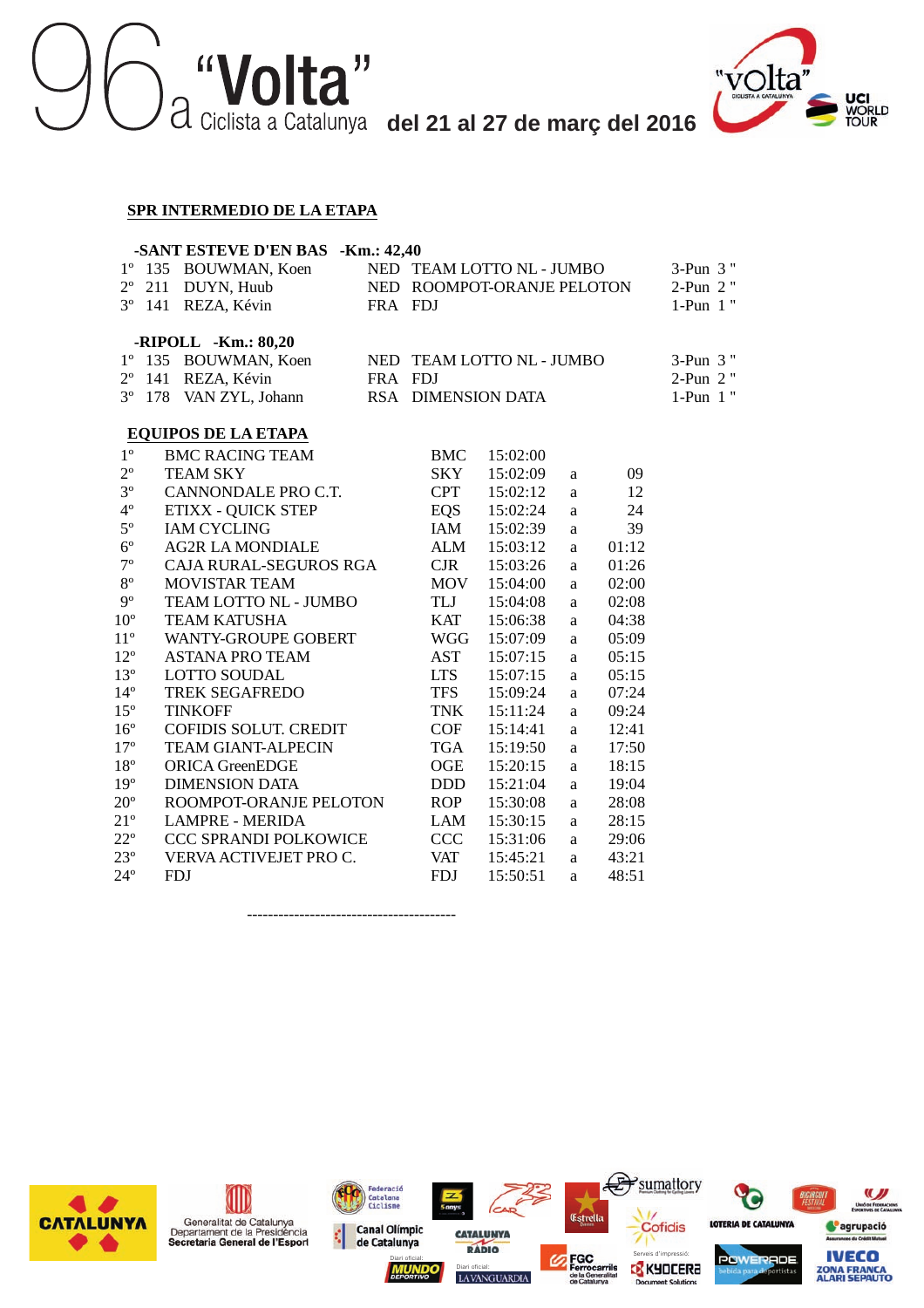



#### **SPR INTERMEDIO DE LA ETAPA**

|              | -SANT ESTEVE D'EN BAS -Km.: 42,40<br>NED TEAM LOTTO NL - JUMBO |                              |          |                            |                           |          |       |          |  |  |  |  |  |
|--------------|----------------------------------------------------------------|------------------------------|----------|----------------------------|---------------------------|----------|-------|----------|--|--|--|--|--|
| $1^{\circ}$  | 135 BOUWMAN, Koen                                              |                              | 3-Pun 3" |                            |                           |          |       |          |  |  |  |  |  |
| $2^{\circ}$  | 211                                                            | DUYN, Huub                   |          | NED ROOMPOT-ORANJE PELOTON | 2-Pun 2"                  |          |       |          |  |  |  |  |  |
| $3^{\circ}$  |                                                                | 141 REZA, Kévin              | FRA FDJ  |                            | $1-Pun 1"$                |          |       |          |  |  |  |  |  |
|              |                                                                |                              |          |                            |                           |          |       |          |  |  |  |  |  |
|              |                                                                | $-RIPOLL$ -Km.: 80,20        |          |                            |                           |          |       |          |  |  |  |  |  |
| $1^{\circ}$  |                                                                | 135 BOUWMAN, Koen            |          |                            | NED TEAM LOTTO NL - JUMBO |          |       | 3-Pun 3" |  |  |  |  |  |
| $2^{\circ}$  | 141                                                            | REZA, Kévin                  | FRA FDJ  |                            |                           |          |       | 2-Pun 2" |  |  |  |  |  |
| $3^{\circ}$  |                                                                | 178 VAN ZYL, Johann          |          | RSA DIMENSION DATA         |                           |          |       | 1-Pun 1" |  |  |  |  |  |
|              |                                                                |                              |          |                            |                           |          |       |          |  |  |  |  |  |
|              |                                                                | <b>EQUIPOS DE LA ETAPA</b>   |          |                            |                           |          |       |          |  |  |  |  |  |
| $1^{\rm o}$  |                                                                | <b>BMC RACING TEAM</b>       |          | <b>BMC</b>                 | 15:02:00                  |          |       |          |  |  |  |  |  |
| $2^{\circ}$  |                                                                | <b>TEAM SKY</b>              |          | <b>SKY</b>                 | 15:02:09                  | a        | 09    |          |  |  |  |  |  |
| $3^{\circ}$  |                                                                | CANNONDALE PRO C.T.          |          | <b>CPT</b>                 | 15:02:12                  | a        | 12    |          |  |  |  |  |  |
| $4^{\circ}$  |                                                                | <b>ETIXX - QUICK STEP</b>    |          | EQS                        | 15:02:24                  | a        | 24    |          |  |  |  |  |  |
| $5^{\circ}$  |                                                                | <b>IAM CYCLING</b>           |          | IAM                        | 15:02:39                  | a        | 39    |          |  |  |  |  |  |
| $6^{\circ}$  |                                                                | <b>AG2R LA MONDIALE</b>      |          | <b>ALM</b>                 | 15:03:12                  | a        | 01:12 |          |  |  |  |  |  |
| $7^{\circ}$  |                                                                | CAJA RURAL-SEGUROS RGA       |          | $C$ JR                     | 15:03:26                  | a        | 01:26 |          |  |  |  |  |  |
| $8^{\rm o}$  |                                                                | <b>MOVISTAR TEAM</b>         |          | MOV                        | 15:04:00                  | a        | 02:00 |          |  |  |  |  |  |
| $9^{\circ}$  |                                                                | TEAM LOTTO NL - JUMBO        |          | TLJ                        | 15:04:08                  | a        | 02:08 |          |  |  |  |  |  |
| $10^{\circ}$ |                                                                | <b>TEAM KATUSHA</b>          |          | KAT                        | 15:06:38                  | a        | 04:38 |          |  |  |  |  |  |
| $11^{\circ}$ |                                                                | <b>WANTY-GROUPE GOBERT</b>   |          | <b>WGG</b>                 | 15:07:09                  | a        | 05:09 |          |  |  |  |  |  |
| $12^{\circ}$ |                                                                | <b>ASTANA PRO TEAM</b>       |          | AST                        | 15:07:15                  | a        | 05:15 |          |  |  |  |  |  |
| $13^{\circ}$ |                                                                | <b>LOTTO SOUDAL</b>          |          | <b>LTS</b>                 | 15:07:15                  | a        | 05:15 |          |  |  |  |  |  |
| $14^{\circ}$ |                                                                | <b>TREK SEGAFREDO</b>        |          | <b>TFS</b>                 | 15:09:24                  | a        | 07:24 |          |  |  |  |  |  |
| $15^{\circ}$ |                                                                | <b>TINKOFF</b>               |          | <b>TNK</b>                 | 15:11:24                  | a        | 09:24 |          |  |  |  |  |  |
| $16^{\circ}$ |                                                                | <b>COFIDIS SOLUT. CREDIT</b> |          | COF                        | 15:14:41                  | a        | 12:41 |          |  |  |  |  |  |
| $17^{\circ}$ |                                                                | <b>TEAM GIANT-ALPECIN</b>    |          | <b>TGA</b>                 | 15:19:50                  | a        | 17:50 |          |  |  |  |  |  |
| $18^{\rm o}$ |                                                                | <b>ORICA GreenEDGE</b>       |          | OGE                        | 15:20:15                  | a        | 18:15 |          |  |  |  |  |  |
| $19^{\circ}$ |                                                                | <b>DIMENSION DATA</b>        |          | <b>DDD</b>                 | 15:21:04                  | a        | 19:04 |          |  |  |  |  |  |
| $20^{\circ}$ |                                                                | ROOMPOT-ORANJE PELOTON       |          | <b>ROP</b>                 | 15:30:08                  | a        | 28:08 |          |  |  |  |  |  |
| $21^{\circ}$ |                                                                | <b>LAMPRE - MERIDA</b>       |          | <b>LAM</b>                 | 15:30:15                  | a        | 28:15 |          |  |  |  |  |  |
| $22^{\circ}$ |                                                                | CCC SPRANDI POLKOWICE        |          | <b>CCC</b>                 | 15:31:06                  | $\rm{a}$ | 29:06 |          |  |  |  |  |  |
| $23^{\circ}$ |                                                                | VERVA ACTIVEJET PRO C.       |          | <b>VAT</b>                 | 15:45:21                  | a        | 43:21 |          |  |  |  |  |  |
| $24^{\circ}$ |                                                                | <b>FDJ</b>                   |          | <b>FDJ</b>                 | 15:50:51                  | a        | 48:51 |          |  |  |  |  |  |
|              |                                                                |                              |          |                            |                           |          |       |          |  |  |  |  |  |

----------------------------------------

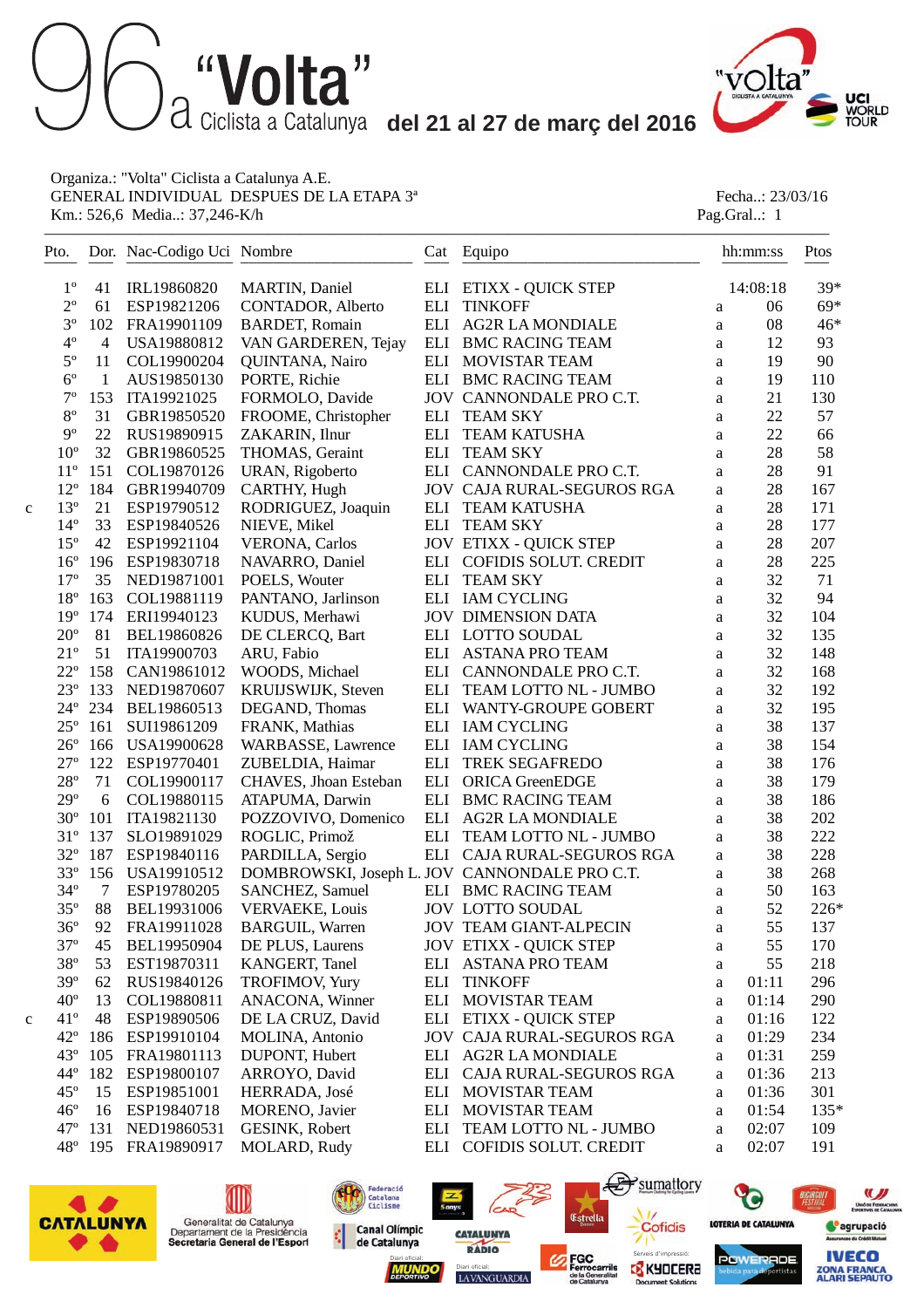—————————————————————————————————————————————————



Organiza.: "Volta" Ciclista a Catalunya A.E. GENERAL INDIVIDUAL DESPUES DE LA ETAPA 3<sup>ª</sup> Fecha..: 23/03/16<br>
Km.: 526,6 Media..: 37,246-K/h<br>
Pag.Gral..: 1 Km.: 526,6 Media..: 37,246-K/h

|   | Pto.            |                | Dor. Nac-Codigo Uci Nombre |                           | Cat | Equipo                                        |          | hh:mm:ss | Ptos   |
|---|-----------------|----------------|----------------------------|---------------------------|-----|-----------------------------------------------|----------|----------|--------|
|   | $1^{\circ}$     | 41             | IRL19860820                | <b>MARTIN, Daniel</b>     |     | ELI ETIXX - QUICK STEP                        |          | 14:08:18 | 39*    |
|   | $2^{\circ}$     | 61             | ESP19821206                | CONTADOR, Alberto         |     | <b>ELI TINKOFF</b>                            | a        | 06       | 69*    |
|   | $3^{\circ}$     | 102            | FRA19901109                | <b>BARDET, Romain</b>     |     | ELI AG2R LA MONDIALE                          | $\rm{a}$ | 08       | 46*    |
|   | $4^{\circ}$     | 4              | USA19880812                | VAN GARDEREN, Tejay       |     | ELI BMC RACING TEAM                           | a        | 12       | 93     |
|   | $5^{\circ}$     | 11             | COL19900204                | QUINTANA, Nairo           |     | ELI MOVISTAR TEAM                             | a        | 19       | 90     |
|   | $6^{\circ}$     | $\mathbf{1}$   | AUS19850130                | PORTE, Richie             |     | ELI BMC RACING TEAM                           | $\rm{a}$ | 19       | 110    |
|   | $7^{\circ}$     | 153            | ITA19921025                | FORMOLO, Davide           |     | JOV CANNONDALE PRO C.T.                       | $\rm{a}$ | 21       | 130    |
|   | $8^{\rm o}$     | 31             | GBR19850520                | FROOME, Christopher       |     | ELI TEAM SKY                                  | $\rm{a}$ | 22       | 57     |
|   | $9^{\circ}$     | 22             | RUS19890915                | ZAKARIN, Ilnur            | ELI | <b>TEAM KATUSHA</b>                           | a        | $22\,$   | 66     |
|   | $10^{\circ}$    | 32             | GBR19860525                | THOMAS, Geraint           | ELI | <b>TEAM SKY</b>                               | a        | 28       | 58     |
|   | $11^{\circ}$    | 151            | COL19870126                | URAN, Rigoberto           |     | ELI CANNONDALE PRO C.T.                       | a        | 28       | 91     |
|   | $12^{\circ}$    | 184            | GBR19940709                | CARTHY, Hugh              |     | JOV CAJA RURAL-SEGUROS RGA                    | a        | 28       | 167    |
| C | $13^{\circ}$    | 21             | ESP19790512                | RODRIGUEZ, Joaquin        | ELI | <b>TEAM KATUSHA</b>                           | $\rm{a}$ | 28       | 171    |
|   | $14^{\circ}$    | 33             | ESP19840526                | NIEVE, Mikel              |     | ELI TEAM SKY                                  | $\rm{a}$ | 28       | 177    |
|   | $15^{\circ}$    | 42             | ESP19921104                | <b>VERONA, Carlos</b>     |     | <b>JOV ETIXX - QUICK STEP</b>                 | a        | 28       | 207    |
|   | $16^{\circ}$    | 196            | ESP19830718                | NAVARRO, Daniel           |     | ELI COFIDIS SOLUT. CREDIT                     | a        | 28       | 225    |
|   | $17^{\circ}$    | 35             | NED19871001                | POELS, Wouter             |     | ELI TEAM SKY                                  | a        | 32       | 71     |
|   | $18^{\circ}$    | 163            | COL19881119                | PANTANO, Jarlinson        |     | ELI IAM CYCLING                               | a        | 32       | 94     |
|   | 19 <sup>°</sup> | 174            | ERI19940123                | KUDUS, Merhawi            |     | <b>JOV DIMENSION DATA</b>                     | $\rm{a}$ | 32       | 104    |
|   | $20^{\circ}$    | 81             | BEL19860826                | DE CLERCQ, Bart           |     | ELI LOTTO SOUDAL                              | $\rm{a}$ | 32       | 135    |
|   | $21^{\circ}$    | 51             | ITA19900703                | ARU, Fabio                |     | ELI ASTANA PRO TEAM                           | $\rm{a}$ | 32       | 148    |
|   | $22^{\circ}$    | 158            | CAN19861012                | WOODS, Michael            |     | ELI CANNONDALE PRO C.T.                       | $\rm{a}$ | 32       | 168    |
|   | $23^{\circ}$    | 133            | NED19870607                | KRUIJSWIJK, Steven        |     | ELI TEAM LOTTO NL - JUMBO                     | a        | 32       | 192    |
|   | $24^{\circ}$    | 234            | BEL19860513                | DEGAND, Thomas            |     | ELI WANTY-GROUPE GOBERT                       | a        | 32       | 195    |
|   | $25^{\circ}$    | 161            | SUI19861209                | FRANK, Mathias            |     | ELI IAM CYCLING                               | $\rm{a}$ | 38       | 137    |
|   | $26^{\circ}$    | 166            | USA19900628                | <b>WARBASSE, Lawrence</b> |     | ELI IAM CYCLING                               | a        | 38       | 154    |
|   | $27^{\circ}$    | 122            | ESP19770401                | ZUBELDIA, Haimar          | ELI | TREK SEGAFREDO                                | $\rm{a}$ | 38       | 176    |
|   | $28^{\circ}$    | 71             | COL19900117                | CHAVES, Jhoan Esteban     |     | ELI ORICA GreenEDGE                           | $\rm{a}$ | 38       | 179    |
|   | 29°             | 6              | COL19880115                | ATAPUMA, Darwin           |     | ELI BMC RACING TEAM                           | a        | 38       | 186    |
|   | $30^{\circ}$    | 101            | ITA19821130                | POZZOVIVO, Domenico       |     | ELI AG2R LA MONDIALE                          | a        | 38       | 202    |
|   | $31^{\circ}$    | 137            | SLO19891029                | ROGLIC, Primož            |     | ELI TEAM LOTTO NL - JUMBO                     | a        | 38       | 222    |
|   | $32^{\circ}$    | 187            | ESP19840116                | PARDILLA, Sergio          |     | ELI CAJA RURAL-SEGUROS RGA                    | a        | 38       | 228    |
|   | $33^{\circ}$    | 156            | USA19910512                |                           |     | DOMBROWSKI, Joseph L. JOV CANNONDALE PRO C.T. | $\rm{a}$ | 38       | 268    |
|   | $34^{\circ}$    | $\overline{7}$ | ESP19780205                | SANCHEZ, Samuel           |     | ELI BMC RACING TEAM                           | a        | 50       | 163    |
|   | $35^{\circ}$    | 88             | BEL19931006                | <b>VERVAEKE, Louis</b>    |     | <b>JOV LOTTO SOUDAL</b>                       | $\rm{a}$ | 52       | 226*   |
|   | $36^{\circ}$    | 92             | FRA19911028                | <b>BARGUIL, Warren</b>    |     | <b>JOV TEAM GIANT-ALPECIN</b>                 | a        | 55       | 137    |
|   | $37^{\circ}$    | 45             | BEL19950904                | DE PLUS, Laurens          |     | <b>JOV ETIXX - QUICK STEP</b>                 | a        | 55       | 170    |
|   | $38^{\circ}$    | 53             | EST19870311                | KANGERT, Tanel            |     | ELI ASTANA PRO TEAM                           | a        | 55       | 218    |
|   | 39°             | 62             | RUS19840126                | <b>TROFIMOV, Yury</b>     | ELI | <b>TINKOFF</b>                                | a        | 01:11    | 296    |
|   | $40^{\circ}$    | 13             | COL19880811                | ANACONA, Winner           |     | ELI MOVISTAR TEAM                             | a        | 01:14    | 290    |
| C | $41^{\circ}$    | 48             | ESP19890506                | DE LA CRUZ, David         |     | ELI ETIXX - QUICK STEP                        | a        | 01:16    | 122    |
|   | $42^{\circ}$    | 186            | ESP19910104                | MOLINA, Antonio           |     | <b>JOV CAJA RURAL-SEGUROS RGA</b>             | a        | 01:29    | 234    |
|   | $43^\circ$      | 105            | FRA19801113                | DUPONT, Hubert            |     | ELI AG2R LA MONDIALE                          | a        | 01:31    | 259    |
|   | $44^\circ$      | 182            | ESP19800107                | ARROYO, David             |     | ELI CAJA RURAL-SEGUROS RGA                    | a        | 01:36    | 213    |
|   | $45^{\circ}$    | 15             | ESP19851001                | HERRADA, José             |     | ELI MOVISTAR TEAM                             | a        | 01:36    | 301    |
|   | $46^{\circ}$    | 16             | ESP19840718                | MORENO, Javier            |     | ELI MOVISTAR TEAM                             | a        | 01:54    | $135*$ |
|   | $47^\circ$      | 131            | NED19860531                | GESINK, Robert            |     | ELI TEAM LOTTO NL - JUMBO                     | a        | 02:07    | 109    |
|   | $48^{\circ}$    | 195            | FRA19890917                | MOLARD, Rudy              |     | ELI COFIDIS SOLUT. CREDIT                     | a        | 02:07    | 191    |
|   |                 |                |                            |                           |     |                                               |          |          |        |



(III)

Generalitat de Catalunya<br>Departament de la Presidència<br>Secretaria General de l'Esport

래





ent Solutie



**IVECO** 

**ZONA FRANCA**<br>ALARI SEPAUTO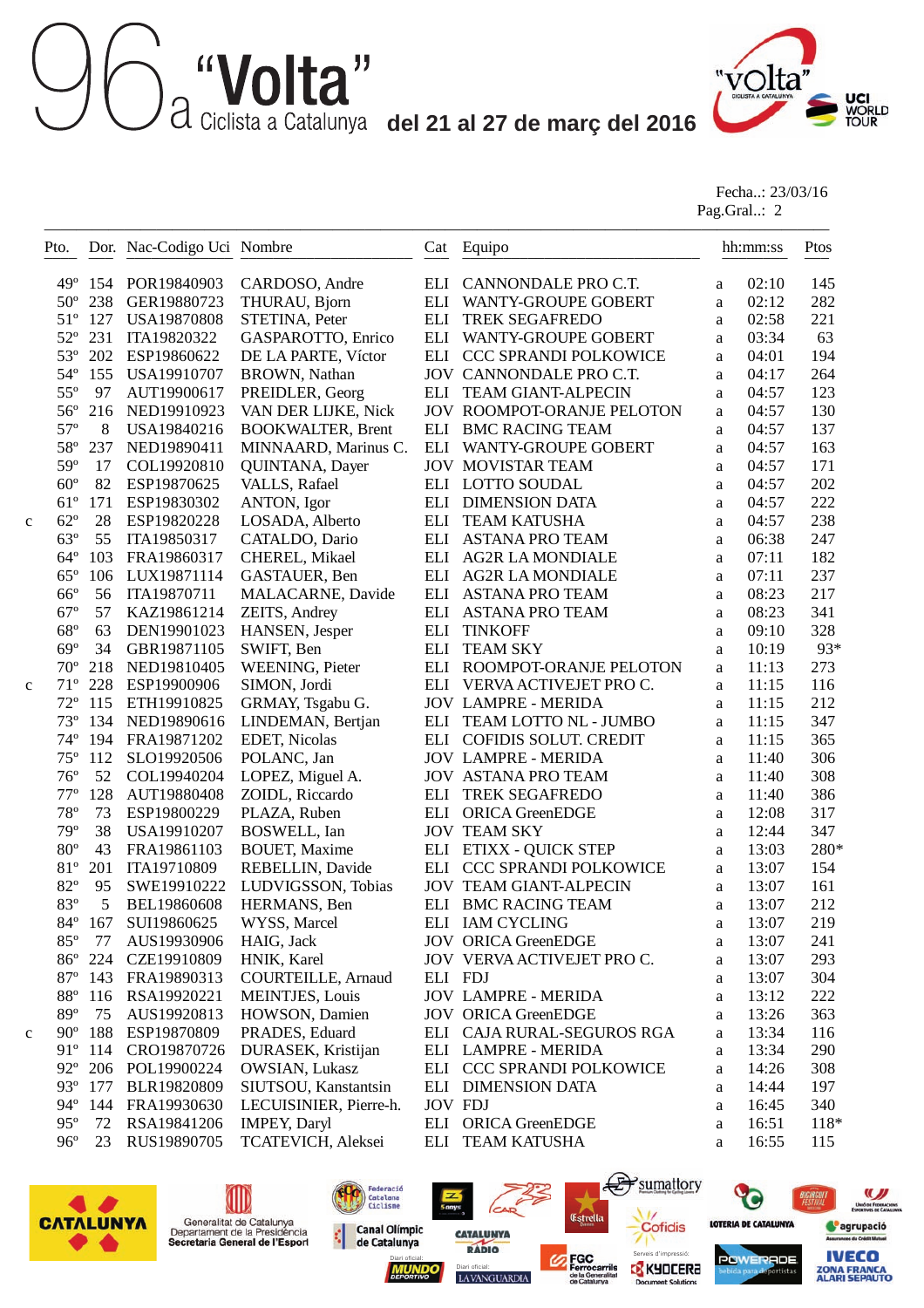**del 12 al 21 al 27 de març del 2016**<br>a Ciclista a Catalunya **del 21 al 27 de març del 2016** 



Fecha..: 23/03/16 Pag.Gral..: 2

| Pto.         |         | Dor. Nac-Codigo Uci Nombre |                           |     | Cat Equipo                    |          | hh:mm:ss | Ptos   |
|--------------|---------|----------------------------|---------------------------|-----|-------------------------------|----------|----------|--------|
| $49^\circ$   | 154     | POR19840903                | CARDOSO, Andre            |     | ELI CANNONDALE PRO C.T.       | a        | 02:10    | 145    |
| $50^{\circ}$ | 238     | GER19880723                | THURAU, Bjorn             |     | ELI WANTY-GROUPE GOBERT       | a        | 02:12    | 282    |
| $51^{\circ}$ | 127     | <b>USA19870808</b>         | STETINA, Peter            |     | ELI TREK SEGAFREDO            | a        | 02:58    | 221    |
| $52^{\circ}$ | 231     | ITA19820322                | GASPAROTTO, Enrico        |     | ELI WANTY-GROUPE GOBERT       | a        | 03:34    | 63     |
| $53^{\circ}$ | 202     | ESP19860622                | DE LA PARTE, Víctor       |     | ELI CCC SPRANDI POLKOWICE     | a        | 04:01    | 194    |
| $54^\circ$   | 155     | USA19910707                | <b>BROWN</b> , Nathan     |     | JOV CANNONDALE PRO C.T.       | a        | 04:17    | 264    |
| $55^{\circ}$ | 97      | AUT19900617                | PREIDLER, Georg           |     | ELI TEAM GIANT-ALPECIN        | a        | 04:57    | 123    |
| $56^{\circ}$ | 216     | NED19910923                | VAN DER LIJKE, Nick       |     | JOV ROOMPOT-ORANJE PELOTON    | a        | 04:57    | 130    |
| $57^{\circ}$ | 8       | USA19840216                | <b>BOOKWALTER, Brent</b>  | ELI | <b>BMC RACING TEAM</b>        | a        | 04:57    | 137    |
| $58^{\circ}$ | 237     | NED19890411                | MINNAARD, Marinus C.      | ELI | WANTY-GROUPE GOBERT           | a        | 04:57    | 163    |
| 59°          | 17      | COL19920810                | QUINTANA, Dayer           |     | <b>JOV MOVISTAR TEAM</b>      | a        | 04:57    | 171    |
| $60^{\circ}$ | 82      | ESP19870625                | VALLS, Rafael             |     | ELI LOTTO SOUDAL              | $\rm{a}$ | 04:57    | 202    |
| $61^{\circ}$ | 171     | ESP19830302                | ANTON, Igor               |     | ELI DIMENSION DATA            | a        | 04:57    | 222    |
| $62^{\circ}$ | 28      | ESP19820228                | LOSADA, Alberto           | ELI | <b>TEAM KATUSHA</b>           | a        | 04:57    | 238    |
| $63^\circ$   | 55      | ITA19850317                | CATALDO, Dario            |     | ELI ASTANA PRO TEAM           | $\rm{a}$ | 06:38    | 247    |
| $64^{\circ}$ | 103     | FRA19860317                | CHEREL, Mikael            |     | ELI AG2R LA MONDIALE          | $\rm{a}$ | 07:11    | 182    |
| $65^{\circ}$ | 106     | LUX19871114                | GASTAUER, Ben             |     | ELI AG2R LA MONDIALE          | a        | 07:11    | 237    |
| $66^{\circ}$ | 56      | ITA19870711                | <b>MALACARNE</b> , Davide |     | ELI ASTANA PRO TEAM           | $\rm{a}$ | 08:23    | 217    |
| $67^\circ$   | 57      | KAZ19861214                | ZEITS, Andrey             |     | ELI ASTANA PRO TEAM           | $\rm{a}$ | 08:23    | 341    |
| $68^{\circ}$ | 63      | DEN19901023                | HANSEN, Jesper            | ELI | <b>TINKOFF</b>                | $\rm{a}$ | 09:10    | 328    |
| $69^\circ$   | 34      | GBR19871105                | SWIFT, Ben                | ELI | <b>TEAM SKY</b>               | a        | 10:19    | 93*    |
| $70^{\circ}$ | 218     | NED19810405                | WEENING, Pieter           |     | ELI ROOMPOT-ORANJE PELOTON    | a        | 11:13    | 273    |
| $71^{\circ}$ | 228     | ESP19900906                | SIMON, Jordi              |     | ELI VERVA ACTIVEJET PRO C.    | a        | 11:15    | 116    |
| $72^{\circ}$ | 115     | ETH19910825                | GRMAY, Tsgabu G.          |     | <b>JOV LAMPRE - MERIDA</b>    | a        | 11:15    | 212    |
| $73^{\circ}$ | 134     | NED19890616                | LINDEMAN, Bertjan         |     | ELI TEAM LOTTO NL - JUMBO     | a        | 11:15    | 347    |
| $74^{\circ}$ | 194     | FRA19871202                | EDET, Nicolas             |     | ELI COFIDIS SOLUT. CREDIT     | a        | 11:15    | 365    |
| $75^{\circ}$ | 112     | SLO19920506                | POLANC, Jan               |     | <b>JOV LAMPRE - MERIDA</b>    | a        | 11:40    | 306    |
| $76^{\circ}$ | 52      | COL19940204                | LOPEZ, Miguel A.          |     | <b>JOV ASTANA PRO TEAM</b>    | a        | 11:40    | 308    |
| $77^{\circ}$ | 128     | AUT19880408                | ZOIDL, Riccardo           | ELI | TREK SEGAFREDO                | a        | 11:40    | 386    |
| $78^{\rm o}$ | 73      | ESP19800229                | PLAZA, Ruben              |     | ELI ORICA GreenEDGE           | a        | 12:08    | 317    |
| 79°          | 38      | USA19910207                | BOSWELL, Ian              |     | <b>JOV TEAM SKY</b>           | a        | 12:44    | 347    |
| $80^{\circ}$ | 43      | FRA19861103                | <b>BOUET, Maxime</b>      |     | ELI ETIXX - QUICK STEP        | $\rm{a}$ | 13:03    | 280*   |
| $81^{\circ}$ | 201     | ITA19710809                | REBELLIN, Davide          | ELI | <b>CCC SPRANDI POLKOWICE</b>  | a        | 13:07    | 154    |
| 82°          | 95      | SWE19910222                | LUDVIGSSON, Tobias        |     | <b>JOV TEAM GIANT-ALPECIN</b> | a        | 13:07    | 161    |
| 83°          | 5       | BEL19860608                | HERMANS, Ben              |     | ELI BMC RACING TEAM           | a        | 13:07    | 212    |
| $84^{\circ}$ | 167     | SUI19860625                | WYSS, Marcel              |     | ELI IAM CYCLING               | a        | 13:07    | 219    |
| $85^{\circ}$ | 77      | AUS19930906                | HAIG, Jack                |     | <b>JOV ORICA GreenEDGE</b>    | a        | 13:07    | 241    |
|              | 86° 224 | CZE19910809                | HNIK, Karel               |     | JOV VERVA ACTIVEJET PRO C.    | a        | 13:07    | 293    |
|              | 87° 143 | FRA19890313                | <b>COURTEILLE, Arnaud</b> |     | ELI FDJ                       | a        | 13:07    | 304    |
| $88^{\circ}$ | 116     | RSA19920221                | <b>MEINTJES, Louis</b>    |     | <b>JOV LAMPRE - MERIDA</b>    | a        | 13:12    | 222    |
| $89^\circ$   | 75      | AUS19920813                | HOWSON, Damien            |     | <b>JOV ORICA GreenEDGE</b>    | a        | 13:26    | 363    |
| $90^\circ$   | 188     | ESP19870809                | PRADES, Eduard            |     | ELI CAJA RURAL-SEGUROS RGA    | a        | 13:34    | 116    |
| $91^\circ$   | 114     | CRO19870726                | DURASEK, Kristijan        |     | ELI LAMPRE - MERIDA           | a        | 13:34    | 290    |
| $92^{\circ}$ |         | 206 POL19900224            | OWSIAN, Lukasz            |     | ELI CCC SPRANDI POLKOWICE     | a        | 14:26    | 308    |
| $93^\circ$   | 177     | BLR19820809                | SIUTSOU, Kanstantsin      |     | ELI DIMENSION DATA            | a        | 14:44    | 197    |
| $94^\circ$   | 144     | FRA19930630                | LECUISINIER, Pierre-h.    |     | <b>JOV FDJ</b>                | a        | 16:45    | 340    |
| $95^{\circ}$ | 72      | RSA19841206                | <b>IMPEY, Daryl</b>       |     | ELI ORICA GreenEDGE           | a        | 16:51    | $118*$ |
| $96^{\circ}$ | 23      | RUS19890705                | TCATEVICH, Aleksei        |     | ELI TEAM KATUSHA              | a        | 16:55    | 115    |

LAVANGUARDIA

**CATALUNYA** 

 $CAP$ 

Federació<br>Catalana<br>Ciclisme

**Canal Olímpic** 

de Catalunya

¢

€

nt Soluti

Estrella



(III)

Generalitat de Catalunya<br>Departament de la Presidència<br>Secretaria General de l'Esport

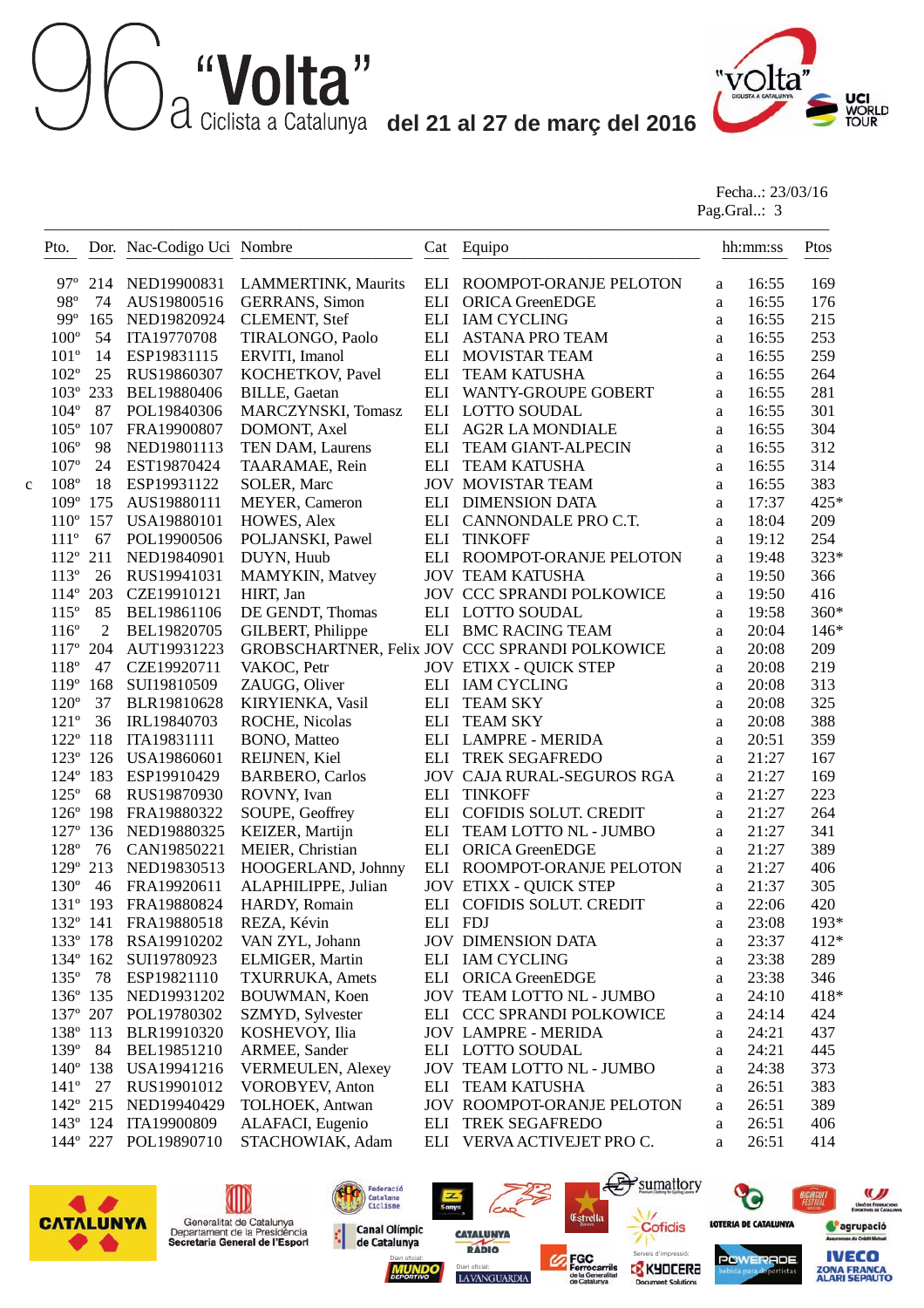**del 12 al 21 al 27 de març del 2016**<br>a Ciclista a Catalunya **del 21 al 27 de març del 2016** 



Fecha..: 23/03/16 Pag.Gral..: 3

| ELI ROOMPOT-ORANJE PELOTON<br>$97^{\circ}$ 214<br>NED19900831<br><b>LAMMERTINK, Maurits</b><br>16:55<br>a<br>98°<br>AUS19800516<br><b>GERRANS</b> , Simon<br>ELI ORICA GreenEDGE<br>16:55<br>74<br>a<br>$99^\circ$<br>165<br>NED19820924<br><b>CLEMENT, Stef</b><br>ELI IAM CYCLING<br>16:55<br>a<br>$100^{\circ}$<br>54<br>ITA19770708<br>TIRALONGO, Paolo<br>ELI ASTANA PRO TEAM<br>16:55<br>a<br>$101^{\circ}$<br>ESP19831115<br>ERVITI, Imanol<br>ELI MOVISTAR TEAM<br>14<br>16:55<br>a<br>$102^{\circ}$<br>25<br>RUS19860307<br>KOCHETKOV, Pavel<br>ELI<br><b>TEAM KATUSHA</b><br>16:55<br>a<br>$103^{\circ}$<br>233<br>BEL19880406<br>ELI WANTY-GROUPE GOBERT<br>16:55<br><b>BILLE, Gaetan</b><br>a<br>$104^{\circ}$<br>87<br>POL19840306<br>MARCZYNSKI, Tomasz<br>ELI LOTTO SOUDAL<br>16:55<br>a<br>$105^{\circ}$<br>107<br>FRA19900807<br>DOMONT, Axel<br>ELI AG2R LA MONDIALE<br>16:55<br>a<br>$106^{\circ}$<br>98<br>NED19801113<br>ELI<br>TEAM GIANT-ALPECIN<br>16:55<br>TEN DAM, Laurens<br>a<br>$107^{\circ}$<br>24<br>EST19870424<br>ELI<br><b>TEAM KATUSHA</b><br>16:55<br>TAARAMAE, Rein<br>a<br>$108^{\circ}$<br><b>JOV MOVISTAR TEAM</b><br>18<br>ESP19931122<br>16:55<br>SOLER, Marc<br>a<br>$109^\circ$<br>175<br>AUS19880111<br>MEYER, Cameron<br>ELI DIMENSION DATA<br>17:37<br>a<br>$110^{\circ}$ 157<br><b>USA19880101</b><br>HOWES, Alex<br>ELI CANNONDALE PRO C.T.<br>18:04<br>a<br>$111^{\circ}$<br>67<br>POL19900506<br>POLJANSKI, Pawel<br>ELI<br><b>TINKOFF</b><br>19:12<br>a<br>$112^{\circ}$ 211<br>NED19840901<br>DUYN, Huub<br>ELI ROOMPOT-ORANJE PELOTON<br>19:48<br>a<br>$113^{\circ}$<br>26<br>RUS19941031<br>MAMYKIN, Matvey<br><b>JOV TEAM KATUSHA</b><br>19:50<br>a<br>$114^{\circ}$<br>203<br>CZE19910121<br>HIRT, Jan<br>JOV CCC SPRANDI POLKOWICE<br>19:50<br>a<br>$115^\circ$<br>85<br>BEL19861106<br>ELI LOTTO SOUDAL<br>19:58<br>DE GENDT, Thomas<br>a<br>$116^{\circ}$<br>$\overline{2}$<br>BEL19820705<br>GILBERT, Philippe<br>ELI BMC RACING TEAM<br>20:04<br>a<br>$117^{\circ}$<br>GROBSCHARTNER, Felix JOV CCC SPRANDI POLKOWICE<br>204<br>AUT19931223<br>20:08<br>a<br>$118^{\circ}$<br>47<br>CZE19920711<br>VAKOC, Petr<br><b>JOV ETIXX - QUICK STEP</b><br>20:08<br>a<br>119°<br>SUI19810509<br>ZAUGG, Oliver<br>ELI IAM CYCLING<br>20:08<br>168<br>a<br>$120^{\circ}$<br>37<br>ELI<br><b>TEAM SKY</b><br>BLR19810628<br>KIRYIENKA, Vasil<br>20:08<br>a<br>$121^{\circ}$<br>36<br>IRL19840703<br>ROCHE, Nicolas<br>ELI<br>20:08<br><b>TEAM SKY</b><br>a<br>$122^{\circ}$ 118<br>ITA19831111<br>ELI LAMPRE - MERIDA<br>20:51<br><b>BONO</b> , Matteo<br>a<br>123° 126<br>REIJNEN, Kiel<br>ELI TREK SEGAFREDO<br>21:27<br>USA19860601<br>a<br>124° 183<br>ESP19910429<br><b>BARBERO, Carlos</b><br><b>JOV CAJA RURAL-SEGUROS RGA</b><br>21:27<br>a<br>$125^\circ$<br>68<br>RUS19870930<br>ELI<br><b>TINKOFF</b><br>21:27<br>ROVNY, Ivan<br>a<br>126° 198<br>SOUPE, Geoffrey<br>COFIDIS SOLUT. CREDIT<br>21:27<br>FRA19880322<br>ELI<br>a<br>$127^{\circ}$<br>136<br>NED19880325<br>KEIZER, Martijn<br>ELI<br>TEAM LOTTO NL - JUMBO<br>21:27<br>a<br>128°<br>76<br>CAN19850221<br>MEIER, Christian<br>ELI<br><b>ORICA GreenEDGE</b><br>21:27<br>a<br>129° 213<br>NED19830513<br>HOOGERLAND, Johnny<br>ELI ROOMPOT-ORANJE PELOTON<br>21:27<br>a<br>$130^\circ$<br>46<br>FRA19920611<br>ALAPHILIPPE, Julian<br><b>JOV ETIXX - QUICK STEP</b><br>21:37<br>a<br>131° 193<br>FRA19880824<br>HARDY, Romain<br>ELI COFIDIS SOLUT. CREDIT<br>22:06<br>a<br>23:08<br>132° 141 FRA19880518<br>REZA, Kévin<br>ELI FDJ<br>a<br>133° 178<br>RSA19910202<br>VAN ZYL, Johann<br><b>JOV DIMENSION DATA</b><br>23:37<br>a<br>$134^{\circ}$ 162<br>SUI19780923<br>ELMIGER, Martin<br>ELI IAM CYCLING<br>23:38<br>a<br>135° 78<br>ELI ORICA GreenEDGE<br>ESP19821110<br><b>TXURRUKA, Amets</b><br>23:38<br>a<br>136° 135 NED19931202<br>24:10<br>BOUWMAN, Koen<br>JOV TEAM LOTTO NL - JUMBO<br>a<br>137° 207 POL19780302<br>SZMYD, Sylvester<br>ELI CCC SPRANDI POLKOWICE<br>24:14<br>a<br>138° 113<br>KOSHEVOY, Ilia<br>BLR19910320<br><b>JOV LAMPRE - MERIDA</b><br>24:21<br>a<br>$139^\circ$<br>84<br>ARMEE, Sander<br>BEL19851210<br>ELI LOTTO SOUDAL<br>24:21<br>a<br>$140^{\circ}$ 138<br>USA19941216<br>VERMEULEN, Alexey<br>JOV TEAM LOTTO NL - JUMBO<br>24:38<br>a<br>$141^{\circ}$<br>27<br>RUS19901012<br><b>VOROBYEV, Anton</b><br>ELI TEAM KATUSHA<br>26:51<br>a<br>142° 215<br>NED19940429<br>TOLHOEK, Antwan<br>JOV ROOMPOT-ORANJE PELOTON<br>26:51<br>a<br>$143^{\circ}$ 124<br>ALAFACI, Eugenio<br>ITA19900809<br><b>TREK SEGAFREDO</b><br>26:51<br>ELI<br>a | hh:mm:ss<br>Ptos |
|---------------------------------------------------------------------------------------------------------------------------------------------------------------------------------------------------------------------------------------------------------------------------------------------------------------------------------------------------------------------------------------------------------------------------------------------------------------------------------------------------------------------------------------------------------------------------------------------------------------------------------------------------------------------------------------------------------------------------------------------------------------------------------------------------------------------------------------------------------------------------------------------------------------------------------------------------------------------------------------------------------------------------------------------------------------------------------------------------------------------------------------------------------------------------------------------------------------------------------------------------------------------------------------------------------------------------------------------------------------------------------------------------------------------------------------------------------------------------------------------------------------------------------------------------------------------------------------------------------------------------------------------------------------------------------------------------------------------------------------------------------------------------------------------------------------------------------------------------------------------------------------------------------------------------------------------------------------------------------------------------------------------------------------------------------------------------------------------------------------------------------------------------------------------------------------------------------------------------------------------------------------------------------------------------------------------------------------------------------------------------------------------------------------------------------------------------------------------------------------------------------------------------------------------------------------------------------------------------------------------------------------------------------------------------------------------------------------------------------------------------------------------------------------------------------------------------------------------------------------------------------------------------------------------------------------------------------------------------------------------------------------------------------------------------------------------------------------------------------------------------------------------------------------------------------------------------------------------------------------------------------------------------------------------------------------------------------------------------------------------------------------------------------------------------------------------------------------------------------------------------------------------------------------------------------------------------------------------------------------------------------------------------------------------------------------------------------------------------------------------------------------------------------------------------------------------------------------------------------------------------------------------------------------------------------------------------------------------------------------------------------------------------------------------------------------------------------------------------------------------------------------------------------------------------------------------------------------------------------------------------------------------------------------------------------------------------------------------------------------------------------------------------------------------------------------------------------------------------------------------------------------------------------------------------------------------------------------------------------------|------------------|
|                                                                                                                                                                                                                                                                                                                                                                                                                                                                                                                                                                                                                                                                                                                                                                                                                                                                                                                                                                                                                                                                                                                                                                                                                                                                                                                                                                                                                                                                                                                                                                                                                                                                                                                                                                                                                                                                                                                                                                                                                                                                                                                                                                                                                                                                                                                                                                                                                                                                                                                                                                                                                                                                                                                                                                                                                                                                                                                                                                                                                                                                                                                                                                                                                                                                                                                                                                                                                                                                                                                                                                                                                                                                                                                                                                                                                                                                                                                                                                                                                                                                                                                                                                                                                                                                                                                                                                                                                                                                                                                                                                                                               | 169              |
|                                                                                                                                                                                                                                                                                                                                                                                                                                                                                                                                                                                                                                                                                                                                                                                                                                                                                                                                                                                                                                                                                                                                                                                                                                                                                                                                                                                                                                                                                                                                                                                                                                                                                                                                                                                                                                                                                                                                                                                                                                                                                                                                                                                                                                                                                                                                                                                                                                                                                                                                                                                                                                                                                                                                                                                                                                                                                                                                                                                                                                                                                                                                                                                                                                                                                                                                                                                                                                                                                                                                                                                                                                                                                                                                                                                                                                                                                                                                                                                                                                                                                                                                                                                                                                                                                                                                                                                                                                                                                                                                                                                                               | 176              |
|                                                                                                                                                                                                                                                                                                                                                                                                                                                                                                                                                                                                                                                                                                                                                                                                                                                                                                                                                                                                                                                                                                                                                                                                                                                                                                                                                                                                                                                                                                                                                                                                                                                                                                                                                                                                                                                                                                                                                                                                                                                                                                                                                                                                                                                                                                                                                                                                                                                                                                                                                                                                                                                                                                                                                                                                                                                                                                                                                                                                                                                                                                                                                                                                                                                                                                                                                                                                                                                                                                                                                                                                                                                                                                                                                                                                                                                                                                                                                                                                                                                                                                                                                                                                                                                                                                                                                                                                                                                                                                                                                                                                               | 215              |
|                                                                                                                                                                                                                                                                                                                                                                                                                                                                                                                                                                                                                                                                                                                                                                                                                                                                                                                                                                                                                                                                                                                                                                                                                                                                                                                                                                                                                                                                                                                                                                                                                                                                                                                                                                                                                                                                                                                                                                                                                                                                                                                                                                                                                                                                                                                                                                                                                                                                                                                                                                                                                                                                                                                                                                                                                                                                                                                                                                                                                                                                                                                                                                                                                                                                                                                                                                                                                                                                                                                                                                                                                                                                                                                                                                                                                                                                                                                                                                                                                                                                                                                                                                                                                                                                                                                                                                                                                                                                                                                                                                                                               | 253              |
|                                                                                                                                                                                                                                                                                                                                                                                                                                                                                                                                                                                                                                                                                                                                                                                                                                                                                                                                                                                                                                                                                                                                                                                                                                                                                                                                                                                                                                                                                                                                                                                                                                                                                                                                                                                                                                                                                                                                                                                                                                                                                                                                                                                                                                                                                                                                                                                                                                                                                                                                                                                                                                                                                                                                                                                                                                                                                                                                                                                                                                                                                                                                                                                                                                                                                                                                                                                                                                                                                                                                                                                                                                                                                                                                                                                                                                                                                                                                                                                                                                                                                                                                                                                                                                                                                                                                                                                                                                                                                                                                                                                                               | 259              |
|                                                                                                                                                                                                                                                                                                                                                                                                                                                                                                                                                                                                                                                                                                                                                                                                                                                                                                                                                                                                                                                                                                                                                                                                                                                                                                                                                                                                                                                                                                                                                                                                                                                                                                                                                                                                                                                                                                                                                                                                                                                                                                                                                                                                                                                                                                                                                                                                                                                                                                                                                                                                                                                                                                                                                                                                                                                                                                                                                                                                                                                                                                                                                                                                                                                                                                                                                                                                                                                                                                                                                                                                                                                                                                                                                                                                                                                                                                                                                                                                                                                                                                                                                                                                                                                                                                                                                                                                                                                                                                                                                                                                               | 264              |
|                                                                                                                                                                                                                                                                                                                                                                                                                                                                                                                                                                                                                                                                                                                                                                                                                                                                                                                                                                                                                                                                                                                                                                                                                                                                                                                                                                                                                                                                                                                                                                                                                                                                                                                                                                                                                                                                                                                                                                                                                                                                                                                                                                                                                                                                                                                                                                                                                                                                                                                                                                                                                                                                                                                                                                                                                                                                                                                                                                                                                                                                                                                                                                                                                                                                                                                                                                                                                                                                                                                                                                                                                                                                                                                                                                                                                                                                                                                                                                                                                                                                                                                                                                                                                                                                                                                                                                                                                                                                                                                                                                                                               | 281              |
|                                                                                                                                                                                                                                                                                                                                                                                                                                                                                                                                                                                                                                                                                                                                                                                                                                                                                                                                                                                                                                                                                                                                                                                                                                                                                                                                                                                                                                                                                                                                                                                                                                                                                                                                                                                                                                                                                                                                                                                                                                                                                                                                                                                                                                                                                                                                                                                                                                                                                                                                                                                                                                                                                                                                                                                                                                                                                                                                                                                                                                                                                                                                                                                                                                                                                                                                                                                                                                                                                                                                                                                                                                                                                                                                                                                                                                                                                                                                                                                                                                                                                                                                                                                                                                                                                                                                                                                                                                                                                                                                                                                                               | 301              |
|                                                                                                                                                                                                                                                                                                                                                                                                                                                                                                                                                                                                                                                                                                                                                                                                                                                                                                                                                                                                                                                                                                                                                                                                                                                                                                                                                                                                                                                                                                                                                                                                                                                                                                                                                                                                                                                                                                                                                                                                                                                                                                                                                                                                                                                                                                                                                                                                                                                                                                                                                                                                                                                                                                                                                                                                                                                                                                                                                                                                                                                                                                                                                                                                                                                                                                                                                                                                                                                                                                                                                                                                                                                                                                                                                                                                                                                                                                                                                                                                                                                                                                                                                                                                                                                                                                                                                                                                                                                                                                                                                                                                               | 304              |
|                                                                                                                                                                                                                                                                                                                                                                                                                                                                                                                                                                                                                                                                                                                                                                                                                                                                                                                                                                                                                                                                                                                                                                                                                                                                                                                                                                                                                                                                                                                                                                                                                                                                                                                                                                                                                                                                                                                                                                                                                                                                                                                                                                                                                                                                                                                                                                                                                                                                                                                                                                                                                                                                                                                                                                                                                                                                                                                                                                                                                                                                                                                                                                                                                                                                                                                                                                                                                                                                                                                                                                                                                                                                                                                                                                                                                                                                                                                                                                                                                                                                                                                                                                                                                                                                                                                                                                                                                                                                                                                                                                                                               | 312              |
|                                                                                                                                                                                                                                                                                                                                                                                                                                                                                                                                                                                                                                                                                                                                                                                                                                                                                                                                                                                                                                                                                                                                                                                                                                                                                                                                                                                                                                                                                                                                                                                                                                                                                                                                                                                                                                                                                                                                                                                                                                                                                                                                                                                                                                                                                                                                                                                                                                                                                                                                                                                                                                                                                                                                                                                                                                                                                                                                                                                                                                                                                                                                                                                                                                                                                                                                                                                                                                                                                                                                                                                                                                                                                                                                                                                                                                                                                                                                                                                                                                                                                                                                                                                                                                                                                                                                                                                                                                                                                                                                                                                                               | 314              |
|                                                                                                                                                                                                                                                                                                                                                                                                                                                                                                                                                                                                                                                                                                                                                                                                                                                                                                                                                                                                                                                                                                                                                                                                                                                                                                                                                                                                                                                                                                                                                                                                                                                                                                                                                                                                                                                                                                                                                                                                                                                                                                                                                                                                                                                                                                                                                                                                                                                                                                                                                                                                                                                                                                                                                                                                                                                                                                                                                                                                                                                                                                                                                                                                                                                                                                                                                                                                                                                                                                                                                                                                                                                                                                                                                                                                                                                                                                                                                                                                                                                                                                                                                                                                                                                                                                                                                                                                                                                                                                                                                                                                               | 383              |
|                                                                                                                                                                                                                                                                                                                                                                                                                                                                                                                                                                                                                                                                                                                                                                                                                                                                                                                                                                                                                                                                                                                                                                                                                                                                                                                                                                                                                                                                                                                                                                                                                                                                                                                                                                                                                                                                                                                                                                                                                                                                                                                                                                                                                                                                                                                                                                                                                                                                                                                                                                                                                                                                                                                                                                                                                                                                                                                                                                                                                                                                                                                                                                                                                                                                                                                                                                                                                                                                                                                                                                                                                                                                                                                                                                                                                                                                                                                                                                                                                                                                                                                                                                                                                                                                                                                                                                                                                                                                                                                                                                                                               | 425*             |
|                                                                                                                                                                                                                                                                                                                                                                                                                                                                                                                                                                                                                                                                                                                                                                                                                                                                                                                                                                                                                                                                                                                                                                                                                                                                                                                                                                                                                                                                                                                                                                                                                                                                                                                                                                                                                                                                                                                                                                                                                                                                                                                                                                                                                                                                                                                                                                                                                                                                                                                                                                                                                                                                                                                                                                                                                                                                                                                                                                                                                                                                                                                                                                                                                                                                                                                                                                                                                                                                                                                                                                                                                                                                                                                                                                                                                                                                                                                                                                                                                                                                                                                                                                                                                                                                                                                                                                                                                                                                                                                                                                                                               | 209              |
|                                                                                                                                                                                                                                                                                                                                                                                                                                                                                                                                                                                                                                                                                                                                                                                                                                                                                                                                                                                                                                                                                                                                                                                                                                                                                                                                                                                                                                                                                                                                                                                                                                                                                                                                                                                                                                                                                                                                                                                                                                                                                                                                                                                                                                                                                                                                                                                                                                                                                                                                                                                                                                                                                                                                                                                                                                                                                                                                                                                                                                                                                                                                                                                                                                                                                                                                                                                                                                                                                                                                                                                                                                                                                                                                                                                                                                                                                                                                                                                                                                                                                                                                                                                                                                                                                                                                                                                                                                                                                                                                                                                                               | 254              |
|                                                                                                                                                                                                                                                                                                                                                                                                                                                                                                                                                                                                                                                                                                                                                                                                                                                                                                                                                                                                                                                                                                                                                                                                                                                                                                                                                                                                                                                                                                                                                                                                                                                                                                                                                                                                                                                                                                                                                                                                                                                                                                                                                                                                                                                                                                                                                                                                                                                                                                                                                                                                                                                                                                                                                                                                                                                                                                                                                                                                                                                                                                                                                                                                                                                                                                                                                                                                                                                                                                                                                                                                                                                                                                                                                                                                                                                                                                                                                                                                                                                                                                                                                                                                                                                                                                                                                                                                                                                                                                                                                                                                               | 323*             |
|                                                                                                                                                                                                                                                                                                                                                                                                                                                                                                                                                                                                                                                                                                                                                                                                                                                                                                                                                                                                                                                                                                                                                                                                                                                                                                                                                                                                                                                                                                                                                                                                                                                                                                                                                                                                                                                                                                                                                                                                                                                                                                                                                                                                                                                                                                                                                                                                                                                                                                                                                                                                                                                                                                                                                                                                                                                                                                                                                                                                                                                                                                                                                                                                                                                                                                                                                                                                                                                                                                                                                                                                                                                                                                                                                                                                                                                                                                                                                                                                                                                                                                                                                                                                                                                                                                                                                                                                                                                                                                                                                                                                               | 366              |
|                                                                                                                                                                                                                                                                                                                                                                                                                                                                                                                                                                                                                                                                                                                                                                                                                                                                                                                                                                                                                                                                                                                                                                                                                                                                                                                                                                                                                                                                                                                                                                                                                                                                                                                                                                                                                                                                                                                                                                                                                                                                                                                                                                                                                                                                                                                                                                                                                                                                                                                                                                                                                                                                                                                                                                                                                                                                                                                                                                                                                                                                                                                                                                                                                                                                                                                                                                                                                                                                                                                                                                                                                                                                                                                                                                                                                                                                                                                                                                                                                                                                                                                                                                                                                                                                                                                                                                                                                                                                                                                                                                                                               | 416              |
|                                                                                                                                                                                                                                                                                                                                                                                                                                                                                                                                                                                                                                                                                                                                                                                                                                                                                                                                                                                                                                                                                                                                                                                                                                                                                                                                                                                                                                                                                                                                                                                                                                                                                                                                                                                                                                                                                                                                                                                                                                                                                                                                                                                                                                                                                                                                                                                                                                                                                                                                                                                                                                                                                                                                                                                                                                                                                                                                                                                                                                                                                                                                                                                                                                                                                                                                                                                                                                                                                                                                                                                                                                                                                                                                                                                                                                                                                                                                                                                                                                                                                                                                                                                                                                                                                                                                                                                                                                                                                                                                                                                                               | 360*             |
|                                                                                                                                                                                                                                                                                                                                                                                                                                                                                                                                                                                                                                                                                                                                                                                                                                                                                                                                                                                                                                                                                                                                                                                                                                                                                                                                                                                                                                                                                                                                                                                                                                                                                                                                                                                                                                                                                                                                                                                                                                                                                                                                                                                                                                                                                                                                                                                                                                                                                                                                                                                                                                                                                                                                                                                                                                                                                                                                                                                                                                                                                                                                                                                                                                                                                                                                                                                                                                                                                                                                                                                                                                                                                                                                                                                                                                                                                                                                                                                                                                                                                                                                                                                                                                                                                                                                                                                                                                                                                                                                                                                                               | $146*$           |
|                                                                                                                                                                                                                                                                                                                                                                                                                                                                                                                                                                                                                                                                                                                                                                                                                                                                                                                                                                                                                                                                                                                                                                                                                                                                                                                                                                                                                                                                                                                                                                                                                                                                                                                                                                                                                                                                                                                                                                                                                                                                                                                                                                                                                                                                                                                                                                                                                                                                                                                                                                                                                                                                                                                                                                                                                                                                                                                                                                                                                                                                                                                                                                                                                                                                                                                                                                                                                                                                                                                                                                                                                                                                                                                                                                                                                                                                                                                                                                                                                                                                                                                                                                                                                                                                                                                                                                                                                                                                                                                                                                                                               | 209              |
|                                                                                                                                                                                                                                                                                                                                                                                                                                                                                                                                                                                                                                                                                                                                                                                                                                                                                                                                                                                                                                                                                                                                                                                                                                                                                                                                                                                                                                                                                                                                                                                                                                                                                                                                                                                                                                                                                                                                                                                                                                                                                                                                                                                                                                                                                                                                                                                                                                                                                                                                                                                                                                                                                                                                                                                                                                                                                                                                                                                                                                                                                                                                                                                                                                                                                                                                                                                                                                                                                                                                                                                                                                                                                                                                                                                                                                                                                                                                                                                                                                                                                                                                                                                                                                                                                                                                                                                                                                                                                                                                                                                                               | 219              |
|                                                                                                                                                                                                                                                                                                                                                                                                                                                                                                                                                                                                                                                                                                                                                                                                                                                                                                                                                                                                                                                                                                                                                                                                                                                                                                                                                                                                                                                                                                                                                                                                                                                                                                                                                                                                                                                                                                                                                                                                                                                                                                                                                                                                                                                                                                                                                                                                                                                                                                                                                                                                                                                                                                                                                                                                                                                                                                                                                                                                                                                                                                                                                                                                                                                                                                                                                                                                                                                                                                                                                                                                                                                                                                                                                                                                                                                                                                                                                                                                                                                                                                                                                                                                                                                                                                                                                                                                                                                                                                                                                                                                               | 313              |
|                                                                                                                                                                                                                                                                                                                                                                                                                                                                                                                                                                                                                                                                                                                                                                                                                                                                                                                                                                                                                                                                                                                                                                                                                                                                                                                                                                                                                                                                                                                                                                                                                                                                                                                                                                                                                                                                                                                                                                                                                                                                                                                                                                                                                                                                                                                                                                                                                                                                                                                                                                                                                                                                                                                                                                                                                                                                                                                                                                                                                                                                                                                                                                                                                                                                                                                                                                                                                                                                                                                                                                                                                                                                                                                                                                                                                                                                                                                                                                                                                                                                                                                                                                                                                                                                                                                                                                                                                                                                                                                                                                                                               | 325              |
|                                                                                                                                                                                                                                                                                                                                                                                                                                                                                                                                                                                                                                                                                                                                                                                                                                                                                                                                                                                                                                                                                                                                                                                                                                                                                                                                                                                                                                                                                                                                                                                                                                                                                                                                                                                                                                                                                                                                                                                                                                                                                                                                                                                                                                                                                                                                                                                                                                                                                                                                                                                                                                                                                                                                                                                                                                                                                                                                                                                                                                                                                                                                                                                                                                                                                                                                                                                                                                                                                                                                                                                                                                                                                                                                                                                                                                                                                                                                                                                                                                                                                                                                                                                                                                                                                                                                                                                                                                                                                                                                                                                                               | 388              |
|                                                                                                                                                                                                                                                                                                                                                                                                                                                                                                                                                                                                                                                                                                                                                                                                                                                                                                                                                                                                                                                                                                                                                                                                                                                                                                                                                                                                                                                                                                                                                                                                                                                                                                                                                                                                                                                                                                                                                                                                                                                                                                                                                                                                                                                                                                                                                                                                                                                                                                                                                                                                                                                                                                                                                                                                                                                                                                                                                                                                                                                                                                                                                                                                                                                                                                                                                                                                                                                                                                                                                                                                                                                                                                                                                                                                                                                                                                                                                                                                                                                                                                                                                                                                                                                                                                                                                                                                                                                                                                                                                                                                               | 359              |
|                                                                                                                                                                                                                                                                                                                                                                                                                                                                                                                                                                                                                                                                                                                                                                                                                                                                                                                                                                                                                                                                                                                                                                                                                                                                                                                                                                                                                                                                                                                                                                                                                                                                                                                                                                                                                                                                                                                                                                                                                                                                                                                                                                                                                                                                                                                                                                                                                                                                                                                                                                                                                                                                                                                                                                                                                                                                                                                                                                                                                                                                                                                                                                                                                                                                                                                                                                                                                                                                                                                                                                                                                                                                                                                                                                                                                                                                                                                                                                                                                                                                                                                                                                                                                                                                                                                                                                                                                                                                                                                                                                                                               | 167              |
|                                                                                                                                                                                                                                                                                                                                                                                                                                                                                                                                                                                                                                                                                                                                                                                                                                                                                                                                                                                                                                                                                                                                                                                                                                                                                                                                                                                                                                                                                                                                                                                                                                                                                                                                                                                                                                                                                                                                                                                                                                                                                                                                                                                                                                                                                                                                                                                                                                                                                                                                                                                                                                                                                                                                                                                                                                                                                                                                                                                                                                                                                                                                                                                                                                                                                                                                                                                                                                                                                                                                                                                                                                                                                                                                                                                                                                                                                                                                                                                                                                                                                                                                                                                                                                                                                                                                                                                                                                                                                                                                                                                                               | 169              |
|                                                                                                                                                                                                                                                                                                                                                                                                                                                                                                                                                                                                                                                                                                                                                                                                                                                                                                                                                                                                                                                                                                                                                                                                                                                                                                                                                                                                                                                                                                                                                                                                                                                                                                                                                                                                                                                                                                                                                                                                                                                                                                                                                                                                                                                                                                                                                                                                                                                                                                                                                                                                                                                                                                                                                                                                                                                                                                                                                                                                                                                                                                                                                                                                                                                                                                                                                                                                                                                                                                                                                                                                                                                                                                                                                                                                                                                                                                                                                                                                                                                                                                                                                                                                                                                                                                                                                                                                                                                                                                                                                                                                               | 223              |
|                                                                                                                                                                                                                                                                                                                                                                                                                                                                                                                                                                                                                                                                                                                                                                                                                                                                                                                                                                                                                                                                                                                                                                                                                                                                                                                                                                                                                                                                                                                                                                                                                                                                                                                                                                                                                                                                                                                                                                                                                                                                                                                                                                                                                                                                                                                                                                                                                                                                                                                                                                                                                                                                                                                                                                                                                                                                                                                                                                                                                                                                                                                                                                                                                                                                                                                                                                                                                                                                                                                                                                                                                                                                                                                                                                                                                                                                                                                                                                                                                                                                                                                                                                                                                                                                                                                                                                                                                                                                                                                                                                                                               | 264              |
|                                                                                                                                                                                                                                                                                                                                                                                                                                                                                                                                                                                                                                                                                                                                                                                                                                                                                                                                                                                                                                                                                                                                                                                                                                                                                                                                                                                                                                                                                                                                                                                                                                                                                                                                                                                                                                                                                                                                                                                                                                                                                                                                                                                                                                                                                                                                                                                                                                                                                                                                                                                                                                                                                                                                                                                                                                                                                                                                                                                                                                                                                                                                                                                                                                                                                                                                                                                                                                                                                                                                                                                                                                                                                                                                                                                                                                                                                                                                                                                                                                                                                                                                                                                                                                                                                                                                                                                                                                                                                                                                                                                                               | 341              |
|                                                                                                                                                                                                                                                                                                                                                                                                                                                                                                                                                                                                                                                                                                                                                                                                                                                                                                                                                                                                                                                                                                                                                                                                                                                                                                                                                                                                                                                                                                                                                                                                                                                                                                                                                                                                                                                                                                                                                                                                                                                                                                                                                                                                                                                                                                                                                                                                                                                                                                                                                                                                                                                                                                                                                                                                                                                                                                                                                                                                                                                                                                                                                                                                                                                                                                                                                                                                                                                                                                                                                                                                                                                                                                                                                                                                                                                                                                                                                                                                                                                                                                                                                                                                                                                                                                                                                                                                                                                                                                                                                                                                               | 389              |
|                                                                                                                                                                                                                                                                                                                                                                                                                                                                                                                                                                                                                                                                                                                                                                                                                                                                                                                                                                                                                                                                                                                                                                                                                                                                                                                                                                                                                                                                                                                                                                                                                                                                                                                                                                                                                                                                                                                                                                                                                                                                                                                                                                                                                                                                                                                                                                                                                                                                                                                                                                                                                                                                                                                                                                                                                                                                                                                                                                                                                                                                                                                                                                                                                                                                                                                                                                                                                                                                                                                                                                                                                                                                                                                                                                                                                                                                                                                                                                                                                                                                                                                                                                                                                                                                                                                                                                                                                                                                                                                                                                                                               | 406              |
|                                                                                                                                                                                                                                                                                                                                                                                                                                                                                                                                                                                                                                                                                                                                                                                                                                                                                                                                                                                                                                                                                                                                                                                                                                                                                                                                                                                                                                                                                                                                                                                                                                                                                                                                                                                                                                                                                                                                                                                                                                                                                                                                                                                                                                                                                                                                                                                                                                                                                                                                                                                                                                                                                                                                                                                                                                                                                                                                                                                                                                                                                                                                                                                                                                                                                                                                                                                                                                                                                                                                                                                                                                                                                                                                                                                                                                                                                                                                                                                                                                                                                                                                                                                                                                                                                                                                                                                                                                                                                                                                                                                                               | 305              |
|                                                                                                                                                                                                                                                                                                                                                                                                                                                                                                                                                                                                                                                                                                                                                                                                                                                                                                                                                                                                                                                                                                                                                                                                                                                                                                                                                                                                                                                                                                                                                                                                                                                                                                                                                                                                                                                                                                                                                                                                                                                                                                                                                                                                                                                                                                                                                                                                                                                                                                                                                                                                                                                                                                                                                                                                                                                                                                                                                                                                                                                                                                                                                                                                                                                                                                                                                                                                                                                                                                                                                                                                                                                                                                                                                                                                                                                                                                                                                                                                                                                                                                                                                                                                                                                                                                                                                                                                                                                                                                                                                                                                               | 420              |
|                                                                                                                                                                                                                                                                                                                                                                                                                                                                                                                                                                                                                                                                                                                                                                                                                                                                                                                                                                                                                                                                                                                                                                                                                                                                                                                                                                                                                                                                                                                                                                                                                                                                                                                                                                                                                                                                                                                                                                                                                                                                                                                                                                                                                                                                                                                                                                                                                                                                                                                                                                                                                                                                                                                                                                                                                                                                                                                                                                                                                                                                                                                                                                                                                                                                                                                                                                                                                                                                                                                                                                                                                                                                                                                                                                                                                                                                                                                                                                                                                                                                                                                                                                                                                                                                                                                                                                                                                                                                                                                                                                                                               | 193*             |
|                                                                                                                                                                                                                                                                                                                                                                                                                                                                                                                                                                                                                                                                                                                                                                                                                                                                                                                                                                                                                                                                                                                                                                                                                                                                                                                                                                                                                                                                                                                                                                                                                                                                                                                                                                                                                                                                                                                                                                                                                                                                                                                                                                                                                                                                                                                                                                                                                                                                                                                                                                                                                                                                                                                                                                                                                                                                                                                                                                                                                                                                                                                                                                                                                                                                                                                                                                                                                                                                                                                                                                                                                                                                                                                                                                                                                                                                                                                                                                                                                                                                                                                                                                                                                                                                                                                                                                                                                                                                                                                                                                                                               | 412*             |
|                                                                                                                                                                                                                                                                                                                                                                                                                                                                                                                                                                                                                                                                                                                                                                                                                                                                                                                                                                                                                                                                                                                                                                                                                                                                                                                                                                                                                                                                                                                                                                                                                                                                                                                                                                                                                                                                                                                                                                                                                                                                                                                                                                                                                                                                                                                                                                                                                                                                                                                                                                                                                                                                                                                                                                                                                                                                                                                                                                                                                                                                                                                                                                                                                                                                                                                                                                                                                                                                                                                                                                                                                                                                                                                                                                                                                                                                                                                                                                                                                                                                                                                                                                                                                                                                                                                                                                                                                                                                                                                                                                                                               | 289              |
|                                                                                                                                                                                                                                                                                                                                                                                                                                                                                                                                                                                                                                                                                                                                                                                                                                                                                                                                                                                                                                                                                                                                                                                                                                                                                                                                                                                                                                                                                                                                                                                                                                                                                                                                                                                                                                                                                                                                                                                                                                                                                                                                                                                                                                                                                                                                                                                                                                                                                                                                                                                                                                                                                                                                                                                                                                                                                                                                                                                                                                                                                                                                                                                                                                                                                                                                                                                                                                                                                                                                                                                                                                                                                                                                                                                                                                                                                                                                                                                                                                                                                                                                                                                                                                                                                                                                                                                                                                                                                                                                                                                                               | 346              |
|                                                                                                                                                                                                                                                                                                                                                                                                                                                                                                                                                                                                                                                                                                                                                                                                                                                                                                                                                                                                                                                                                                                                                                                                                                                                                                                                                                                                                                                                                                                                                                                                                                                                                                                                                                                                                                                                                                                                                                                                                                                                                                                                                                                                                                                                                                                                                                                                                                                                                                                                                                                                                                                                                                                                                                                                                                                                                                                                                                                                                                                                                                                                                                                                                                                                                                                                                                                                                                                                                                                                                                                                                                                                                                                                                                                                                                                                                                                                                                                                                                                                                                                                                                                                                                                                                                                                                                                                                                                                                                                                                                                                               | 418*             |
|                                                                                                                                                                                                                                                                                                                                                                                                                                                                                                                                                                                                                                                                                                                                                                                                                                                                                                                                                                                                                                                                                                                                                                                                                                                                                                                                                                                                                                                                                                                                                                                                                                                                                                                                                                                                                                                                                                                                                                                                                                                                                                                                                                                                                                                                                                                                                                                                                                                                                                                                                                                                                                                                                                                                                                                                                                                                                                                                                                                                                                                                                                                                                                                                                                                                                                                                                                                                                                                                                                                                                                                                                                                                                                                                                                                                                                                                                                                                                                                                                                                                                                                                                                                                                                                                                                                                                                                                                                                                                                                                                                                                               | 424              |
|                                                                                                                                                                                                                                                                                                                                                                                                                                                                                                                                                                                                                                                                                                                                                                                                                                                                                                                                                                                                                                                                                                                                                                                                                                                                                                                                                                                                                                                                                                                                                                                                                                                                                                                                                                                                                                                                                                                                                                                                                                                                                                                                                                                                                                                                                                                                                                                                                                                                                                                                                                                                                                                                                                                                                                                                                                                                                                                                                                                                                                                                                                                                                                                                                                                                                                                                                                                                                                                                                                                                                                                                                                                                                                                                                                                                                                                                                                                                                                                                                                                                                                                                                                                                                                                                                                                                                                                                                                                                                                                                                                                                               | 437              |
|                                                                                                                                                                                                                                                                                                                                                                                                                                                                                                                                                                                                                                                                                                                                                                                                                                                                                                                                                                                                                                                                                                                                                                                                                                                                                                                                                                                                                                                                                                                                                                                                                                                                                                                                                                                                                                                                                                                                                                                                                                                                                                                                                                                                                                                                                                                                                                                                                                                                                                                                                                                                                                                                                                                                                                                                                                                                                                                                                                                                                                                                                                                                                                                                                                                                                                                                                                                                                                                                                                                                                                                                                                                                                                                                                                                                                                                                                                                                                                                                                                                                                                                                                                                                                                                                                                                                                                                                                                                                                                                                                                                                               | 445              |
|                                                                                                                                                                                                                                                                                                                                                                                                                                                                                                                                                                                                                                                                                                                                                                                                                                                                                                                                                                                                                                                                                                                                                                                                                                                                                                                                                                                                                                                                                                                                                                                                                                                                                                                                                                                                                                                                                                                                                                                                                                                                                                                                                                                                                                                                                                                                                                                                                                                                                                                                                                                                                                                                                                                                                                                                                                                                                                                                                                                                                                                                                                                                                                                                                                                                                                                                                                                                                                                                                                                                                                                                                                                                                                                                                                                                                                                                                                                                                                                                                                                                                                                                                                                                                                                                                                                                                                                                                                                                                                                                                                                                               | 373              |
|                                                                                                                                                                                                                                                                                                                                                                                                                                                                                                                                                                                                                                                                                                                                                                                                                                                                                                                                                                                                                                                                                                                                                                                                                                                                                                                                                                                                                                                                                                                                                                                                                                                                                                                                                                                                                                                                                                                                                                                                                                                                                                                                                                                                                                                                                                                                                                                                                                                                                                                                                                                                                                                                                                                                                                                                                                                                                                                                                                                                                                                                                                                                                                                                                                                                                                                                                                                                                                                                                                                                                                                                                                                                                                                                                                                                                                                                                                                                                                                                                                                                                                                                                                                                                                                                                                                                                                                                                                                                                                                                                                                                               | 383              |
|                                                                                                                                                                                                                                                                                                                                                                                                                                                                                                                                                                                                                                                                                                                                                                                                                                                                                                                                                                                                                                                                                                                                                                                                                                                                                                                                                                                                                                                                                                                                                                                                                                                                                                                                                                                                                                                                                                                                                                                                                                                                                                                                                                                                                                                                                                                                                                                                                                                                                                                                                                                                                                                                                                                                                                                                                                                                                                                                                                                                                                                                                                                                                                                                                                                                                                                                                                                                                                                                                                                                                                                                                                                                                                                                                                                                                                                                                                                                                                                                                                                                                                                                                                                                                                                                                                                                                                                                                                                                                                                                                                                                               | 389              |
|                                                                                                                                                                                                                                                                                                                                                                                                                                                                                                                                                                                                                                                                                                                                                                                                                                                                                                                                                                                                                                                                                                                                                                                                                                                                                                                                                                                                                                                                                                                                                                                                                                                                                                                                                                                                                                                                                                                                                                                                                                                                                                                                                                                                                                                                                                                                                                                                                                                                                                                                                                                                                                                                                                                                                                                                                                                                                                                                                                                                                                                                                                                                                                                                                                                                                                                                                                                                                                                                                                                                                                                                                                                                                                                                                                                                                                                                                                                                                                                                                                                                                                                                                                                                                                                                                                                                                                                                                                                                                                                                                                                                               | 406              |
| 144° 227<br>POL19890710<br>STACHOWIAK, Adam<br>ELI VERVA ACTIVEJET PRO C.<br>26:51<br>a                                                                                                                                                                                                                                                                                                                                                                                                                                                                                                                                                                                                                                                                                                                                                                                                                                                                                                                                                                                                                                                                                                                                                                                                                                                                                                                                                                                                                                                                                                                                                                                                                                                                                                                                                                                                                                                                                                                                                                                                                                                                                                                                                                                                                                                                                                                                                                                                                                                                                                                                                                                                                                                                                                                                                                                                                                                                                                                                                                                                                                                                                                                                                                                                                                                                                                                                                                                                                                                                                                                                                                                                                                                                                                                                                                                                                                                                                                                                                                                                                                                                                                                                                                                                                                                                                                                                                                                                                                                                                                                       | 414              |

LAVANGUARDIA

**CATALUNYA** 

GAR

Estrella

Federació<br>Catalana<br>Ciclisme

**Canal Olímpic** 

de Catalunya

¢



(III)

Generalitat de Catalunya<br>Departament de la Presidència<br>Secretaria General de l'Esport

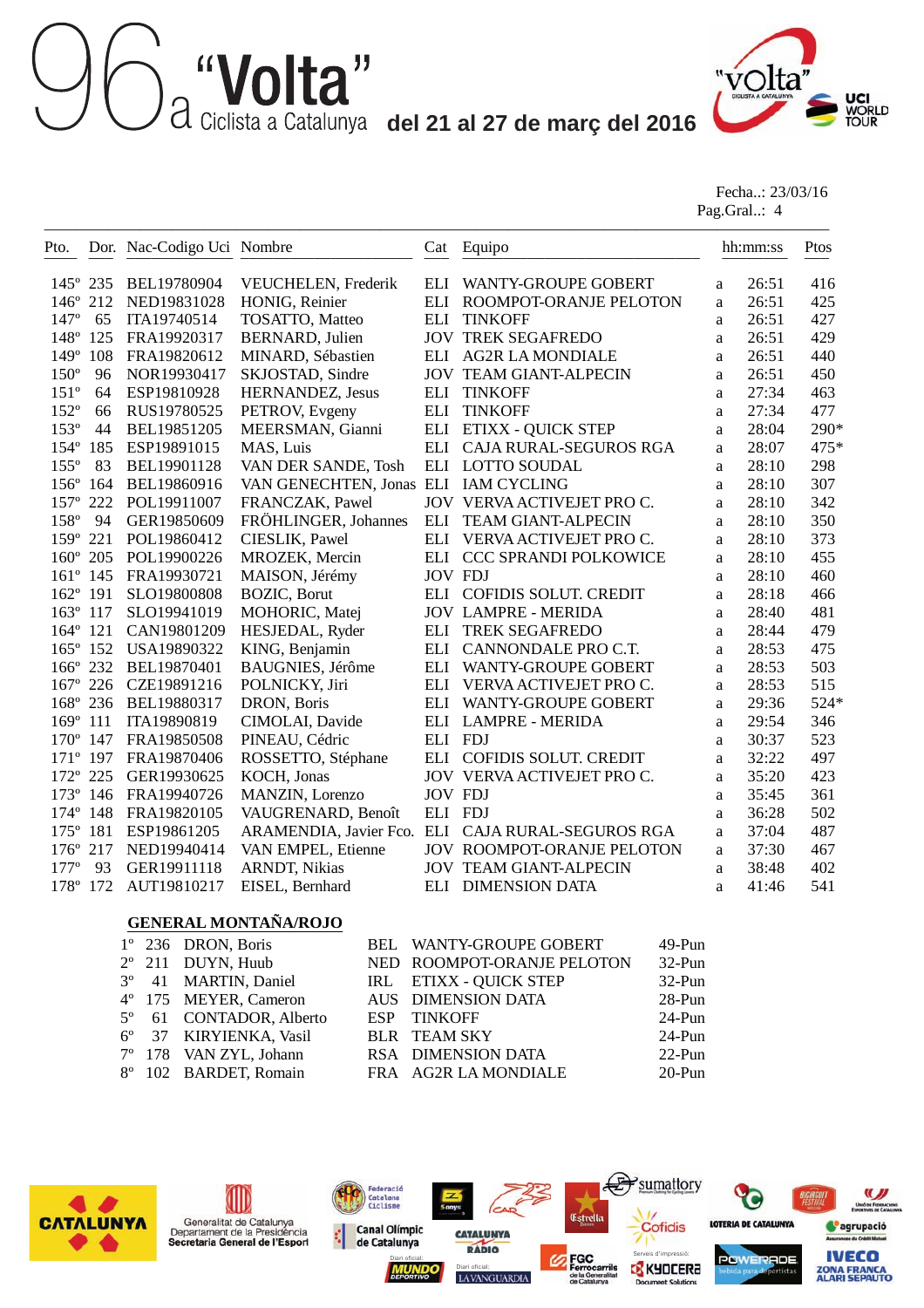# **del 12 del 21 al 27 de març del 2016**<br>a Ciclista a Catalunya **del 21 al 27 de març del 2016**



Fecha..: 23/03/16 Pag.Gral..: 4

| Pto.              |     | Dor. Nac-Codigo Uci Nombre |                          | Cat                | Equipo                                            |              | hh:mm:ss | Ptos |
|-------------------|-----|----------------------------|--------------------------|--------------------|---------------------------------------------------|--------------|----------|------|
| $145^{\circ}$ 235 |     | BEL19780904                | VEUCHELEN, Frederik      | ELI                | <b>WANTY-GROUPE GOBERT</b>                        | a            | 26:51    | 416  |
| $146^\circ$       | 212 | NED19831028                | HONIG, Reinier           | ELI                | ROOMPOT-ORANJE PELOTON                            | a            | 26:51    | 425  |
| $147^\circ$       | 65  | ITA19740514                | TOSATTO, Matteo          | <b>ELI</b>         | <b>TINKOFF</b>                                    | a            | 26:51    | 427  |
| 148°              | 125 | FRA19920317                | <b>BERNARD, Julien</b>   |                    | <b>JOV TREK SEGAFREDO</b>                         | a            | 26:51    | 429  |
| $149^{\circ}$     | 108 | FRA19820612                | MINARD, Sébastien        | ELI                | <b>AG2R LA MONDIALE</b>                           | a            | 26:51    | 440  |
| $150^\circ$       | 96  | NOR19930417                | SKJOSTAD, Sindre         |                    | <b>JOV TEAM GIANT-ALPECIN</b>                     | a            | 26:51    | 450  |
| $151^{\circ}$     | 64  | ESP19810928                | HERNANDEZ, Jesus         | <b>ELI</b>         | <b>TINKOFF</b>                                    | a            | 27:34    | 463  |
| $152^{\circ}$     | 66  | RUS19780525                | PETROV, Evgeny           | $\mathop{\rm ELI}$ | <b>TINKOFF</b>                                    | a            | 27:34    | 477  |
| $153^{\circ}$     | 44  | BEL19851205                | MEERSMAN, Gianni         | ELI                | <b>ETIXX - QUICK STEP</b>                         | a            | 28:04    | 290* |
| $154^\circ$       | 185 | ESP19891015                | MAS, Luis                | <b>ELI</b>         | CAJA RURAL-SEGUROS RGA                            | a            | 28:07    | 475* |
| $155^{\circ}$     | 83  | BEL19901128                | VAN DER SANDE, Tosh      | <b>ELI</b>         | <b>LOTTO SOUDAL</b>                               | a            | 28:10    | 298  |
| $156^\circ$       | 164 | BEL19860916                | VAN GENECHTEN, Jonas ELI |                    | <b>IAM CYCLING</b>                                | a            | 28:10    | 307  |
| $157^\circ$       | 222 | POL19911007                | FRANCZAK, Pawel          |                    | JOV VERVA ACTIVEJET PRO C.                        | a            | 28:10    | 342  |
| 158°              | 94  | GER19850609                | FRÖHLINGER, Johannes     | <b>ELI</b>         | <b>TEAM GIANT-ALPECIN</b>                         | a            | 28:10    | 350  |
| $159^\circ$       | 221 | POL19860412                | CIESLIK, Pawel           | <b>ELI</b>         | VERVA ACTIVEJET PRO C.                            | a            | 28:10    | 373  |
| 160° 205          |     | POL19900226                | MROZEK, Mercin           | ELI                | <b>CCC SPRANDI POLKOWICE</b>                      | a            | 28:10    | 455  |
| $161^{\circ}$ 145 |     | FRA19930721                | MAISON, Jérémy           |                    | <b>JOV FDJ</b>                                    | a            | 28:10    | 460  |
| $162^\circ$       | 191 | SLO19800808                | <b>BOZIC</b> , Borut     |                    | ELI COFIDIS SOLUT. CREDIT                         | a            | 28:18    | 466  |
| $163^\circ$       | 117 | SLO19941019                | MOHORIC, Matej           |                    | <b>JOV LAMPRE - MERIDA</b>                        | a            | 28:40    | 481  |
| 164° 121          |     | CAN19801209                | HESJEDAL, Ryder          | <b>ELI</b>         | <b>TREK SEGAFREDO</b>                             | a            | 28:44    | 479  |
| 165° 152          |     | USA19890322                | KING, Benjamin           | ELI                | CANNONDALE PRO C.T.                               | a            | 28:53    | 475  |
| 166° 232          |     | BEL19870401                | BAUGNIES, Jérôme         | ELI                | WANTY-GROUPE GOBERT                               | a            | 28:53    | 503  |
| 167° 226          |     | CZE19891216                | POLNICKY, Jiri           | ELI                | VERVA ACTIVEJET PRO C.                            | a            | 28:53    | 515  |
| 168° 236          |     | BEL19880317                | DRON, Boris              | ELI                | <b>WANTY-GROUPE GOBERT</b>                        | a            | 29:36    | 524* |
| $169^\circ$       | 111 | ITA19890819                | CIMOLAI, Davide          |                    | ELI LAMPRE - MERIDA                               | a            | 29:54    | 346  |
| 170° 147          |     | FRA19850508                | PINEAU, Cédric           | ELI FDJ            |                                                   | a            | 30:37    | 523  |
| 171° 197          |     | FRA19870406                | ROSSETTO, Stéphane       |                    | ELI COFIDIS SOLUT. CREDIT                         | a            | 32:22    | 497  |
| 172° 225          |     | GER19930625                | KOCH, Jonas              |                    | JOV VERVA ACTIVEJET PRO C.                        | a            | 35:20    | 423  |
| 173° 146          |     | FRA19940726                | MANZIN, Lorenzo          | <b>JOV FDJ</b>     |                                                   | a            | 35:45    | 361  |
| 174° 148          |     | FRA19820105                | VAUGRENARD, Benoît       | ELI FDJ            |                                                   | a            | 36:28    | 502  |
| $175^{\circ}$     | 181 | ESP19861205                |                          |                    | ARAMENDIA, Javier Fco. ELI CAJA RURAL-SEGUROS RGA | a            | 37:04    | 487  |
| $176^\circ$       | 217 | NED19940414                | VAN EMPEL, Etienne       |                    | <b>JOV ROOMPOT-ORANJE PELOTON</b>                 | a            | 37:30    | 467  |
| $177^{\circ}$     | 93  | GER19911118                | <b>ARNDT, Nikias</b>     |                    | <b>JOV TEAM GIANT-ALPECIN</b>                     | $\mathbf{a}$ | 38:48    | 402  |
| 178°              | 172 | AUT19810217                | EISEL, Bernhard          | ELI                | <b>DIMENSION DATA</b>                             | a            | 41:46    | 541  |

#### **GENERAL MONTAÑA/ROJO**

|  | $1^{\circ}$ 236 DRON, Boris      | BEL WANTY-GROUPE GOBERT    | $49-Pun$  |
|--|----------------------------------|----------------------------|-----------|
|  | $2^{\circ}$ 211 DUYN, Huub       | NED ROOMPOT-ORANJE PELOTON | $32-Pun$  |
|  | 3 <sup>°</sup> 41 MARTIN, Daniel | IRL ETIXX - QUICK STEP     | $32-Pun$  |
|  | 4° 175 MEYER, Cameron            | AUS DIMENSION DATA         | 28-Pun    |
|  | 5° 61 CONTADOR, Alberto          | ESP TINKOFF                | $24-Pun$  |
|  | 6° 37 KIRYIENKA, Vasil           | <b>BLR TEAM SKY</b>        | $24-Pun$  |
|  | 7° 178 VAN ZYL, Johann           | RSA DIMENSION DATA         | $22$ -Pun |
|  | 8° 102 BARDET, Romain            | FRA AG2R LA MONDIALE       | $20-Pun$  |
|  |                                  |                            |           |





Federació<br>Catalana<br>Ciclisme **Canal Olímpic** ¢ de Catalunya



LAVANGUARDIA

Diari oficial: **Serveis d'impressió: Serveis d'impressió:** 

Estrella

Cofidis

nt Soluti



LOTERIA DE CATALUNYA

**POWERADE** 



**IVECO** 

**ZONA FRANCA**<br>ALARI SEPAUTO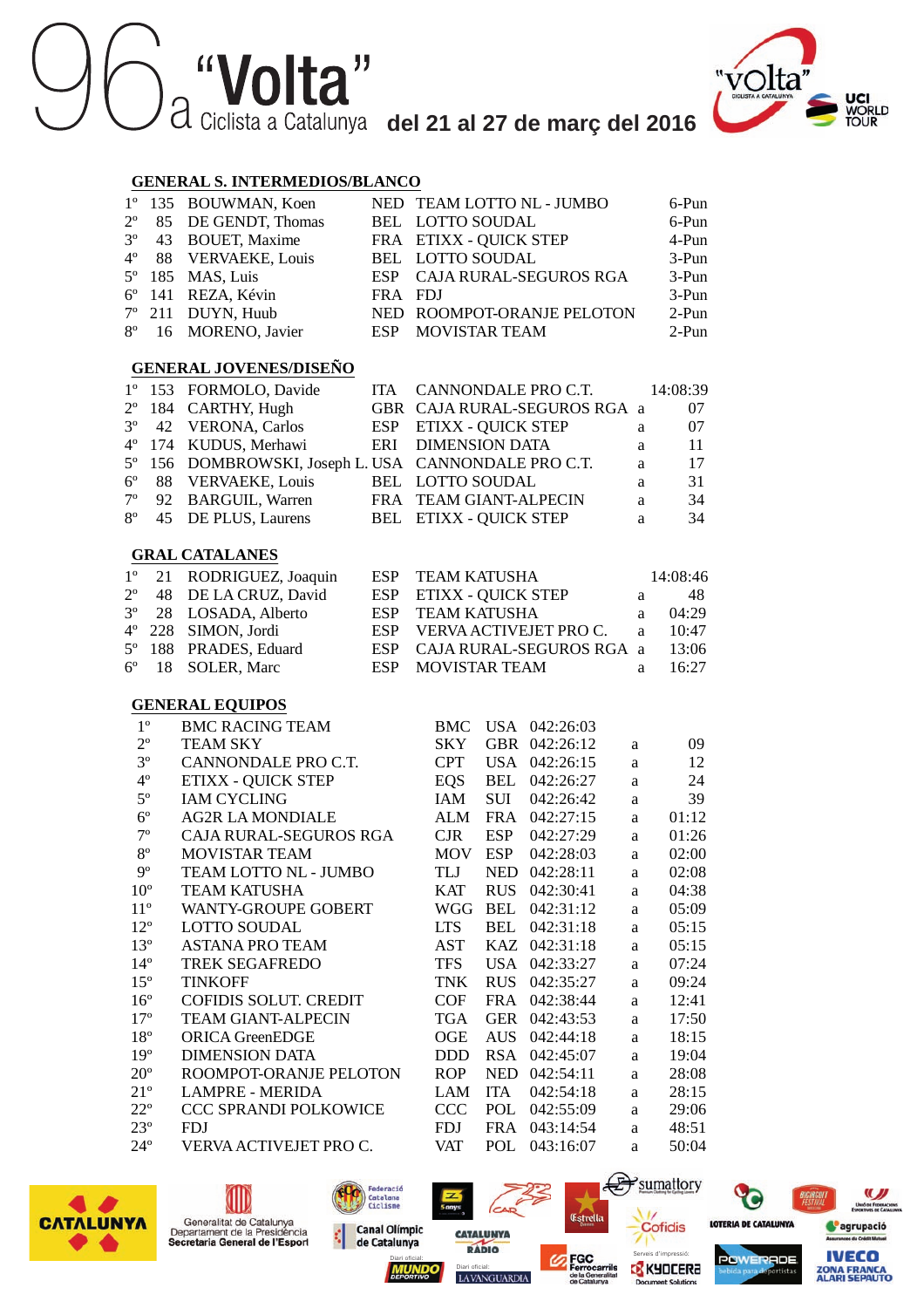

#### **GENERAL S. INTERMEDIOS/BLANCO**

| $1^{\circ}$        | 135<br><b>BOUWMAN, Koen</b>      |                                                         |                           |            |                              |          | 6-Pun    |
|--------------------|----------------------------------|---------------------------------------------------------|---------------------------|------------|------------------------------|----------|----------|
| $2^{\circ}$        | 85<br>DE GENDT, Thomas           | NED TEAM LOTTO NL - JUMBO<br><b>LOTTO SOUDAL</b><br>BEL |                           |            | 6-Pun                        |          |          |
| $3^{\circ}$        | 43<br><b>BOUET, Maxime</b>       |                                                         | FRA ETIXX - QUICK STEP    |            |                              |          | 4-Pun    |
| $4^{\circ}$        | 88<br><b>VERVAEKE, Louis</b>     | <b>BEL</b>                                              | <b>LOTTO SOUDAL</b>       |            |                              |          | 3-Pun    |
| $5^{\circ}$        | 185<br>MAS, Luis                 | <b>ESP</b>                                              |                           |            | CAJA RURAL-SEGUROS RGA       |          | 3-Pun    |
| $6^{\circ}$<br>141 | REZA, Kévin                      | <b>FRA</b>                                              | <b>FDJ</b>                |            |                              |          | 3-Pun    |
| $7^{\circ}$<br>211 | DUYN, Huub                       | <b>NED</b>                                              |                           |            | ROOMPOT-ORANJE PELOTON       |          | $2-Pun$  |
| $8^{\circ}$        | 16<br>MORENO, Javier             | <b>ESP</b>                                              | <b>MOVISTAR TEAM</b>      |            |                              |          | $2-Pun$  |
|                    |                                  |                                                         |                           |            |                              |          |          |
|                    | <b>GENERAL JOVENES/DISEÑO</b>    |                                                         |                           |            |                              |          |          |
| $1^{\circ}$        | 153<br>FORMOLO, Davide           | <b>ITA</b>                                              |                           |            | CANNONDALE PRO C.T.          |          | 14:08:39 |
| $2^{\circ}$        | 184<br>CARTHY, Hugh              |                                                         |                           |            | GBR CAJA RURAL-SEGUROS RGA a |          | 07       |
| $3^{\circ}$        | 42<br><b>VERONA</b> , Carlos     | <b>ESP</b>                                              | <b>ETIXX - QUICK STEP</b> |            |                              | a        | 07       |
| $4^{\circ}$        | 174<br>KUDUS, Merhawi            | ERI                                                     | <b>DIMENSION DATA</b>     |            |                              | a        | 11       |
| $5^{\circ}$        | 156<br>DOMBROWSKI, Joseph L. USA |                                                         |                           |            | CANNONDALE PRO C.T.          | a        | 17       |
| $6^{\circ}$        | 88<br><b>VERVAEKE, Louis</b>     | BEL                                                     | LOTTO SOUDAL              |            |                              | a        | 31       |
| $7^{\circ}$        | 92<br><b>BARGUIL, Warren</b>     | <b>FRA</b>                                              | TEAM GIANT-ALPECIN        |            |                              | a        | 34       |
| $8^{\circ}$        | 45<br>DE PLUS, Laurens           | <b>BEL</b>                                              | <b>ETIXX - QUICK STEP</b> |            |                              | a        | 34       |
|                    |                                  |                                                         |                           |            |                              |          |          |
|                    | <b>GRAL CATALANES</b>            |                                                         |                           |            |                              |          |          |
| $1^{\circ}$        | RODRIGUEZ, Joaquin<br>21         | <b>ESP</b>                                              | <b>TEAM KATUSHA</b>       |            |                              |          | 14:08:46 |
| $2^{\circ}$        | 48<br>DE LA CRUZ, David          | <b>ESP</b>                                              | <b>ETIXX - QUICK STEP</b> |            |                              | a        | 48       |
| $3^{\circ}$        | 28<br>LOSADA, Alberto            | <b>ESP</b>                                              | <b>TEAM KATUSHA</b>       |            |                              | a        | 04:29    |
| $4^{\circ}$<br>228 | SIMON, Jordi                     | <b>ESP</b>                                              |                           |            | VERVA ACTIVEJET PRO C.       | a        | 10:47    |
| $5^{\circ}$        | 188<br>PRADES, Eduard            | <b>ESP</b>                                              |                           |            | CAJA RURAL-SEGUROS RGA       | a        | 13:06    |
| $6^{\circ}$        | 18<br>SOLER, Marc                | <b>ESP</b>                                              | <b>MOVISTAR TEAM</b>      |            |                              | a        | 16:27    |
|                    |                                  |                                                         |                           |            |                              |          |          |
|                    | <b>GENERAL EQUIPOS</b>           |                                                         |                           |            |                              |          |          |
| $1^{\circ}$        | <b>BMC RACING TEAM</b>           |                                                         | <b>BMC</b>                |            | USA 042:26:03                |          |          |
| $2^{\circ}$        | <b>TEAM SKY</b>                  |                                                         | <b>SKY</b>                |            | GBR 042:26:12                | a        | 09       |
| $3^{\circ}$        | CANNONDALE PRO C.T.              |                                                         | <b>CPT</b>                |            | USA 042:26:15                | a        | 12       |
| $4^{\circ}$        | <b>ETIXX - QUICK STEP</b>        |                                                         | <b>EQS</b>                | BEL        | 042:26:27                    | a        | 24       |
| $5^{\rm o}$        | <b>IAM CYCLING</b>               |                                                         | IAM                       | <b>SUI</b> | 042:26:42                    | a        | 39       |
| $6^{\rm o}$        | <b>AG2R LA MONDIALE</b>          |                                                         | ALM                       | <b>FRA</b> | 042:27:15                    | a        | 01:12    |
| $7^{\circ}$        | CAJA RURAL-SEGUROS RGA           |                                                         | CJR                       | <b>ESP</b> | 042:27:29                    | a        | 01:26    |
| $8^{\circ}$        | MOVISTAR TEAM                    |                                                         | <b>MOV</b>                | <b>ESP</b> | 042:28:03                    | a        | 02:00    |
| $9^{\circ}$        | TEAM LOTTO NL - JUMBO            |                                                         | TLJ                       | NED        | 042:28:11                    | a        | 02:08    |
| $10^{\circ}$       | <b>TEAM KATUSHA</b>              |                                                         | <b>KAT</b>                |            | RUS 042:30:41                | a        | 04:38    |
| $11^{\circ}$       | <b>WANTY-GROUPE GOBERT</b>       |                                                         | WGG                       | <b>BEL</b> | 042:31:12                    | a        | 05:09    |
| $12^{\circ}$       | <b>LOTTO SOUDAL</b>              |                                                         | <b>LTS</b>                | BEL        | 042:31:18                    | a        | 05:15    |
| $13^{\circ}$       | <b>ASTANA PRO TEAM</b>           |                                                         | <b>AST</b>                |            | KAZ 042:31:18                | a        | 05:15    |
| $14^{\circ}$       | <b>TREK SEGAFREDO</b>            |                                                         | <b>TFS</b>                |            | USA 042:33:27                | a        | 07:24    |
| $15^{\circ}$       | <b>TINKOFF</b>                   |                                                         | <b>TNK</b>                | <b>RUS</b> | 042:35:27                    | a        | 09:24    |
| $16^{\circ}$       | <b>COFIDIS SOLUT. CREDIT</b>     |                                                         | <b>COF</b>                | FRA        | 042:38:44                    | a        | 12:41    |
| $17^{\circ}$       | <b>TEAM GIANT-ALPECIN</b>        |                                                         | <b>TGA</b>                |            | GER 042:43:53                | a        | 17:50    |
| $18^{\circ}$       | <b>ORICA GreenEDGE</b>           |                                                         | OGE                       |            | AUS 042:44:18                | a        | 18:15    |
| $19^{\circ}$       | <b>DIMENSION DATA</b>            |                                                         | <b>DDD</b>                | <b>RSA</b> | 042:45:07                    | a        | 19:04    |
| $20^{\circ}$       | ROOMPOT-ORANJE PELOTON           |                                                         | <b>ROP</b>                | <b>NED</b> | 042:54:11                    | a        | 28:08    |
| $21^{\circ}$       | <b>LAMPRE - MERIDA</b>           |                                                         | LAM                       | <b>ITA</b> | 042:54:18                    | a        | 28:15    |
| $22^{\circ}$       | CCC SPRANDI POLKOWICE            |                                                         | <b>CCC</b>                | POL        | 042:55:09                    | a        | 29:06    |
| $23^{\circ}$       | <b>FDJ</b>                       |                                                         | <b>FDJ</b>                | FRA        | 043:14:54                    | a        | 48:51    |
| $24^{\circ}$       | VERVA ACTIVEJET PRO C.           |                                                         | <b>VAT</b>                | POL        | 043:16:07                    | $\rm{a}$ | 50:04    |









LAVANGUARDIA



Cofidis

nt Solutic



**C**agrupació

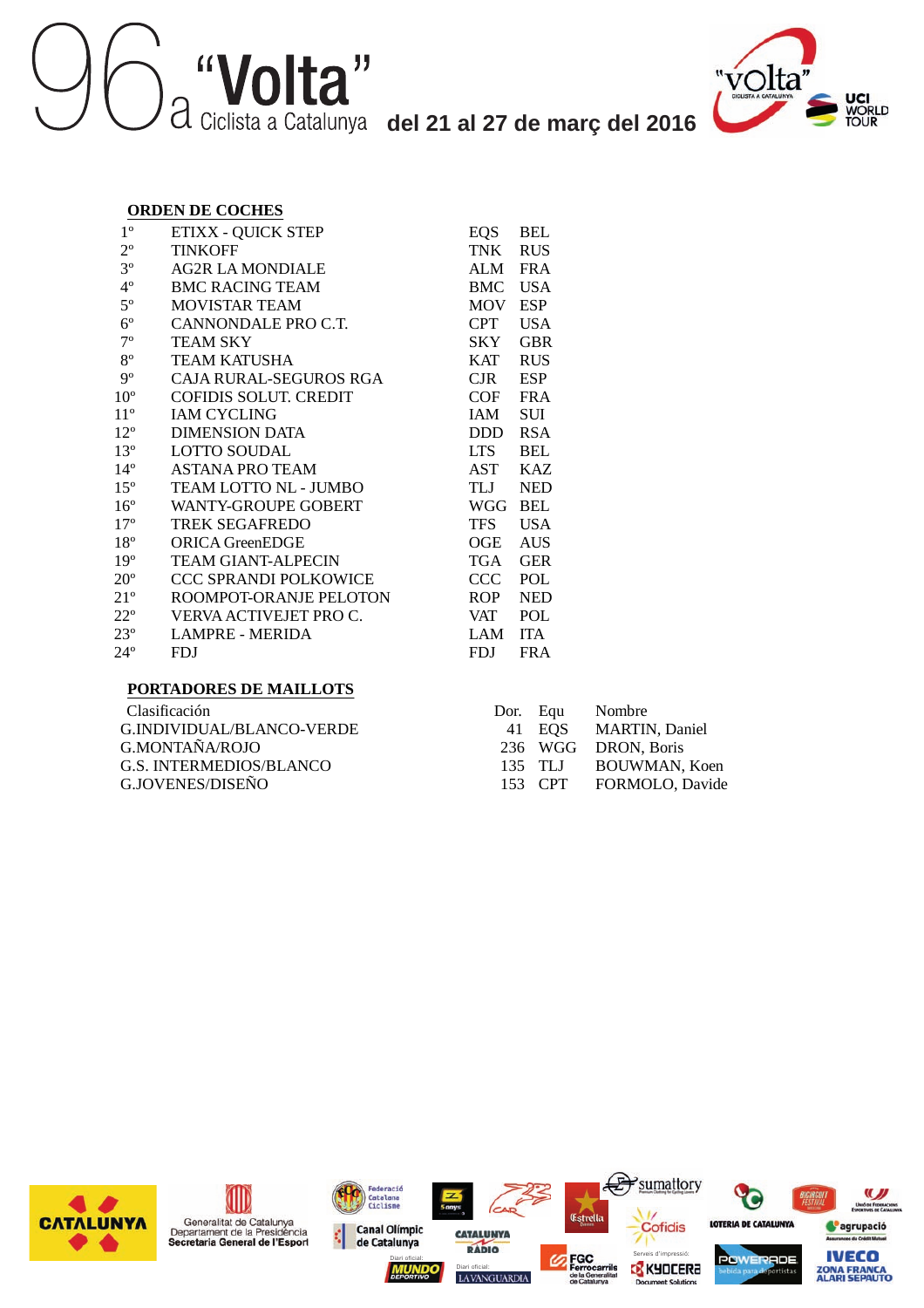



#### **ORDEN DE COCHES**

| $1^{\circ}$     | <b>ETIXX - QUICK STEP</b>    | EQS        | <b>BEL</b> |
|-----------------|------------------------------|------------|------------|
| $2^{\circ}$     | TINKOFF                      | TNK        | <b>RUS</b> |
| $3^{\circ}$     | <b>AG2R LA MONDIALE</b>      | ALM        | <b>FRA</b> |
| $4^{\circ}$     | <b>BMC RACING TEAM</b>       | <b>BMC</b> | <b>USA</b> |
| $5^{\circ}$     | <b>MOVISTAR TEAM</b>         | <b>MOV</b> | <b>ESP</b> |
| $6^{\circ}$     | CANNONDALE PRO C.T.          | <b>CPT</b> | <b>USA</b> |
| $7^{\circ}$     | <b>TEAM SKY</b>              | SKY        | <b>GBR</b> |
| $8^{\circ}$     | <b>TEAM KATUSHA</b>          | <b>KAT</b> | <b>RUS</b> |
| $9^{\circ}$     | CAJA RURAL-SEGUROS RGA       | CJR.       | <b>ESP</b> |
| $10^{\circ}$    | <b>COFIDIS SOLUT. CREDIT</b> | COF        | <b>FRA</b> |
| $11^{\circ}$    | <b>IAM CYCLING</b>           | IAM        | SUI        |
| $12^{\circ}$    | <b>DIMENSION DATA</b>        | DDD.       | <b>RSA</b> |
| $13^{\circ}$    | <b>LOTTO SOUDAL</b>          | LTS –      | <b>BEL</b> |
| $14^{\circ}$    | <b>ASTANA PRO TEAM</b>       | AST        | <b>KAZ</b> |
| $15^{\circ}$    | TEAM LOTTO NL - JUMBO        | TLJ        | <b>NED</b> |
| $16^{\circ}$    | WANTY-GROUPE GOBERT          | <b>WGG</b> | <b>BEL</b> |
| $17^{\circ}$    | <b>TREK SEGAFREDO</b>        | <b>TFS</b> | <b>USA</b> |
| $18^{\circ}$    | <b>ORICA GreenEDGE</b>       | OGE        | <b>AUS</b> |
| 19 <sup>°</sup> | <b>TEAM GIANT-ALPECIN</b>    | TGA        | <b>GER</b> |
| $20^{\circ}$    | CCC SPRANDI POLKOWICE        | CCC        | POL        |
| $21^{\circ}$    | ROOMPOT-ORANJE PELOTON       | <b>ROP</b> | <b>NED</b> |
| $22^{\circ}$    | VERVA ACTIVEJET PRO C.       | VAT        | POL        |
| $23^{\circ}$    | <b>LAMPRE - MERIDA</b>       | LAM        | <b>ITA</b> |
| $24^{\circ}$    | <b>FDJ</b>                   | FDJ        | <b>FRA</b> |

#### **PORTADORES DE MAILLOTS**

| Clasificación             |  | Dor. Equ Nombre         |
|---------------------------|--|-------------------------|
| G.INDIVIDUAL/BLANCO-VERDE |  | 41 EOS MARTIN, Daniel   |
| G.MONTAÑA/ROJO            |  | 236 WGG DRON, Boris     |
| G.S. INTERMEDIOS/BLANCO   |  | 135 TLJ BOUWMAN, Koen   |
| G.JOVENES/DISEÑO          |  | 153 CPT FORMOLO, Davide |
|                           |  |                         |





nt Solutic

LAVANGUARDIA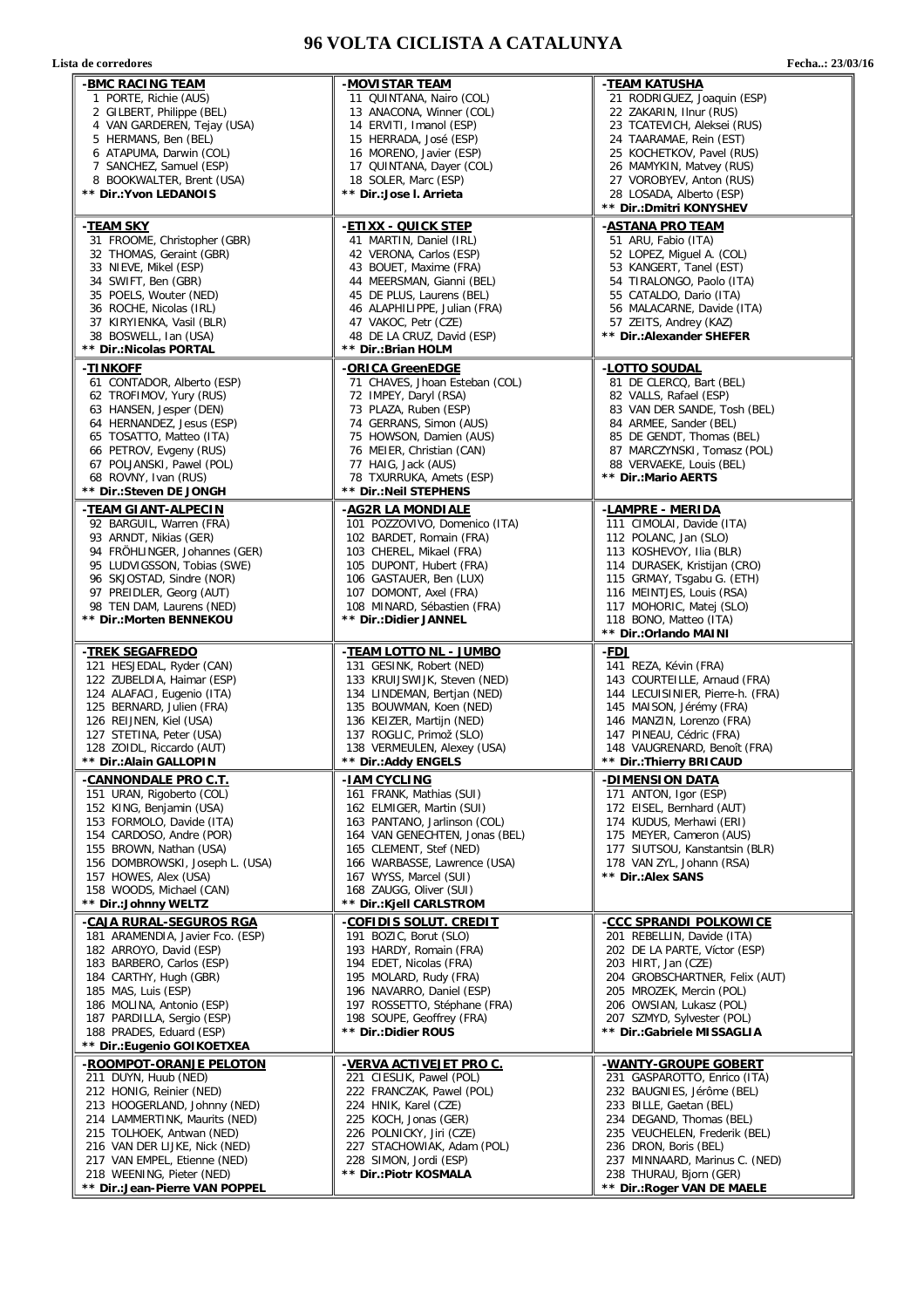#### **96 VOLTA CICLISTA A CATALUNYA**

Lista de corredores

| Fecha: 23/03/16 |
|-----------------|
|                 |

| -BMC RACING TEAM                                          | -MOVISTAR TEAM                                            | -TEAM KATUSHA                                              |
|-----------------------------------------------------------|-----------------------------------------------------------|------------------------------------------------------------|
| 1 PORTE, Richie (AUS)                                     | 11 QUINTANA, Nairo (COL)                                  | 21 RODRIGUEZ, Joaquin (ESP)                                |
| 2 GILBERT, Philippe (BEL)                                 | 13 ANACONA, Winner (COL)                                  | 22 ZAKARIN, Ilnur (RUS)                                    |
| 4 VAN GARDEREN, Tejay (USA)                               | 14 ERVITI, Imanol (ESP)                                   | 23 TCATEVICH, Aleksei (RUS)                                |
| 5 HERMANS, Ben (BEL)                                      | 15 HERRADA, José (ESP)                                    | 24 TAARAMAE, Rein (EST)                                    |
| 6 ATAPUMA, Darwin (COL)                                   | 16 MORENO, Javier (ESP)                                   | 25 KOCHETKOV, Pavel (RUS)                                  |
| 7 SANCHEZ, Samuel (ESP)                                   | 17 QUINTANA, Dayer (COL)                                  | 26 MAMYKIN, Matvey (RUS)                                   |
| 8 BOOKWALTER, Brent (USA)                                 | 18 SOLER, Marc (ESP)                                      | 27 VOROBYEV, Anton (RUS)                                   |
| ** Dir.:Yvon LEDANOIS                                     | ** Dir.:Jose I. Arrieta                                   | 28 LOSADA, Alberto (ESP)                                   |
|                                                           |                                                           | ** Dir.: Dmitri KONYSHEV                                   |
| -TEAM SKY                                                 | - <u>ETIXX - QUICK STEP</u>                               | <u>-ASTANA PRO TEAM</u>                                    |
| 31 FROOME, Christopher (GBR)                              | 41 MARTIN, Daniel (IRL)                                   | 51 ARU, Fabio (ITA)                                        |
| 32 THOMAS, Geraint (GBR)                                  | 42 VERONA, Carlos (ESP)                                   | 52 LOPEZ, Miguel A. (COL)                                  |
| 33 NIEVE, Mikel (ESP)                                     | 43 BOUET, Maxime (FRA)                                    | 53 KANGERT, Tanel (EST)                                    |
| 34 SWIFT, Ben (GBR)<br>35 POELS, Wouter (NED)             | 44 MEERSMAN, Gianni (BEL)<br>45 DE PLUS, Laurens (BEL)    | 54 TIRALONGO, Paolo (ITA)<br>55 CATALDO, Dario (ITA)       |
| 36 ROCHE, Nicolas (IRL)                                   | 46 ALAPHILIPPE, Julian (FRA)                              | 56 MALACARNE, Davide (ITA)                                 |
| 37 KIRYIENKA, Vasil (BLR)                                 | 47 VAKOC, Petr (CZE)                                      | 57 ZEITS, Andrey (KAZ)                                     |
| 38 BOSWELL, Ian (USA)                                     | 48 DE LA CRUZ, David (ESP)                                | ** Dir.:Alexander SHEFER                                   |
| ** Dir.:Nicolas PORTAL                                    | ** Dir.:Brian HOLM                                        |                                                            |
| - <u>TINKOFF</u>                                          | <u>-ORICA GreenEDGE</u>                                   | - <u>LOTTO SOUDAL</u>                                      |
| 61 CONTADOR, Alberto (ESP)                                | 71 CHAVES, Jhoan Esteban (COL)                            | 81 DE CLERCQ, Bart (BEL)                                   |
| 62 TROFIMOV, Yury (RUS)                                   | 72 IMPEY, Daryl (RSA)                                     | 82 VALLS, Rafael (ESP)                                     |
| 63 HANSEN, Jesper (DEN)                                   | 73 PLAZA, Ruben (ESP)                                     | 83 VAN DER SANDE, Tosh (BEL)                               |
| 64 HERNANDEZ, Jesus (ESP)                                 | 74 GERRANS, Simon (AUS)                                   | 84 ARMEE, Sander (BEL)                                     |
| 65 TOSATTO, Matteo (ITA)                                  | 75 HOWSON, Damien (AUS)                                   | 85 DE GENDT, Thomas (BEL)                                  |
| 66 PETROV, Evgeny (RUS)                                   | 76 MEIER, Christian (CAN)                                 | 87 MARCZYNSKI, Tomasz (POL)                                |
| 67 POLJANSKI, Pawel (POL)                                 | 77 HAIG, Jack (AUS)                                       | 88 VERVAEKE, Louis (BEL)                                   |
| 68 ROVNY, Ivan (RUS)<br>** Dir.:Steven DE JONGH           | 78 TXURRUKA, Amets (ESP)<br>** Dir.:Neil STEPHENS         | ** Dir.:Mario AERTS                                        |
|                                                           |                                                           |                                                            |
| -TEAM GIANT-ALPECIN                                       | -AG2R LA MONDIALE                                         | -LAMPRE - MERIDA                                           |
| 92 BARGUIL, Warren (FRA)<br>93 ARNDT, Nikias (GER)        | 101 POZZOVIVO, Domenico (ITA)<br>102 BARDET, Romain (FRA) | 111 CIMOLAI, Davide (ITA)<br>112 POLANC, Jan (SLO)         |
| 94 FRÖHLINGER, Johannes (GER)                             | 103 CHEREL, Mikael (FRA)                                  | 113 KOSHEVOY, Ilia (BLR)                                   |
| 95 LUDVIGSSON, Tobias (SWE)                               | 105 DUPONT, Hubert (FRA)                                  | 114 DURASEK, Kristijan (CRO)                               |
| 96 SKJOSTAD, Sindre (NOR)                                 | 106 GASTAUER, Ben (LUX)                                   | 115 GRMAY, Tsgabu G. (ETH)                                 |
| 97 PREIDLER, Georg (AUT)                                  | 107 DOMONT, Axel (FRA)                                    | 116 MEINTJES, Louis (RSA)                                  |
| 98 TEN DAM, Laurens (NED)                                 | 108 MINARD, Sébastien (FRA)                               | 117 MOHORIC, Matej (SLO)                                   |
| ** Dir.:Morten BENNEKOU                                   | ** Dir.:Didier JANNEL                                     | 118 BONO, Matteo (ITA)                                     |
|                                                           |                                                           | ** Dir.:Orlando MAINI                                      |
| <u>-TREK SEGAFREDO</u>                                    | - <u>TEAM LOTTO NL - JUMBO</u>                            | <u>-FDJ</u>                                                |
| 121 HESJEDAL, Ryder (CAN)                                 | 131 GESINK, Robert (NED)                                  | 141 REZA, Kévin (FRA)                                      |
| 122 ZUBELDIA, Haimar (ESP)                                | 133 KRUIJSWIJK, Steven (NED)                              | 143 COURTEILLE, Arnaud (FRA)                               |
| 124 ALAFACI, Eugenio (ITA)                                | 134 LINDEMAN, Bertjan (NED)                               | 144 LECUISINIER, Pierre-h. (FRA)                           |
| 125 BERNARD, Julien (FRA)                                 | 135 BOUWMAN, Koen (NED)                                   | 145 MAISON, Jérémy (FRA)                                   |
| 126 REIJNEN, Kiel (USA)                                   | 136 KEIZER, Martijn (NED)                                 | 146 MANZIN, Lorenzo (FRA)                                  |
| 127 STETINA, Peter (USA)                                  | 137 ROGLIC, Primož (SLO)                                  | 147 PINEAU, Cédric (FRA)<br>148 VAUGRENARD, Benoît (FRA)   |
| 128 ZOIDL, Riccardo (AUT)<br>** Dir.:Alain GALLOPIN       | 138 VERMEULEN, Alexey (USA)<br>** Dir.: Addy ENGELS       | ** Dir.: Thierry BRICAUD                                   |
|                                                           | -IAM CYCLING                                              |                                                            |
| <u>-CANNONDALE PRO C.T.</u><br>151 URAN, Rigoberto (COL)  | 161 FRANK, Mathias (SUI)                                  | <u>-DIMENSION DATA</u><br>171 ANTON, Igor (ESP)            |
| 152 KING, Benjamin (USA)                                  | 162 ELMIGER, Martin (SUI)                                 | 172 EISEL, Bernhard (AUT)                                  |
| 153 FORMOLO, Davide (ITA)                                 |                                                           |                                                            |
|                                                           |                                                           |                                                            |
| 154 CARDOSO, Andre (POR)                                  | 163 PANTANO, Jarlinson (COL)                              | 174 KUDUS, Merhawi (ERI)                                   |
| 155 BROWN, Nathan (USA)                                   | 164 VAN GENECHTEN, Jonas (BEL)<br>165 CLEMENT, Stef (NED) | 175 MEYER, Cameron (AUS)<br>177 SIUTSOU, Kanstantsin (BLR) |
| 156 DOMBROWSKI, Joseph L. (USA)                           | 166 WARBASSE, Lawrence (USA)                              | 178 VAN ZYL, Johann (RSA)                                  |
| 157 HOWES, Alex (USA)                                     | 167 WYSS, Marcel (SUI)                                    | ** Dir.:Alex SANS                                          |
| 158 WOODS, Michael (CAN)                                  | 168 ZAUGG, Oliver (SUI)                                   |                                                            |
| ** Dir.:Johnny WELTZ                                      | * * Dir.:Kjell CARLSTROM                                  |                                                            |
| -CAJA RURAL-SEGUROS RGA                                   | <u>-COFIDIS SOLUT. CREDIT</u>                             | <i>-CCC SPRANDI POLKOWICE</i>                              |
| 181 ARAMENDIA, Javier Fco. (ESP)                          | 191 BOZIC, Borut (SLO)                                    | 201 REBELLIN, Davide (ITA)                                 |
| 182 ARROYO, David (ESP)                                   | 193 HARDY, Romain (FRA)                                   | 202 DE LA PARTE, Víctor (ESP)                              |
| 183 BARBERO, Carlos (ESP)                                 | 194 EDET, Nicolas (FRA)                                   | 203 HIRT, Jan (CZE)                                        |
| 184 CARTHY, Hugh (GBR)                                    | 195 MOLARD, Rudy (FRA)                                    | 204 GROBSCHARTNER, Felix (AUT)                             |
| 185 MAS, Luis (ESP)                                       | 196 NAVARRO, Daniel (ESP)                                 | 205 MROZEK, Mercin (POL)                                   |
| 186 MOLINA, Antonio (ESP)<br>187 PARDILLA, Sergio (ESP)   | 197 ROSSETTO, Stéphane (FRA)<br>198 SOUPE, Geoffrey (FRA) | 206 OWSIAN, Lukasz (POL)                                   |
| 188 PRADES, Eduard (ESP)                                  | ** Dir.:Didier ROUS                                       | 207 SZMYD, Sylvester (POL)<br>** Dir.:Gabriele MISSAGLIA   |
| ** Dir.:Eugenio GOIKOETXEA                                |                                                           |                                                            |
| -ROOMPOT-ORANJE PELOTON                                   | -VERVA ACTIVEJET PRO C.                                   | -WANTY-GROUPE GOBERT                                       |
| 211 DUYN, Huub (NED)                                      | 221 CIESLIK, Pawel (POL)                                  | 231 GASPAROTTO, Enrico (ITA)                               |
| 212 HONIG, Reinier (NED)                                  | 222 FRANCZAK, Pawel (POL)                                 | 232 BAUGNIES, Jérôme (BEL)                                 |
| 213 HOOGERLAND, Johnny (NED)                              | 224 HNIK, Karel (CZE)                                     | 233 BILLE, Gaetan (BEL)                                    |
| 214 LAMMERTINK, Maurits (NED)                             | 225 KOCH, Jonas (GER)                                     | 234 DEGAND, Thomas (BEL)                                   |
| 215 TOLHOEK, Antwan (NED)                                 | 226 POLNICKY, Jiri (CZE)                                  | 235 VEUCHELEN, Frederik (BEL)                              |
| 216 VAN DER LIJKE, Nick (NED)                             | 227 STACHOWIAK, Adam (POL)                                | 236 DRON, Boris (BEL)                                      |
| 217 VAN EMPEL, Etienne (NED)<br>218 WEENING, Pieter (NED) | 228 SIMON, Jordi (ESP)<br>** Dir.:Piotr KOSMALA           | 237 MINNAARD, Marinus C. (NED)<br>238 THURAU, Bjorn (GER)  |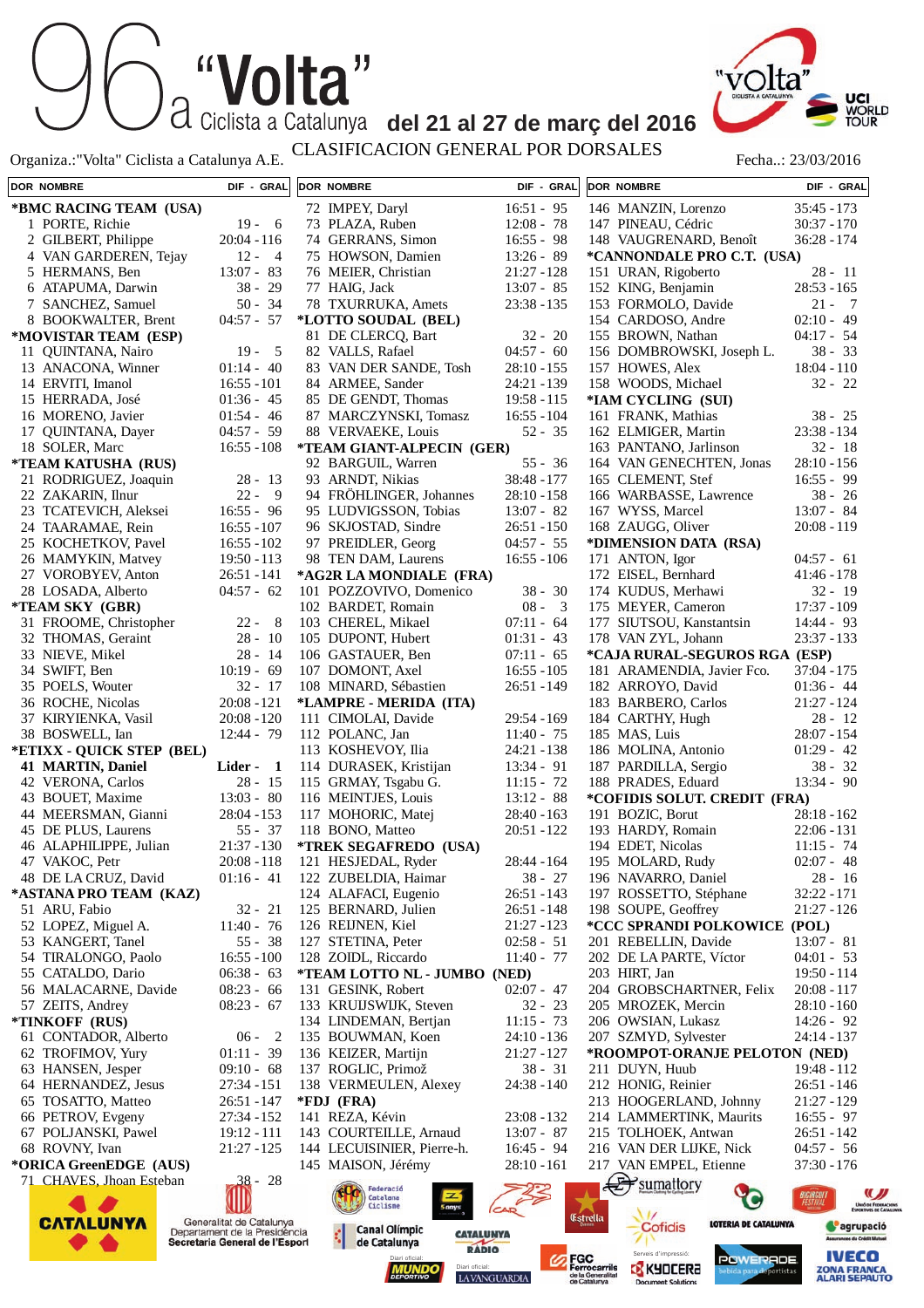Organiza.:"Volta" Ciclista a Catalunya A.E. CLASIFICACION GENERAL POR DORSALES Fecha..: 23/03/2016

| "Volta" |                                                    |  |
|---------|----------------------------------------------------|--|
|         | Ciclista a Catalunya del 21 al 27 de març del 2016 |  |



ZONA FRANCA<br>ALARI SEPAUTO

**DOR NOMBRE DIF - GRAL DOR NOMBRE DIF - GRAL DOR NOMBRE DIF - GRAL \*BMC RACING TEAM (USA)** 72 IMPEY, Daryl 16:51 - 95<br>73 PLAZA, Ruben 12:08 - 78 146 MANZIN, Lorenzo 35:45 - 173 1 PORTE, Richie 19 - 6 73 PLAZA, Ruben 12:08 - 78<br>74 GERRANS, Simon 16:55 - 98 147 PINEAU, Cédric 30:37 - 170 2 GILBERT, Philippe 20:04 - 116 74 GERRANS, Simon 148 VAUGRENARD, Benoît 36:28 - 174 4 VAN GARDEREN, Tejay 12 - 4<br>5 HERMANS, Ben 13:07 - 83 75 HOWSON, Damien 13:26 - 89 **\*CANNONDALE PRO C.T. (USA)** 76 MEIER, Christian 21:27 - 128 5 HERMANS, Ben 151 URAN, Rigoberto 28 - 11 6 ATAPUMA, Darwin 38 - 29<br>7 SANCHEZ, Samuel 50 - 34 77 HAIG, Jack 13:07 - 85 152 KING, Benjamin 28:53 - 165 7 SANCHEZ, Samuel 50 - 34<br>8 ROOKWALTER, Brent 04:57 - 57 78 TXURRUKA, Amets 23:38 - 135 153 FORMOLO, Davide 21 - 7<br>154 CARDOSO, Andre 02:10 - 49 8 BOOKWALTER Brent **\*LOTTO SOUDAL (BEL)** 154 CARDOSO, Andre 02:10 - 49<br>155 BROWN Nathan 04:17 - 54 **\*MOVISTAR TEAM (ESP)** 81 DE CLERCO, Bart 32 - 20 155 BROWN, Nathan 11 QUINTANA, Nairo 19 - 5<br>13 ANACONA Winner 01:14 - 40 82 VALLS, Rafael 04:57 - 60<br>83 VAN DER SANDE Tosh 28:10 - 155 156 DOMBROWSKI, Joseph L. 38 - 33<br>157 HOWES, Alex 18:04 - 110 157 HOWES, Alex 13 ANACONA, Winner 83 VAN DER SANDE, Tosh 14 ERVITI, Imanol 16:55 - 101 84 ARMEE, Sander 24:21 - 139 158 WOODS, Michael 32 - 22 15 HERRADA, José 01:36 - 45<br>16 MORENO, Javier 01:54 - 46 85 DE GENDT, Thomas 19:58 - 115<br>87 MARCZYNSKI Tomasz 16:55 - 104 **\*IAM CYCLING (SUI)** 87 MARCZYNSKI, Tomasz 161 FRANK, Mathias 38 - 25 16 MORENO, Javier 01:54 - 46<br>17 QUINTANA, Dayer 04:57 - 59 17 QUINTANA, Dayer 88 VERVAEKE, Louis 52 - 35 162 ELMIGER, Martin 23:38 - 134 18 SOLER, Marc 16:55 - 108 **\*TEAM GIANT-ALPECIN (GER)** 163 PANTANO, Jarlinson 32 - 18<br>164 VAN GENECHTEN. Jonas 28:10 - 156 **\*TEAM KATUSHA (RUS)** 92 BARGUIL, Warren 55 - 36 164 VAN GENECHTEN, Jonas 21 RODRIGUEZ, Joaquin 28 - 13 93 ARNDT, Nikias 38:48 - 177 165 CLEMENT, Stef 16:55 - 99<br>166 WARBASSE. Lawrence 38 - 26 22 ZAKARIN, Ilnur 22 - 9 94 FRÖHLINGER, Johannes 28:10 - 158<br>95 LUDVIGSSON, Tobias 13:07 - 82 166 WARBASSE, Lawrence 38 - 26<br>167 WYSS, Marcel 13:07 - 84 95 LUDVIGSSON, Tobias 23 TCATEVICH, Aleksei 167 WYSS, Marcel 24 TAARAMAE, Rein 16:55 - 107 96 SKJOSTAD, Sindre 26:51 - 150<br>97 PREIDLER. Georg 04:57 - 55 168 ZAUGG, Oliver 20:08 - 119 25 KOCHETKOV, Pavel 16:55 - 102<br>26 MAMYKIN, Matvey 19:50 - 113 97 PREIDLER, Georg 04:57 - 55<br>98 TEN DAM. Laurens 16:55 - 106 **\*DIMENSION DATA (RSA)** 26 MAMYKIN, Matvey 98 TEN DAM, Laurens 171 ANTON, Igor 04:57 - 61 **\*AG2R LA MONDIALE (FRA)** 27 VOROBYEV, Anton 26:51 - 141<br>28 LOSADA, Alberto 04:57 - 62 172 EISEL, Bernhard 41:46 - 178 101 POZZOVIVO, Domenico 38 - 30<br>102 BARDET Romain 08 - 3 28 LOSADA, Alberto 174 KUDUS, Merhawi 32 - 19<br>175 MEYER. Cameron 17:37 - 109 **\*TEAM SKY (GBR)** 102 BARDET, Romain 175 MEYER, Cameron 31 FROOME, Christopher 22 - 8<br>32 THOMAS, Geraint 28 - 10 103 CHEREL, Mikael 07:11 - 64<br>105 DUPONT. Hubert 01:31 - 43 177 SIUTSOU, Kanstantsin 14:44 - 93<br>178 VAN ZYL. Johann 23:37 - 133 105 DUPONT, Hubert 01:31 - 43<br>106 GASTAUER, Ben 07:11 - 65 178 VAN ZYL, Johann 32 THOMAS, Geraint 28 - 10<br>33 NIEVE, Mikel 28 - 14 NIEVE, Mikel 28 - 14<br>
SWIFT, Ben 10:19 - 69 106 GASTAUER, Ben 07:11 - 65<br>107 DOMONT, Axel 16:55 - 105 **\*CAJA RURAL-SEGUROS RGA (ESP)** 34 SWIFT, Ben 107 DOMONT, Axel 181 ARAMENDIA, Javier Fco. 35 POELS, Wouter 32 - 17<br>36 ROCHE, Nicolas 20:08 - 121 108 MINARD, Sébastien 26:51 - 149 182 ARROYO, David 01:36 - 44<br>183 BARBERO, Carlos 21:27 - 124 36 ROCHE, Nicolas 183 BARBERO, Carlos **\*LAMPRE - MERIDA (ITA)** 37 KIRYIENKA, Vasil 20:08 - 120 111 CIMOLAI, Davide 29:54 - 169 184 CARTHY, Hugh 28 - 12<br>185 MAS. Luis 28:07 - 154 38 BOSWELL, Ian 12:44 - 79 112 POLANC, Jan 11:40 - 75 185 MAS, Luis **\*ETIXX - QUICK STEP (BEL)** 113 KOSHEVOY, Ilia 24:21 - 138 186 MOLINA, Antonio 01:29 - 42 187 PARDILLA, Sergio 38 - 32 **41 MARTIN, Daniel Lider - 1**<br>42 VERONA, Carlos 28 - 15 114 DURASEK, Kristijan 13:34 - 91<br>115 GRMAY, Tsgabu G. 11:15 - 72 42 VERONA, Carlos 28 - 15<br>43 BOUET Maxime 13:03 - 80 188 PRADES, Eduard 13:34 - 90 115 GRMAY, Tsgabu G. 11:15 - 72<br>116 MEINTIES, Louis 13:12 - 88 43 BOUET, Maxime 116 MEINTJES, Louis **\*COFIDIS SOLUT. CREDIT (FRA)** 44 MEERSMAN, Gianni 28:04 - 153 117 MOHORIC, Matej 28:40 - 163 191 BOZIC, Borut 28:18 - 162 45 DE PLUS, Laurens 55 - 37<br>46 ALAPHILIPPE. Julian 21:37 - 130 118 BONO, Matteo 20:51 - 122 193 HARDY, Romain 22:06 - 131 46 ALAPHILIPPE, Julian **\*TREK SEGAFREDO (USA)** 194 EDET, Nicolas 11:15 - 74<br>195 MOLARD. Rudy 02:07 - 48 47 VAKOC, Petr 20:08 - 118<br>48 DE LA CRUZ, David 01:16 - 41 121 HESJEDAL, Ryder 28:44 - 164 195 MOLARD, Rudy 02:07 - 48<br>196 NAVARRO, Daniel 28 - 16 122 ZUBELDIA, Haimar 38 - 27<br>124 ALAFACI, Eugenio 26:51 - 143 48 DE LA CRUZ, David 196 NAVARRO, Daniel 28 - 16<br>197 ROSSETTO, Stéphane 32:22 - 171 **\*ASTANA PRO TEAM (KAZ)** 124 ALAFACI, Eugenio 197 ROSSETTO, Stéphane 51 ARU, Fabio 32 - 21<br>52 LOPEZ, Miguel A. 11:40 - 76 125 BERNARD, Julien 26:51 - 148<br>126 REIJNEN Kiel 21:27 - 123 198 SOUPE, Geoffrey 21:27 - 126 52 LOPEZ, Miguel A. 126 REIJNEN, Kiel **\*CCC SPRANDI POLKOWICE (POL)** 53 KANGERT, Tanel 55 - 38<br>54 TIRALONGO, Paolo 16:55 - 100 127 STETINA, Peter 02:58 - 51<br>128 ZOIDL, Riccardo 11:40 - 77 201 REBELLIN, Davide 13:07 - 81<br>202 DE LA PARTE, Víctor 04:01 - 53 54 TIRALONGO, Paolo 128 ZOIDL, Riccardo 202 DE LA PARTE, Víctor **\*TEAM LOTTO NL - JUMBO (NED)** 55 CATALDO, Dario 06:38 - 63 203 HIRT Jan 19:50 - 114 56 MALACARNE, Davide 08:23 - 66 131 GESINK, Robert 02:07 - 47<br>133 KRUIJSWIJK, Steven 32 - 23 204 GROBSCHARTNER, Felix 20:08 - 117 57 ZEITS, Andrey 08:23 - 67 133 KRUIJSWIJK, Steven 205 MROZEK, Mercin 28:10 - 160 **\*TINKOFF (RUS)** 134 LINDEMAN, Bertjan 11:15 - 73 206 OWSIAN, Lukasz 14:26 - 92 61 CONTADOR, Alberto 06 - 2<br>62 TROFIMOV. Yury 01:11 - 39 135 BOUWMAN, Koen 24:10 - 136 207 SZMYD, Sylvester 24:14 - 137 62 TROFIMOV, Yury 01:11 - 39<br>63 HANSEN, Jesper 09:10 - 68 136 KEIZER, Martijn 21:27 - 127<br>137 ROGLIC. Primož 38 - 31 **\*ROOMPOT-ORANJE PELOTON (NED)** 137 ROGLIC, Primož 63 HANSEN Jesper 211 DUYN Huub 19:48 - 112 64 HERNANDEZ, Jesus 27:34 - 151 138 VERMEULEN, Alexey 24:38 - 140 212 HONIG, Reinier 26:51 - 146 213 HOOGERLAND, Johnny 21:27 - 129<br>214 LAMMERTINK, Maurits 16:55 - 97 65 TOSATTO, Matteo 26:51 - 147<br>66 PETROV, Evgeny 27:34 - 152 **\*FDJ (FRA)** 66 PETROV, Evgeny 141 REZA, Kévin 23:08 - 132 214 LAMMERTINK, Maurits 67 POLJANSKI, Pawel 19:12 - 111<br>68 ROVNY, Ivan 21:27 - 125 143 COURTEILLE, Arnaud 13:07 - 87<br>144 LECUISINIER, Pierre-h. 16:45 - 94 215 TOLHOEK, Antwan 26:51 - 142<br>216 VAN DER LIJKE. Nick 04:57 - 56 216 VAN DER LIJKE, Nick 04:57 - 56<br>217 VAN EMPEL, Etienne 37:30 - 176 68 ROVNY, Ivan 144 LECUISINIER, Pierre-h. 16:45 - 94<br>145 MAISON, Jérémy 28:10 - 161 **\*ORICA GreenEDGE (AUS)** 145 MAISON, Jérémy VAN EMPEL, Etienne 71 CHAVES, Jhoan Esteban 38 - 28  $\rightarrow$ sumattory Federació Catalana<br>Ciclisme **C** (III **A** Estrella Generalitat de Catalunya **CATALUNYA** LOTERIA DE CATALUNYA Cofidis **C**agrupació **Canal Olímpic** Departament de la Presidència **CATALUNYA** Secretaria General de l'Esport de Catalunya **IVECO** Diari oficial: **Serveis d'impressió: Serveis d'impressió: POWERADE** 

LAVANGUARDIA